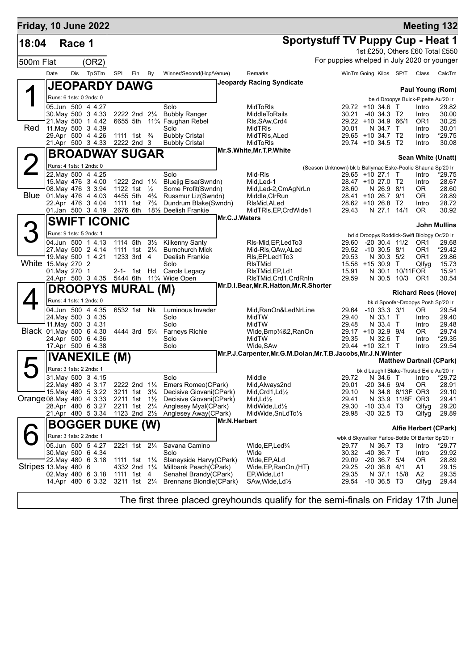| Friday, 10 June 2022      |               |        |                                          |                                         |     |                |                                                           |               |                                                                 |                                                            |                                        |                         |                                           |                        | <b>Meeting 132</b>                               |
|---------------------------|---------------|--------|------------------------------------------|-----------------------------------------|-----|----------------|-----------------------------------------------------------|---------------|-----------------------------------------------------------------|------------------------------------------------------------|----------------------------------------|-------------------------|-------------------------------------------|------------------------|--------------------------------------------------|
| 18:04                     |               | Race 1 |                                          |                                         |     |                |                                                           |               |                                                                 | <b>Sportystuff TV Puppy Cup - Heat 1</b>                   |                                        |                         |                                           |                        |                                                  |
|                           |               |        |                                          |                                         |     |                |                                                           |               |                                                                 |                                                            |                                        |                         |                                           |                        | 1st £250, Others £60 Total £550                  |
| 500m Flat                 |               |        | (OR2)                                    |                                         |     |                |                                                           |               |                                                                 | For puppies whelped in July 2020 or younger                |                                        |                         |                                           |                        |                                                  |
|                           | Date          |        | Dis TpSTm                                | SPI                                     | Fin | By             | Winner/Second(Hcp/Venue)                                  |               | Remarks                                                         |                                                            |                                        |                         | WinTm Going Kilos SP/T Class              |                        | CalcTm                                           |
|                           |               |        | <b>JEOPARDY DAWG</b>                     |                                         |     |                |                                                           |               | <b>Jeopardy Racing Syndicate</b>                                |                                                            |                                        |                         |                                           |                        |                                                  |
|                           |               |        |                                          |                                         |     |                |                                                           |               |                                                                 |                                                            |                                        |                         |                                           |                        | Paul Young (Rom)                                 |
|                           |               |        | Runs: 6 1sts: 0 2nds: 0                  |                                         |     |                |                                                           |               |                                                                 |                                                            |                                        |                         |                                           |                        | be d Droopys Buick-Pipette Au'20 Ir              |
|                           |               |        | 05.Jun 500 4 4.27<br>30. May 500 3 4.33  | 2222 2nd 21/4                           |     |                | Solo<br><b>Bubbly Ranger</b>                              |               | MidToRIs<br><b>MiddleToRails</b>                                |                                                            | 29.72 +10 34.6 T<br>30.21              | $-40$ 34.3 T2           |                                           | Intro<br>Intro         | 29.82<br>30.00                                   |
|                           |               |        | 21. May 500 1 4.42                       |                                         |     |                | 6655 5th 11 <sup>3</sup> / <sub>4</sub> Faughan Rebel     |               | RIs, SAw, Crd4                                                  |                                                            | 29.22 +10 34.9 66/1                    |                         |                                           | OR <sub>1</sub>        | 30.25                                            |
| Red                       |               |        | 11 May 500 3 4.39                        |                                         |     |                | Solo                                                      |               | MidTRIs                                                         |                                                            | 30.01                                  | N 34.7 T                |                                           | Intro                  | 30.01                                            |
|                           |               |        | 29.Apr 500 4 4.26<br>21.Apr 500 3 4.33   | 1111 1st $\frac{3}{4}$<br>2222 2nd 3    |     |                | <b>Bubbly Cristal</b><br><b>Bubbly Cristal</b>            |               | MidTRIs, ALed<br>MidToRIs                                       |                                                            | 29.65 +10 34.7 T2<br>29.74 +10 34.5 T2 |                         |                                           | Intro<br>Intro         | *29.75<br>30.08                                  |
|                           |               |        |                                          |                                         |     |                |                                                           |               | Mr.S.White, Mr.T.P.White                                        |                                                            |                                        |                         |                                           |                        |                                                  |
|                           |               |        | <b>BROADWAY SUGAR</b>                    |                                         |     |                |                                                           |               |                                                                 |                                                            |                                        |                         |                                           |                        | Sean White (Unatt)                               |
|                           |               |        | Runs: 4 1sts: 1 2nds: 0                  |                                         |     |                |                                                           |               |                                                                 | (Season Unknown) bk b Ballymac Eske-Poolie Shauna Sp'20 Ir |                                        |                         |                                           |                        |                                                  |
|                           |               |        | 22. May 500 4 4.25<br>15. May 476 3 4.00 | 1222 2nd 11/4                           |     |                | Solo<br>Bluejig Elsa(Swndn)                               |               | Mid-RIs<br>Mid, Led-1                                           |                                                            | 29.65 +10 27.1 T<br>28.47 +10 27.0 T2  |                         |                                           | Intro<br>Intro         | *29.75<br>28.67                                  |
|                           |               |        | 08. May 476 3 3.94                       | 1122 1st $\frac{1}{2}$                  |     |                | Some Profit(Swndn)                                        |               | Mid,Led-2,CmAgNrLn                                              |                                                            | 28.60                                  | N 26.9 8/1              |                                           | 0R                     | 28.60                                            |
| Blue                      |               |        | 01.May 476 4 4.03                        | 4455 5th                                |     | $4\frac{3}{4}$ | Russmur Liz(Swndn)                                        |               | Middle, CIrRun                                                  |                                                            | 28.41 +10 26.7 9/1                     |                         |                                           | 0R                     | 28.89                                            |
|                           |               |        | 22.Apr 476 3 4.04<br>01.Jan 500 3 4.19   | 1111 1st<br>2676 6th                    |     | $7\frac{3}{4}$ | Dundrum Blake(Swndn)<br>181/ <sub>2</sub> Deelish Frankie |               | RIsMid, ALed                                                    |                                                            | 28.62 +10 26.8 T2<br>29.43             |                         |                                           | Intro                  | 28.72<br>30.92                                   |
|                           |               |        |                                          |                                         |     |                |                                                           | Mr.C.J.Waters | MidTRIs, EP, CrdWide1                                           |                                                            |                                        | N 27.1 14/1             |                                           | OR.                    |                                                  |
|                           |               |        | <b>SWIFT ICONIC</b>                      |                                         |     |                |                                                           |               |                                                                 |                                                            |                                        |                         |                                           |                        | <b>John Mullins</b>                              |
|                           |               |        | Runs: 9 1sts: 5 2nds: 1                  |                                         |     |                |                                                           |               |                                                                 |                                                            |                                        |                         |                                           |                        | bd d Droopys Roddick-Swift Biology Oc'20 Ir      |
|                           |               |        | 04.Jun 500 1 4.13                        | 1114 5th                                |     | $3\frac{1}{2}$ | <b>Kilkenny Santy</b>                                     |               | RIs-Mid, EP, Led To 3                                           |                                                            | 29.60                                  |                         | $-20$ 30.4 11/2                           | OR <sub>1</sub>        | 29.68                                            |
|                           |               |        | 27 May 500 2 4.14<br>19. May 500 1 4.21  | 1111 1st 21/ <sub>4</sub><br>1233 3rd 4 |     |                | <b>Burnchurch Mick</b><br>Deelish Frankie                 |               | Mid-RIs, QAw, ALed                                              |                                                            | 29.52 -10 30.5 8/1<br>29.53            | N 30.3 5/2              |                                           | OR <sub>1</sub><br>OR1 | *29.42<br>29.86                                  |
| White 15.May 270 2        |               |        |                                          |                                         |     |                | Solo                                                      |               | RIs, EP, Led 1 To 3<br><b>RIsTMid</b>                           |                                                            | 15.58 +15 30.9 T                       |                         |                                           | Qlfyg                  | 15.73                                            |
|                           | 01. May 270 1 |        |                                          | 2-1- 1st Hd                             |     |                | Carols Legacy                                             |               | RIsTMid, EP, Ld1                                                |                                                            | 15.91                                  |                         | N 30.1 10/11FOR                           |                        | 15.91                                            |
|                           |               |        | 24.Apr 500 3 4.35                        |                                         |     |                | 5444 6th 11% Wide Open                                    |               | RIsTMid, Crd1, CrdRnIn                                          |                                                            | 29.59                                  |                         | N 30.5 10/3                               | OR <sub>1</sub>        | 30.54                                            |
|                           |               |        | <b>DROOPYS MURAL (M)</b>                 |                                         |     |                |                                                           |               | Mr.D.I.Bear, Mr.R.Hatton, Mr.R.Shorter                          |                                                            |                                        |                         |                                           |                        | <b>Richard Rees (Hove)</b>                       |
|                           |               |        | Runs: 4 1sts: 1 2nds: 0                  |                                         |     |                |                                                           |               |                                                                 |                                                            |                                        |                         |                                           |                        | bk d Spoofer-Droopys Posh Sp'20 Ir               |
|                           |               |        | 04.Jun 500 4 4.35                        | 6532 1st Nk                             |     |                | Luminous Invader                                          |               | Mid, RanOn&LedNrLine                                            |                                                            | 29.64 -10 33.3 3/1                     |                         |                                           | OR.                    | 29.54                                            |
|                           |               |        | 24 May 500 3 4.35                        |                                         |     |                | Solo                                                      |               | MidTW                                                           |                                                            | 29.40                                  | N 33.1 T                |                                           | Intro                  | 29.40                                            |
| Black 01.May 500 6 4.30   |               |        | 11 May 500 3 4.31                        | 4444 3rd 5 <sup>3</sup> / <sub>4</sub>  |     |                | Solo                                                      |               | MidTW                                                           |                                                            | 29.48<br>29.17 +10 32.9 9/4            | N 33.4 T                |                                           | Intro                  | 29.48<br>29.74                                   |
|                           |               |        | 24.Apr 500 6 4.36                        |                                         |     |                | Farneys Richie<br>Solo                                    |               | Wide, Bmp <sup>1</sup> / <sub>4</sub> &2, RanOn<br>MidTW        |                                                            | 29.35                                  | N 32.6 T                |                                           | OR.<br>Intro           | *29.35                                           |
|                           |               |        | 17.Apr 500 6 4.38                        |                                         |     |                | Solo                                                      |               | Wide, SAw                                                       |                                                            | 29.44 +10 32.1 T                       |                         |                                           | Intro                  | 29.54                                            |
|                           |               |        | <b>IVANEXILE (M)</b>                     |                                         |     |                |                                                           |               | Mr.P.J.Carpenter, Mr.G.M.Dolan, Mr.T.B.Jacobs, Mr.J.N.Winter    |                                                            |                                        |                         |                                           |                        |                                                  |
|                           |               |        | Runs: 3 1sts: 2 2nds: 1                  |                                         |     |                |                                                           |               |                                                                 |                                                            |                                        |                         |                                           |                        | <b>Matthew Dartnall (CPark)</b>                  |
|                           |               |        | 31. May 500 3 4.15                       |                                         |     |                | Solo                                                      |               | Middle                                                          |                                                            |                                        |                         | bk d Laughil Blake-Trusted Exile Au'20 Ir |                        | 29.72 N 34.6 T Intro *29.72                      |
|                           |               |        | 22. May 480 4 3.17                       |                                         |     |                | 2222 2nd 11/4 Emers Romeo(CPark)                          |               | Mid, Always2nd                                                  |                                                            | 29.01                                  | $-20, 34.6, 9/4$        |                                           | 0R                     | 28.91                                            |
|                           |               |        | 15. May 480 5 3.22                       | 3211 1st 31/4                           |     |                | Decisive Giovani(CPark)                                   |               | Mid, Crd1, $Ld\frac{1}{2}$                                      |                                                            | 29.10                                  |                         | N 34.8 8/13F OR3                          |                        | 29.10                                            |
| Orange 08. May 480 4 3.33 |               |        | 28.Apr 480 6 3.27                        | 2211 1st 1½<br>2211 1st 21/4            |     |                | Decisive Giovani(CPark)<br>Anglesey Myal(CPark)           |               | Mid, $Ld\frac{1}{2}$<br>MidWide, Ld <sup>1</sup> / <sub>2</sub> |                                                            | 29.41<br>29.30                         | $-10$ 33.4 T3           | N 33.9 11/8F OR3                          | Qlfyg                  | 29.41<br>29.20                                   |
|                           |               |        | 21.Apr 480 5 3.34                        | 1123 2nd 21/ <sub>2</sub>               |     |                | Anglesey Away(CPark)                                      |               | MidWide, SnLdTo1/2                                              |                                                            | 29.98                                  | $-30$ 32.5 T3           |                                           | Qlfyg                  | 29.89                                            |
|                           |               |        |                                          |                                         |     |                |                                                           | Mr.N.Herbert  |                                                                 |                                                            |                                        |                         |                                           |                        |                                                  |
|                           |               |        | <b>BOGGER DUKE (W)</b>                   |                                         |     |                |                                                           |               |                                                                 |                                                            |                                        |                         |                                           |                        | Alfie Herbert (CPark)                            |
|                           |               |        | Runs: 3 1sts: 2 2nds: 1                  |                                         |     |                |                                                           |               |                                                                 |                                                            |                                        |                         |                                           |                        | wbk d Skywalker Farloe-Bottle Of Banter Sp'20 Ir |
|                           |               |        | 05.Jun 500 5 4.27<br>30. May 500 6 4.34  | 2221 1st 21/4                           |     |                | Savana Camino<br>Solo                                     |               | Wide, EP, Led%<br>Wide                                          |                                                            | 29.77<br>30.32                         | N 36.7 T3<br>-40 36.7 T |                                           | Intro<br>Intro         | *29.77<br>29.92                                  |
|                           |               |        | 22. May 480 6 3.18                       | 1111 1st $1\frac{1}{4}$                 |     |                | Slaneyside Harvy(CPark)                                   |               | Wide, EP, ALd                                                   |                                                            | 29.09                                  | $-20$ 36.7 $5/4$        |                                           | 0R                     | 28.89                                            |
| Stripes 13. May 480 6     |               |        |                                          | 4332 2nd 11/4                           |     |                | Millbank Peach(CPark)                                     |               | Wide, EP, RanOn, (HT)                                           |                                                            | 29.25                                  | $-20$ 36.8 $4/1$        |                                           | A1                     | 29.15                                            |
|                           |               |        | 02. May 480 6 3.18                       | 1111 1st 4                              |     |                | Senahel Brandy(CPark)                                     |               | EP, Wide, Ld1                                                   |                                                            | 29.35                                  | N 37.1 15/8             |                                           | A2                     | 29.35                                            |
|                           |               |        | 14.Apr 480 6 3.32                        | 3211 1st 21/4                           |     |                | <b>Brennans Blondie(CPark)</b>                            |               | SAw, Wide, Ld <sup>1</sup> / <sub>2</sub>                       |                                                            | 29.54 - 10 36.5 T3                     |                         |                                           | Qlfyg                  | 29.44                                            |
|                           |               |        |                                          |                                         |     |                |                                                           |               |                                                                 |                                                            |                                        |                         |                                           |                        |                                                  |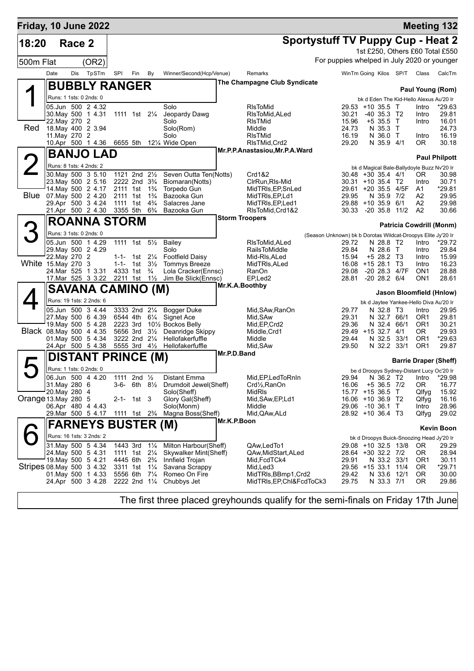| Friday, 10 June 2022       |                                     |        |                                                                                 |                                        |                           |                |                                            |                       |                                        |                                                              |                                          |                                   |                              |                                                  | <b>Meeting 132</b>              |
|----------------------------|-------------------------------------|--------|---------------------------------------------------------------------------------|----------------------------------------|---------------------------|----------------|--------------------------------------------|-----------------------|----------------------------------------|--------------------------------------------------------------|------------------------------------------|-----------------------------------|------------------------------|--------------------------------------------------|---------------------------------|
| 18:20                      |                                     | Race 2 |                                                                                 |                                        |                           |                |                                            |                       |                                        | <b>Sportystuff TV Puppy Cup - Heat 2</b>                     |                                          |                                   |                              |                                                  |                                 |
|                            |                                     |        |                                                                                 |                                        |                           |                |                                            |                       |                                        |                                                              |                                          |                                   |                              |                                                  | 1st £250, Others £60 Total £550 |
| 500m Flat                  |                                     |        | (OR2)                                                                           |                                        |                           |                |                                            |                       |                                        | For puppies whelped in July 2020 or younger                  |                                          |                                   |                              |                                                  |                                 |
|                            | Date                                | Dis    | TpSTm                                                                           | SPI                                    | Fin                       | By             | Winner/Second(Hcp/Venue)                   |                       | Remarks                                |                                                              |                                          |                                   | WinTm Going Kilos SP/T Class |                                                  | CalcTm                          |
|                            |                                     |        | <b>BUBBLY RANGER</b>                                                            |                                        |                           |                |                                            |                       | The Champagne Club Syndicate           |                                                              |                                          |                                   |                              |                                                  |                                 |
|                            | Runs: 1 1sts: 0 2nds: 0             |        |                                                                                 |                                        |                           |                |                                            |                       |                                        |                                                              |                                          |                                   |                              |                                                  | Paul Young (Rom)                |
|                            |                                     |        | 05.Jun 500 2 4.32                                                               |                                        |                           |                | Solo                                       |                       | <b>RIsToMid</b>                        |                                                              | 29.53 +10 35.5 T                         |                                   |                              | bk d Eden The Kid-Hello Alexus Au'20 Ir<br>Intro | *29.63                          |
|                            |                                     |        | 30. May 500 1 4.31                                                              | 1111 1st 21/ <sub>4</sub>              |                           |                | Jeopardy Dawg                              |                       | RIsToMid, ALed                         |                                                              | 30.21                                    | $-40$ 35.3 T <sub>2</sub>         |                              | Intro                                            | 29.81                           |
| Red                        | 22. May 270 2<br>18. May 400 2 3.94 |        |                                                                                 |                                        |                           |                | Solo<br>Solo(Rom)                          |                       | RIsTMid<br>Middle                      |                                                              | 15.96<br>24.73                           | $+535.5$ T<br>N 35.3 T            |                              | Intro                                            | 16.01<br>24.73                  |
|                            | 11. May 270 2                       |        |                                                                                 |                                        |                           |                | Solo                                       |                       | <b>RIsTMid</b>                         |                                                              | 16.19                                    | N 36.0 T                          |                              | Intro                                            | 16.19                           |
|                            |                                     |        |                                                                                 |                                        |                           |                | 10.Apr 500 1 4.36 6655 5th 121/4 Wide Open |                       | RIsTMid, Crd2                          |                                                              | 29.20                                    | N 35.9 4/1                        |                              | OR.                                              | 30.18                           |
|                            |                                     |        | <b>BANJO LAD</b>                                                                |                                        |                           |                |                                            |                       | Mr.P.P.Anastasiou, Mr.P.A. Ward        |                                                              |                                          |                                   |                              |                                                  | <b>Paul Philpott</b>            |
|                            | Runs: 8 1sts: 4 2nds: 2             |        |                                                                                 |                                        |                           |                |                                            |                       |                                        |                                                              |                                          |                                   |                              | bk d Magical Bale-Ballydoyle Buzz Nv'20 Ir       |                                 |
|                            |                                     |        | 30 May 500 3 5.10                                                               | 1121 2nd $2\frac{1}{2}$                |                           |                | Seven Outta Ten(Notts)                     |                       | Crd1&2                                 |                                                              | $30.48 + 30.35.4$ 4/1                    |                                   |                              | OR.                                              | 30.98                           |
|                            |                                     |        | 23. May 500 2 5.16<br>14. May 500 2 4.17 2111 1st 1 <sup>3</sup> / <sub>4</sub> | 2222 2nd 3 <sup>3</sup> / <sub>4</sub> |                           |                | Biomaran(Notts)<br>Torpedo Gun             |                       | CIrRun, RIs-Mid<br>MidTRIs, EP, SnLed  |                                                              | 30.31 +10 35.4 T2<br>29.61 +20 35.5 4/5F |                                   |                              | Intro<br>A1                                      | 30.71<br>*29.81                 |
|                            | Blue 07 May 500 2 4.20              |        |                                                                                 | 2111 1st                               |                           | $1\frac{3}{4}$ | Bazooka Gun                                |                       | MidTRIs, EP, Ld1                       |                                                              | 29.95                                    | N 35.9 7/2                        |                              | A2                                               | 29.95                           |
|                            |                                     |        | 29.Apr 500 3 4.24                                                               | 1111 1st                               |                           | $4\frac{3}{4}$ | Salacres Jane                              |                       | MidTRIs, EP, Led1                      |                                                              | 29.88 +10 35.9 6/1                       |                                   |                              | A2                                               | 29.98                           |
|                            |                                     |        | 21.Apr 500 2 4.30                                                               | 3355 5th                               |                           | $6\frac{3}{4}$ | Bazooka Gun                                | <b>Storm Troopers</b> | RIsToMid, Crd1&2                       |                                                              | 30.33                                    | $-20$ 35.8 11/2                   |                              | A <sub>2</sub>                                   | 30.66                           |
|                            |                                     |        | <b>ROANNA STORM</b>                                                             |                                        |                           |                |                                            |                       |                                        |                                                              |                                          |                                   |                              |                                                  | <b>Patricia Cowdrill (Monm)</b> |
|                            | Runs: 3 1sts: 0 2nds: 0             |        |                                                                                 |                                        |                           |                |                                            |                       |                                        | (Season Unknown) bk b Dorotas Wildcat-Droopys Elite Jy'20 Ir |                                          |                                   |                              |                                                  |                                 |
|                            | 05.Jun 500 1 4.29                   |        |                                                                                 |                                        | 1111 1st 51/ <sub>2</sub> |                | Bailey<br>Solo                             |                       | RIsToMid, ALed<br><b>RailsToMiddle</b> |                                                              | 29.72<br>29.84                           | N 28.8 T2                         |                              | Intro                                            | *29.72<br>29.84                 |
|                            | 29. May 500 2 4.29<br>22. May 270 2 |        |                                                                                 |                                        | 1-1- 1st $2\frac{1}{4}$   |                | <b>Footfield Daisy</b>                     |                       | Mid-RIs,ALed                           |                                                              | 15.94                                    | N 28.6 T<br>$+5$ 28.2 T3          |                              | Intro<br>Intro                                   | 15.99                           |
| White 15. May 270 3        |                                     |        |                                                                                 |                                        | 1-1- 1st                  | $3\frac{1}{2}$ | <b>Tommys Breeze</b>                       |                       | MidTRIs, ALed                          |                                                              | 16.08 +15 28.1 T3                        |                                   |                              | Intro                                            | 16.23                           |
|                            | 24. Mar 525 1 3.31                  |        | 17. Mar 525 3 3.22 2211 1st 11/2                                                |                                        | 4333 1st                  | $\frac{3}{4}$  | Lola Cracker(Ennsc)<br>Jim Be Slick(Ennsc) |                       | RanOn<br>EP,Led2                       |                                                              | 29.08<br>28.81                           | -20 28.3 4/7F<br>$-20$ 28.2 $6/4$ |                              | ON <sub>1</sub><br>ON <sub>1</sub>               | 28.88<br>28.61                  |
|                            |                                     |        | <b>SAVANA CAMINO (M)</b>                                                        |                                        |                           |                |                                            | Mr.K.A.Boothby        |                                        |                                                              |                                          |                                   |                              |                                                  |                                 |
|                            |                                     |        |                                                                                 |                                        |                           |                |                                            |                       |                                        |                                                              |                                          |                                   |                              |                                                  | Jason Bloomfield (Hnlow)        |
|                            |                                     |        | Runs: 19 1sts: 2 2nds: 6<br>05.Jun 500 3 4.44                                   |                                        | 3333 2nd 21/4             |                | <b>Bogger Duke</b>                         |                       | Mid, SAw, RanOn                        |                                                              | 29.77                                    | N 32.8 T3                         |                              | bk d Jaytee Yankee-Hello Diva Au'20 Ir<br>Intro  | 29.95                           |
|                            |                                     |        | 27. May 500 6 4.39                                                              | 6544 4th                               |                           |                | 6 <sup>1</sup> / <sub>4</sub> Signet Ace   |                       | Mid, SAw                               |                                                              | 29.31                                    | N 32.7 66/1                       |                              | OR <sub>1</sub>                                  | 29.81                           |
|                            |                                     |        | 19. May 500 5 4.28                                                              | 2223 3rd                               |                           |                | 101/ <sub>2</sub> Bockos Belly             |                       | Mid, EP, Crd2                          |                                                              | 29.36                                    | N 32.4 66/1                       |                              | OR <sub>1</sub>                                  | 30.21                           |
| Black 08. May 500 4 4.35   | 01 May 500 5 4.34                   |        |                                                                                 |                                        | 5656 3rd<br>3222 2nd 21/4 | $3\frac{1}{2}$ | Deanridge Skippy<br>Hellofakerfuffle       |                       | Middle, Crd1<br>Middle                 |                                                              | 29.49 +15 32.7 4/1<br>29.44              | N 32.5 33/1                       |                              | OR.<br>OR <sub>1</sub>                           | 29.93<br>*29.63                 |
|                            |                                     |        | 24.Apr 500 5 4.38                                                               |                                        | 5555 3rd 41/2             |                | Hellofakerfuffle                           |                       | Mid, SAw                               |                                                              | 29.50                                    | N 32.2 33/1                       |                              | OR <sub>1</sub>                                  | 29.87                           |
|                            |                                     |        | DISTANT PRINCE (M)                                                              |                                        |                           |                |                                            | Mr.P.D.Band           |                                        |                                                              |                                          |                                   |                              |                                                  |                                 |
|                            | Runs: 1 1sts: 0 2nds: 0             |        |                                                                                 |                                        |                           |                |                                            |                       |                                        |                                                              |                                          |                                   |                              |                                                  | <b>Barrie Draper (Sheff)</b>    |
|                            |                                     |        | 06.Jun 500 4 4.20                                                               | 1111 2nd 1/ <sub>2</sub>               |                           |                | Distant Emma                               |                       | Mid, EP, Led To RnIn                   |                                                              |                                          |                                   |                              | be d Droopys Sydney-Distant Lucy Oc'20 Ir        | 29.94 N 36.2 T2 Intro *29.98    |
|                            | 31. May 280 6                       |        |                                                                                 |                                        |                           |                | 3-6- 6th 81/2 Drumdoit Jewel(Sheff)        |                       | Crd1/ <sub>2</sub> , RanOn             |                                                              | 16.06                                    | $+5$ 36.5 7/2                     |                              | OR.                                              | 16.77                           |
| Orange 13.May 280 5        | 20.May 280 4                        |        |                                                                                 |                                        | $2-1-1st$ 3               |                | Solo(Sheff)<br>Glory Gal(Sheff)            |                       | MidRIs<br>Mid, SAw, EP, Ld1            |                                                              | 15.77 +15 36.5 T<br>16.06 +10 36.9 T2    |                                   |                              | Qlfyg<br>Qlfyg                                   | 15.92<br>16.16                  |
|                            | 06.Apr 480 4 4.43                   |        |                                                                                 |                                        |                           |                | Solo(Monm)                                 |                       | Middle                                 |                                                              | 29.06 -10 36.1 T                         |                                   |                              | Intro                                            | 28.96                           |
|                            |                                     |        | 29. Mar 500 5 4.17                                                              | 1111 1st 2 <sup>3</sup> / <sub>4</sub> |                           |                | Magna Boss(Sheff)                          |                       | Mid, QAw, ALd                          |                                                              | 28.92 +10 36.4 T3                        |                                   |                              | Qlfyg                                            | 29.02                           |
|                            |                                     |        | <b>FARNEYS BUSTER (M)</b>                                                       |                                        |                           |                |                                            | Mr.K.P.Boon           |                                        |                                                              |                                          |                                   |                              |                                                  | <b>Kevin Boon</b>               |
|                            |                                     |        | Runs: 16 1sts: 3 2nds: 2                                                        |                                        |                           |                |                                            |                       |                                        |                                                              |                                          |                                   |                              | bk d Droopys Buick-Snoozing Head Jy'20 Ir        |                                 |
|                            |                                     |        | 31. May 500 5 4.34                                                              |                                        | 1443 3rd 11/4             |                | Milton Harbour(Sheff)                      |                       | QAw,LedTo1                             |                                                              |                                          |                                   | 29.08 +10 32.5 13/8          | OR.                                              | 29.29                           |
|                            | 24. May 500 5 4.31                  |        |                                                                                 |                                        | 1111 1st 21/ <sub>4</sub> | $2\frac{3}{4}$ | Skywalker Mint(Sheff)<br>Innfield Trojan   |                       | QAw,MidStart,ALed                      |                                                              | 28.64 +30 32.2 7/2                       | N 33.2 33/1                       |                              | OR.                                              | 28.94                           |
| Stripes 08. May 500 3 4.32 | 19. May 500 5 4.21                  |        |                                                                                 | 4445 6th<br>3311 1st                   |                           | $1\frac{1}{4}$ | Savana Scrappy                             |                       | Mid, FcdTCk4<br>Mid, Led3              |                                                              | 29.91<br>29.56 +15 33.1 11/4             |                                   |                              | OR <sub>1</sub><br>0R                            | 30.11<br>$*29.71$               |
|                            |                                     |        | 01. May 500 1 4.33                                                              | 5556 6th                               |                           | $7\frac{1}{4}$ | Romeo On Fire                              |                       | MidTRIs, BBmp1, Crd2                   |                                                              | 29.42                                    | N 33.6 12/1                       |                              | 0R                                               | 30.00                           |
|                            |                                     |        | 24.Apr 500 3 4.28                                                               | 2222 2nd 11/4                          |                           |                | Chubbys Jet                                |                       | MidTRIs, EP, ChI&FcdToCk3              |                                                              | 29.75                                    | N 33.3 7/1                        |                              | 0R                                               | 29.86                           |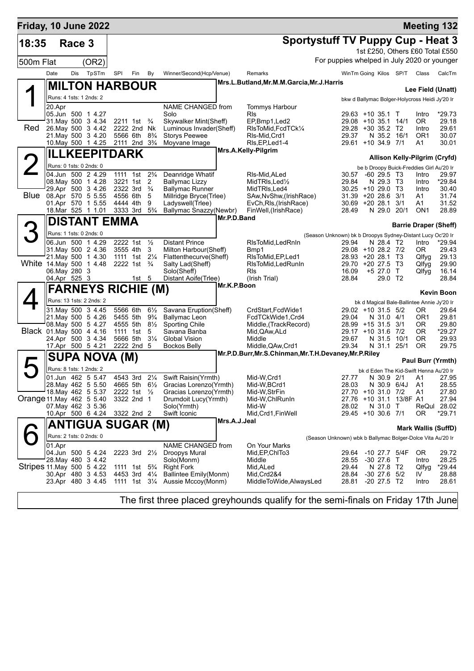| Friday, 10 June 2022       |                               |        |                                               |                                        |                                        |                     |                                                         |              |                                                           |                                                            |                                        |                         |                                                | <b>Meeting 132</b>              |
|----------------------------|-------------------------------|--------|-----------------------------------------------|----------------------------------------|----------------------------------------|---------------------|---------------------------------------------------------|--------------|-----------------------------------------------------------|------------------------------------------------------------|----------------------------------------|-------------------------|------------------------------------------------|---------------------------------|
| 18:35                      |                               | Race 3 |                                               |                                        |                                        |                     |                                                         |              | <b>Sportystuff TV Puppy Cup - Heat 3</b>                  |                                                            |                                        |                         |                                                |                                 |
|                            |                               |        |                                               |                                        |                                        |                     |                                                         |              |                                                           |                                                            |                                        |                         |                                                | 1st £250, Others £60 Total £550 |
| 500m Flat                  |                               |        | (OR2)                                         |                                        |                                        |                     |                                                         |              |                                                           | For puppies whelped in July 2020 or younger                |                                        |                         |                                                |                                 |
|                            | Date                          | Dis    | TpSTm                                         | SPI                                    | Fin                                    | By                  | Winner/Second(Hcp/Venue)                                |              | Remarks                                                   |                                                            |                                        | WinTm Going Kilos SP/T  | Class                                          | CalcTm                          |
|                            |                               |        | <b>MILTON HARBOUR</b>                         |                                        |                                        |                     |                                                         |              | Mrs.L.Butland, Mr.M.M.Garcia, Mr.J.Harris                 |                                                            |                                        |                         |                                                |                                 |
|                            |                               |        |                                               |                                        |                                        |                     |                                                         |              |                                                           |                                                            |                                        |                         |                                                | Lee Field (Unatt)               |
|                            |                               |        | Runs: 4 1sts: 1 2nds: 2                       |                                        |                                        |                     |                                                         |              |                                                           |                                                            |                                        |                         | bkw d Ballymac Bolger-Holycross Heidi Jy'20 Ir |                                 |
|                            | 20.Apr                        |        | 05.Jun 500 1 4.27                             |                                        |                                        |                     | NAME CHANGED from<br>Solo                               |              | Tommys Harbour<br><b>RIs</b>                              | 29.63 +10 35.1 T                                           |                                        |                         | Intro                                          | *29.73                          |
|                            |                               |        | 31. May 500 3 4.34                            |                                        | 2211 1st <sup>3</sup> / <sub>4</sub>   |                     | Skywalker Mint(Sheff)                                   |              | EP,Bmp1,Led2                                              | 29.08 +10 35.1 14/1                                        |                                        |                         | 0R                                             | 29.18                           |
| Red                        |                               |        | 26. May 500 3 4.42                            |                                        | 2222 2nd Nk                            |                     | Luminous Invader(Sheff)                                 |              | RIsToMid, FcdTCk1/4                                       | 29.28 +30 35.2 T2                                          |                                        |                         | Intro                                          | 29.61                           |
|                            |                               |        | 21. May 500 3 4.20<br>10. May 500 1 4.25      | 2111 2nd 3 <sup>3</sup> / <sub>4</sub> | 5566 6th 8 <sup>3</sup> / <sub>4</sub> |                     | <b>Storys Peewee</b><br>Moyvane Image                   |              | RIs-Mid, Crd1<br>RIs, EP, Led 1-4                         | 29.37<br>29.61 +10 34.9 7/1                                | N 35.2 16/1                            |                         | OR <sub>1</sub><br>A1                          | 30.07<br>30.01                  |
|                            |                               |        | <b>ILLKEEPITDARK</b>                          |                                        |                                        |                     |                                                         |              | Mrs.A.Kelly-Pilgrim                                       |                                                            |                                        |                         |                                                |                                 |
|                            |                               |        |                                               |                                        |                                        |                     |                                                         |              |                                                           |                                                            |                                        |                         |                                                | Allison Kelly-Pilgrim (Cryfd)   |
|                            |                               |        | Runs: 0 1sts: 0 2nds: 0<br>04.Jun 500 2 4.29  |                                        | 1111 1st                               | $2\frac{3}{4}$      |                                                         |              |                                                           |                                                            |                                        |                         | be b Droopy Buick-Freddies Girl Au'20 Ir       |                                 |
|                            |                               |        | 08. May 500 1 4.28                            | 3221 1st                               |                                        | $\overline{2}$      | Deanridge Whatif<br><b>Ballymac Lizzy</b>               |              | RIs-Mid, ALed<br>MidTRIs, Led <sup>1</sup> / <sub>2</sub> | 30.57<br>29.84                                             | $-60$ 29.5 T <sub>3</sub><br>N 29.3 T3 |                         | Intro<br>Intro                                 | 29.97<br>*29.84                 |
|                            |                               |        | 29.Apr 500 3 4.26                             | 2322 3rd                               |                                        | $\frac{3}{4}$       | <b>Ballymac Runner</b>                                  |              | MidTRIs, Led4                                             | $30.25 + 1029.0$ T3                                        |                                        |                         | Intro                                          | 30.40                           |
|                            |                               |        | Blue 08.Apr 570 5 5.55                        | 4556 6th                               |                                        | 5                   | Millridge Bryce(Trlee)                                  |              | SAw, NvShw, (Irish Race)                                  | $31.39 + 2028.6$<br>30.69 +20 28.1 3/1                     |                                        | 3/1                     | A1                                             | 31.74                           |
|                            |                               |        | 01.Apr 570 1 5.55<br>18.Mar 525 1 1.01        | 4444 4th<br>3333 3rd                   |                                        | 9<br>$5\frac{3}{4}$ | Ladyswell(Trlee)<br>Ballymac Snazzy(Newbr)              |              | EvCh, RIs, (Irish Race)<br>FinWell, (IrishRace)           | 28.49                                                      | N 29.0 20/1                            |                         | A1<br>ON <sub>1</sub>                          | 31.52<br>28.89                  |
|                            |                               |        | <b>DISTANT EMMA</b>                           |                                        |                                        |                     |                                                         | Mr.P.D.Band  |                                                           |                                                            |                                        |                         |                                                |                                 |
|                            |                               |        |                                               |                                        |                                        |                     |                                                         |              |                                                           |                                                            |                                        |                         |                                                | <b>Barrie Draper (Sheff)</b>    |
|                            |                               |        | Runs: 1 1sts: 0 2nds: 0                       |                                        |                                        |                     |                                                         |              |                                                           | (Season Unknown) bk b Droopys Sydney-Distant Lucy Oc'20 Ir |                                        |                         |                                                |                                 |
|                            |                               |        | 06.Jun 500 1 4.29<br>31. May 500 2 4.36       | 2222 1st<br>3555 4th                   |                                        | $\frac{1}{2}$<br>3  | <b>Distant Prince</b><br>Milton Harbour(Sheff)          |              | RIsToMid, LedRnIn<br>Bmp1                                 | 29.94<br>29.08 +10 28.2 7/2                                | N 28.4 T2                              |                         | Intro<br>OR.                                   | *29.94<br>29.43                 |
|                            |                               |        | 21. May 500 1 4.30                            |                                        | 1111 1st 21/4                          |                     | Flattenthecurve(Sheff)                                  |              | RIsToMid, EP, Led1                                        | 28.93 +20 28.1 T3                                          |                                        |                         | Qlfyg                                          | 29.13                           |
|                            |                               |        | White 14 May 500 1 4.48                       |                                        | 2222 1st <sup>3</sup> / <sub>4</sub>   |                     | Salty Lad(Sheff)                                        |              | RIsToMid, LedRunIn                                        | 29.70 +20 27.5 T3                                          |                                        |                         | Qlfyg                                          | 29.90                           |
|                            | 06. May 280 3<br>04.Apr 525 3 |        |                                               |                                        | 1st $5$                                |                     | Solo(Sheff)<br>Distant Aoife(Trlee)                     |              | <b>RIs</b><br>(Irish Trial)                               | 16.09<br>28.84                                             | $+5$ 27.0 T<br>29.0 T2                 |                         | Qlfyg                                          | 16.14<br>28.84                  |
|                            |                               |        | <b>FARNEYS RICHIE (M)</b>                     |                                        |                                        |                     |                                                         | Mr.K.P.Boon  |                                                           |                                                            |                                        |                         |                                                |                                 |
|                            |                               |        |                                               |                                        |                                        |                     |                                                         |              |                                                           |                                                            |                                        |                         |                                                | <b>Kevin Boon</b>               |
|                            |                               |        | Runs: 13 1sts: 2 2nds: 2<br>31 May 500 3 4.45 | 5566 6th                               |                                        | $6\frac{1}{2}$      | Savana Eruption(Sheff)                                  |              | CrdStart, FcdWide1                                        | 29.02 +10 31.5 5/2                                         |                                        |                         | bk d Magical Bale-Ballintee Annie Jy'20 Ir     | 29.64                           |
|                            |                               |        | 21. May 500 5 4.26                            | 5455 5th                               |                                        | $9\frac{3}{4}$      | <b>Ballymac Leon</b>                                    |              | FcdTCkWide1,Crd4                                          | 29.04                                                      | N 31.0 4/1                             |                         | 0R<br>OR1                                      | 29.81                           |
|                            |                               |        | 08. May 500 5 4.27                            |                                        | 4555 5th 81/2                          |                     | <b>Sporting Chile</b>                                   |              | Middle, (TrackRecord)                                     | 28.99 +15 31.5 3/1                                         |                                        |                         | OR.                                            | 29.80                           |
|                            |                               |        | Black 01. May 500 4 4.16<br>24.Apr 500 3 4.34 |                                        | 1111 1st<br>5666 5th                   | 5<br>$3\frac{1}{4}$ | Savana Banba<br>Global Vision                           |              | Mid, QAw, ALd<br>Middle                                   | 29.17 +10 31.6 7/2<br>29.67                                | N 31.5                                 | 10/1                    | 0R.<br>0R                                      | *29.27<br>29.93                 |
|                            |                               |        | 17.Apr 500 5 4.21                             |                                        | 2222 2nd 5                             |                     | <b>Bockos Belly</b>                                     |              | Middle, QAw, Crd1                                         | 29.34                                                      | N 31.1                                 | 25/1                    | 0R                                             | 29.75                           |
|                            |                               |        | SUPA NOVA (M)                                 |                                        |                                        |                     |                                                         |              | Mr.P.D.Burr,Mr.S.Chinman,Mr.T.H.Devaney,Mr.P.Riley        |                                                            |                                        |                         |                                                |                                 |
|                            |                               |        |                                               |                                        |                                        |                     |                                                         |              |                                                           |                                                            |                                        |                         |                                                | Paul Burr (Yrmth)               |
|                            |                               |        | Runs: 8 1sts: 1 2nds: 2<br>01.Jun 462 5 5.47  |                                        |                                        |                     | 4543 3rd 21/4 Swift Raisin(Yrmth)                       |              | Mid-W,Crd1                                                | 27.77                                                      | N 30.9 2/1                             |                         | bk d Eden The Kid-Swift Henna Au'20 Ir         |                                 |
|                            |                               |        | 28. May 462 5 5.50                            |                                        | 4665 5th 6½                            |                     | Gracias Lorenzo(Yrmth)                                  |              | Mid-W,BCrd1                                               | 28.03                                                      | N 30.9 6/4J                            |                         | <b>A1</b><br>A1                                | 27.95<br>28.55                  |
|                            |                               |        | 18 May 462 5 5.37                             |                                        | 2222 1st 1/2                           |                     | Gracias Lorenzo(Yrmth)                                  |              | Mid-W,StrFin                                              | 27.70 +10 31.0 7/2                                         |                                        |                         | A1                                             | 27.80                           |
| Orange 11 May 462 5 5.40   |                               |        | 07 May 462 3 5.36                             |                                        | 3322 2nd 1                             |                     | Drumdoit Lucy(Yrmth)                                    |              | Mid-W,ChlRunIn                                            |                                                            |                                        | 27.76 +10 31.1 13/8F A1 | ReQul                                          | 27.94<br>28.02                  |
|                            |                               |        | 10.Apr 500 6 4.24                             | 3322 2nd 2                             |                                        |                     | Solo(Yrmth)<br>Swift Iconic                             |              | Mid-W<br>Mid, Crd1, FinWell                               | 28.02<br>29.45 +10 30.6 7/1                                | N 31.0                                 | $\top$                  | 0R                                             | *29.71                          |
|                            |                               |        |                                               |                                        |                                        |                     |                                                         | Mrs.A.J.Jeal |                                                           |                                                            |                                        |                         |                                                |                                 |
|                            |                               |        | ANTIGUA SUGAR (M)                             |                                        |                                        |                     |                                                         |              |                                                           |                                                            |                                        |                         |                                                | <b>Mark Wallis (SuffD)</b>      |
|                            |                               |        | Runs: 2 1sts: 0 2nds: 0                       |                                        |                                        |                     |                                                         |              |                                                           | (Season Unknown) wbk b Ballymac Bolger-Dolce Vita Au'20 Ir |                                        |                         |                                                |                                 |
|                            | 01.Apr                        |        | 04.Jun 500 5 4.24                             |                                        | 2223 3rd                               | $2\frac{1}{2}$      | NAME CHANGED from<br>Droopys Mural                      |              | On Your Marks<br>Mid, EP, ChITo 3                         | 29.64                                                      |                                        | -10 27.7 5/4F           | OR.                                            | 29.72                           |
|                            |                               |        | 28. May 480 3 4.42                            |                                        |                                        |                     | Solo(Monm)                                              |              | Middle                                                    | 28.55                                                      | $-30$ 27.6                             | $\top$                  | Intro                                          | 28.25                           |
| Stripes 11. May 500 5 4.22 |                               |        |                                               |                                        | 1111 1st                               | $5\frac{3}{4}$      | <b>Right Fork</b>                                       |              | Mid, ALed                                                 | 29.44                                                      | N 27.8 T2                              |                         | Qlfyg                                          | $*29.44$                        |
|                            |                               |        | 30.Apr 480 3 4.53<br>23.Apr 480 3 4.45        |                                        | 4453 3rd                               | $4\frac{1}{4}$      | Ballintee Emily(Monm)<br>1111 1st 3¼ Aussie Mccoy(Monm) |              | Mid, Crd2&4<br>MiddleToWide, AlwaysLed                    | 28.84<br>28.81                                             | -30 27.6 5/2<br>-20 27.5 T2            |                         | IV.<br>Intro                                   | 28.88<br>28.61                  |
|                            |                               |        |                                               |                                        |                                        |                     |                                                         |              |                                                           |                                                            |                                        |                         |                                                |                                 |
|                            |                               |        |                                               |                                        |                                        |                     |                                                         |              |                                                           |                                                            |                                        |                         |                                                |                                 |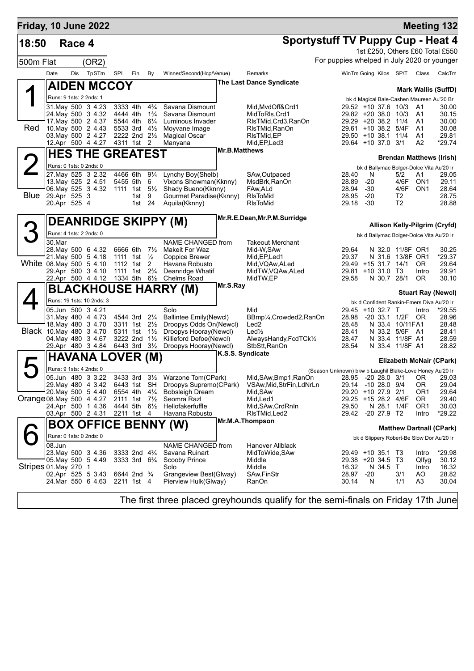| Friday, 10 June 2022      |        |              |                                               |          |                                                                            |                                  |                                                  |                      |                                           |                                                          |              |               |                                   |                        | <b>Meeting 132</b>                        |
|---------------------------|--------|--------------|-----------------------------------------------|----------|----------------------------------------------------------------------------|----------------------------------|--------------------------------------------------|----------------------|-------------------------------------------|----------------------------------------------------------|--------------|---------------|-----------------------------------|------------------------|-------------------------------------------|
| 18:50                     |        | Race 4       |                                               |          |                                                                            |                                  |                                                  |                      | <b>Sportystuff TV Puppy Cup - Heat 4</b>  |                                                          |              |               |                                   |                        |                                           |
|                           |        |              |                                               |          |                                                                            |                                  |                                                  |                      |                                           |                                                          |              |               |                                   |                        | 1st £250, Others £60 Total £550           |
| 500m Flat                 |        |              | (OR2)                                         |          |                                                                            |                                  |                                                  |                      |                                           | For puppies whelped in July 2020 or younger              |              |               |                                   |                        |                                           |
|                           | Date   | Dis          | TpSTm                                         | SPI      | Fin                                                                        | By                               | Winner/Second(Hcp/Venue)                         |                      | Remarks                                   | WinTm Going Kilos SP/T                                   |              |               |                                   | Class                  | CalcTm                                    |
|                           |        |              |                                               |          |                                                                            |                                  |                                                  |                      | <b>The Last Dance Syndicate</b>           |                                                          |              |               |                                   |                        |                                           |
|                           |        |              | <b>AIDEN MCCOY</b>                            |          |                                                                            |                                  |                                                  |                      |                                           |                                                          |              |               |                                   |                        | <b>Mark Wallis (SuffD)</b>                |
|                           |        |              | Runs: 9 1sts: 2 2nds: 1                       |          |                                                                            |                                  |                                                  |                      |                                           |                                                          |              |               |                                   |                        | bk d Magical Bale-Cashen Maureen Au'20 Br |
|                           |        |              | 31. May 500 3 4.23<br>24. May 500 3 4.32      |          | 3333 4th<br>4444 4th                                                       | $4\frac{3}{4}$<br>$1\frac{3}{4}$ | Savana Dismount<br>Savana Dismount               |                      | Mid.MvdOff&Crd1<br>MidToRIs, Crd1         | 29.52 +10 37.6 10/3<br>29.82 +20 38.0 10/3               |              |               |                                   | A1<br>A1               | 30.00<br>30.15                            |
|                           |        |              | 17. May 500 2 4.37                            |          | 5544 4th                                                                   | $6\frac{1}{4}$                   | Luminous Invader                                 |                      | RIsTMid, Crd3, RanOn                      | 29.29 +20 38.2 11/4                                      |              |               |                                   | A1                     | 30.00                                     |
| Red                       |        |              | 10. May 500 2 4.43                            |          | 5533 3rd                                                                   | $4\frac{1}{2}$                   | Moyvane Image                                    |                      | RIsTMid.RanOn                             | 29.61 +10 38.2 5/4F                                      |              |               |                                   | A1                     | 30.08                                     |
|                           |        |              | 03. May 500 2 4.27                            |          | 2222 2nd 21/2                                                              |                                  | <b>Magical Oscar</b>                             |                      | RIsTMid, EP                               | $29.50 + 10.38.1$                                        |              |               | 11/4                              | A1                     | 29.81                                     |
|                           |        |              | 12.Apr 500 4 4.27                             |          | 4311 1st 2                                                                 |                                  | Manyana                                          | <b>Mr.B.Matthews</b> | Mid, EP, Led 3                            | 29.64 +10 37.0 3/1                                       |              |               |                                   | A2                     | $*29.74$                                  |
|                           |        |              | <b>HES THE GREATEST</b>                       |          |                                                                            |                                  |                                                  |                      |                                           |                                                          |              |               |                                   |                        | <b>Brendan Matthews (Irish)</b>           |
|                           |        |              | Runs: 0 1sts: 0 2nds: 0                       |          |                                                                            |                                  |                                                  |                      |                                           |                                                          |              |               |                                   |                        | bk d Ballymac Bolger-Dolce Vita Au'20 Ir  |
|                           |        |              | 27. May 525 3 2.32                            |          | 4466 6th                                                                   | $9\frac{1}{4}$                   | Lynchy Boy(Shelb)                                |                      | SAw, Outpaced                             | 28.40                                                    | N            |               | 5/2                               | A1                     | 29.05                                     |
|                           |        |              | 13. May 525 2 4.51<br>06. May 525 3 4.32      |          | 5455 5th<br>1111 1st $5\frac{1}{2}$                                        | 6                                | Vixons Showman(Kknny)<br>Shady Bueno(Kknny)      |                      | MsdBrk, RanOn<br>FAw, ALd                 | 28.89<br>28.94                                           | $-20$<br>-30 |               | 4/6F<br>4/6F                      | ON1<br>ON <sub>1</sub> | 29.11<br>28.64                            |
| Blue                      |        | 29.Apr 525 3 |                                               |          | 1st                                                                        | 9                                | Gourmet Paradise(Kknny)                          |                      | <b>RIsToMid</b>                           | 28.95                                                    | $-20$        |               | T2                                |                        | 28.75                                     |
|                           |        | 20.Apr 525 4 |                                               |          | 1st 24                                                                     |                                  | Aquila(Kknny)                                    |                      | <b>RIsToMid</b>                           | 29.18                                                    | -30          |               | T2                                |                        | 28.88                                     |
|                           |        |              |                                               |          |                                                                            |                                  |                                                  |                      | Mr.R.E.Dean, Mr.P.M.Surridge              |                                                          |              |               |                                   |                        |                                           |
|                           |        |              |                                               |          |                                                                            |                                  | <b>DEANRIDGE SKIPPY (M)</b>                      |                      |                                           |                                                          |              |               |                                   |                        | Allison Kelly-Pilgrim (Cryfd)             |
|                           |        |              | Runs: 4 1sts: 2 2nds: 0                       |          |                                                                            |                                  |                                                  |                      |                                           |                                                          |              |               |                                   |                        | bk d Ballymac Bolger-Dolce Vita Au'20 Ir  |
|                           | 30.Mar |              |                                               |          |                                                                            |                                  | NAME CHANGED from                                |                      | Takeout Merchant                          |                                                          |              |               |                                   |                        |                                           |
|                           |        |              | 28. May 500 6 4.32                            | 6666 6th |                                                                            | $7\frac{1}{2}$                   | <b>Makeit For Waz</b>                            |                      | Mid-W,SAw                                 | 29.64                                                    |              |               | N 32.0 11/8F OR1                  |                        | 30.25                                     |
|                           |        |              | 21 May 500 5 4.18<br>White 08 May 500 5 4.10  |          | 1111 1st $\frac{1}{2}$                                                     |                                  | Coppice Brewer                                   |                      | Mid, EP, Led1                             | 29.37                                                    |              |               | N 31.6 13/8F OR1                  | OR.                    | *29.37                                    |
|                           |        |              | 29.Apr 500 3 4.10                             |          | 1112 1st<br>1111 1st 2 <sup>3</sup> / <sub>4</sub>                         | 2                                | Havana Robusto<br>Deanridge Whatif               |                      | Mid, VQAw, ALed<br>MidTW, VQAw, ALed      | 29.49 +15 31.7 14/1<br>29.81                             |              | $+10$ 31.0 T3 |                                   | Intro                  | 29.64<br>29.91                            |
|                           |        |              | 22.Apr 500 4 4.12 1334 5th 61/2               |          |                                                                            |                                  | Chelms Road                                      |                      | MidTW,EP                                  | 29.58                                                    |              | N 30.7 28/1   |                                   | <b>OR</b>              | 30.10                                     |
|                           |        |              |                                               |          |                                                                            |                                  | BLACKHOUSE HARRY (M)                             | Mr.S.Ray             |                                           |                                                          |              |               |                                   |                        | <b>Stuart Ray (Newcl)</b>                 |
|                           |        |              | Runs: 19 1sts: 10 2nds: 3                     |          |                                                                            |                                  |                                                  |                      |                                           |                                                          |              |               |                                   |                        | bk d Confident Rankin-Emers Diva Au'20 Ir |
|                           |        |              | 05.Jun 500 3 4.21                             |          |                                                                            |                                  | Solo                                             |                      | Mid                                       | 29.45                                                    |              | +10 32.7 T    |                                   | Intro                  | $*29.55$                                  |
|                           |        |              | 31 May 480 4 4.73                             |          | 4544 3rd                                                                   | $2\frac{1}{4}$                   | <b>Ballintee Emily(Newcl)</b>                    |                      | BBmp1/ <sub>4</sub> , Crowded2, RanOn     | 28.98                                                    |              |               | -20 33.1 1/2F OR                  |                        | 28.96                                     |
|                           |        |              | 18. May 480 3 4.70                            |          | 3311 1st 21/ <sub>2</sub>                                                  |                                  | Droopys Odds On(Newcl)                           |                      | Led <sub>2</sub>                          | 28.48                                                    |              |               | N 33.4 10/11 FA1                  |                        | 28.48                                     |
|                           |        |              | Black 10. May 480 3 4.70<br>04 May 480 3 4.67 |          | 5311 1st<br>3222 2nd 11/2                                                  | $1\frac{1}{2}$                   | Droopys Hooray(Newcl)<br>Killieford Defoe(Newcl) |                      | $Led\frac{1}{2}$<br>AlwaysHandy,FcdTCk1/2 | 28.41<br>28.47                                           |              |               | N 33.2 5/6F A1<br>N 33.4 11/8F A1 |                        | 28.41<br>28.59                            |
|                           |        |              | 29.Apr 480 3 4.84                             |          | 6443 3rd                                                                   | $3\frac{1}{2}$                   | Droopys Hooray(Newcl)                            |                      | StbStt.RanOn                              | 28.54                                                    |              |               | N 33.4 11/8F A1                   |                        | 28.82                                     |
|                           |        |              | <b>HAVANA LOVER (M)</b>                       |          |                                                                            |                                  |                                                  |                      | K.S.S. Syndicate                          |                                                          |              |               |                                   |                        |                                           |
|                           |        |              |                                               |          |                                                                            |                                  |                                                  |                      |                                           |                                                          |              |               |                                   |                        | Elizabeth McNair (CPark)                  |
|                           |        |              | Runs: 9 1sts: 4 2nds: 0<br>05.Jun 480 3 3.22  |          |                                                                            |                                  | 3433 3rd 31/2 Warzone Tom(CPark)                 |                      | Mid, SAw, Bmp1, RanOn                     | (Season Unknown) bkw b Laughil Blake-Love Honey Au'20 Ir |              |               |                                   |                        | 28.95 -20 28.0 3/1 OR 29.03               |
|                           |        |              | 29. May 480 4 3.42                            |          |                                                                            |                                  | 6443 1st SH Droopys Supremo(CPark)               |                      | VSAw, Mid, StrFin, LdNrLn                 | 29.14 -10 28.0 9/4                                       |              |               |                                   | 0R                     | 29.04                                     |
|                           |        |              | 20. May 500 5 4.40                            |          |                                                                            |                                  | 6554 4th 4¼ Bobsleigh Dream                      |                      | Mid, SAw                                  | 29.20 +10 27.9 2/1                                       |              |               |                                   | OR1                    | 29.64                                     |
| Orange 08. May 500 4 4.27 |        |              |                                               |          | 2111 1st $7\frac{1}{2}$                                                    |                                  | Seomra Razl                                      |                      | Mid,Led1                                  | 29.25 +15 28.2 4/6F                                      |              |               |                                   | 0R                     | 29.40                                     |
|                           |        |              | 24.Apr 500 1 4.36<br>03.Apr 500 2 4.31        |          | 4444 5th                                                                   |                                  | 6½ Hellofakerfuffle<br>Havana Robusto            |                      | Mid, SAw, CrdRnIn<br>RIsTMid, Led 2       | 29.50<br>29.42 -20 27.9 T2                               |              | N 28.1        | 1/4F                              | OR1<br>Intro           | 30.03<br>$*29.22$                         |
|                           |        |              |                                               |          | 2211 1st 4                                                                 |                                  |                                                  |                      | Mr.M.A.Thompson                           |                                                          |              |               |                                   |                        |                                           |
|                           |        |              |                                               |          |                                                                            |                                  | <b>BOX OFFICE BENNY (W)</b>                      |                      |                                           |                                                          |              |               |                                   |                        | <b>Matthew Dartnall (CPark)</b>           |
|                           |        |              | Runs: 0 1sts: 0 2nds: 0                       |          |                                                                            |                                  |                                                  |                      |                                           |                                                          |              |               |                                   |                        | bk d Slippery Robert-Be Slow Dor Au'20 Ir |
|                           | 08.Jun |              |                                               |          |                                                                            |                                  | NAME CHANGED from                                |                      | Hanover Allblack                          |                                                          |              |               |                                   |                        |                                           |
|                           |        |              | 23. May 500 3 4.36<br>05 May 500 5 4.49       |          | 3333 2nd 4 <sup>3</sup> / <sub>4</sub><br>$3333 \text{ 3rd } 6\frac{3}{4}$ |                                  | Savana Ruinart<br>Scooby Prince                  |                      | MidToWide, SAw<br>Middle                  | 29.49 +10 35.1 T3<br>29.38 +20 34.5 T3                   |              |               |                                   | Intro<br>Qlfyg         | *29.98<br>30.12                           |
| Stripes 01. May 270 1     |        |              |                                               |          |                                                                            |                                  | Solo                                             |                      | Middle                                    | 16.32                                                    |              | N 34.5 T      |                                   | Intro                  | 16.32                                     |
|                           |        |              | 02.Apr 525 5 3.43                             |          | 6644 2nd <sup>3</sup> / <sub>4</sub>                                       |                                  | Grangeview Best(Glway)                           |                      | SAw, FinStr                               | 28.97                                                    | $-20$        |               | 3/1                               | AO.                    | 28.82                                     |
|                           |        |              | 24. Mar 550 6 4.63 2211 1st 4                 |          |                                                                            |                                  | Pierview Hulk(Glway)                             |                      | RanOn                                     | 30.14                                                    | N            |               | 1/1                               | A3                     | 30.04                                     |
|                           |        |              |                                               |          |                                                                            |                                  |                                                  |                      |                                           |                                                          |              |               |                                   |                        |                                           |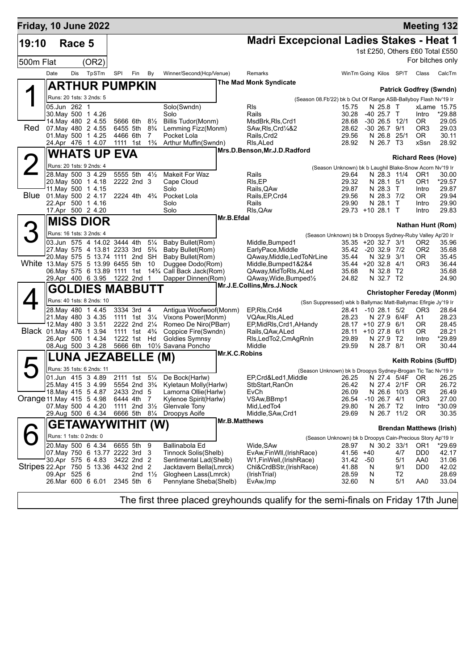| Friday, 10 June 2022                  |              |        |                                                                    |            |                                                         |                         |                                                                        |               |                                                       |                                                                                 |          |                               |                        |                                    | <b>Meeting 132</b>                                  |
|---------------------------------------|--------------|--------|--------------------------------------------------------------------|------------|---------------------------------------------------------|-------------------------|------------------------------------------------------------------------|---------------|-------------------------------------------------------|---------------------------------------------------------------------------------|----------|-------------------------------|------------------------|------------------------------------|-----------------------------------------------------|
| 19:10                                 |              | Race 5 |                                                                    |            |                                                         |                         |                                                                        |               | <b>Madri Excepcional Ladies Stakes - Heat 1</b>       |                                                                                 |          |                               |                        |                                    |                                                     |
|                                       |              |        |                                                                    |            |                                                         |                         |                                                                        |               |                                                       |                                                                                 |          |                               |                        |                                    | 1st £250, Others £60 Total £550<br>For bitches only |
| 500m Flat                             |              |        | (OR2)                                                              |            |                                                         |                         |                                                                        |               |                                                       |                                                                                 |          |                               |                        |                                    |                                                     |
|                                       | Date         | Dis    | TpSTm                                                              | SPI        | Fin                                                     | By                      | Winner/Second(Hcp/Venue)                                               |               | Remarks<br><b>The Mad Monk Syndicate</b>              |                                                                                 |          |                               | WinTm Going Kilos SP/T | Class                              | CalcTm                                              |
|                                       |              |        | <b>ARTHUR PUMPKIN</b>                                              |            |                                                         |                         |                                                                        |               |                                                       |                                                                                 |          |                               |                        |                                    | <b>Patrick Godfrey (Swndn)</b>                      |
|                                       |              |        | Runs: 20 1sts: 3 2nds: 5                                           |            |                                                         |                         |                                                                        |               |                                                       | (Season 08.Fb'22) bk b Out Of Range ASB-Ballyboy Flash Nv'19 Ir                 |          |                               |                        |                                    |                                                     |
|                                       | 05.Jun 262 1 |        | 30. May 500 1 4.26                                                 |            |                                                         |                         | Solo(Swndn)<br>Solo                                                    |               | <b>RIs</b><br>Rails                                   | 15.75<br>30.28                                                                  |          | N 25.8<br>$-40$ 25.7 T        | $\top$                 | Intro                              | xLame 15.75<br>*29.88                               |
|                                       |              |        | 14. May 480 2 4.55                                                 |            | 5666 6th                                                | $8\frac{1}{2}$          | Billis Tudor(Monm)                                                     |               | MsdBrk, RIs, Crd1                                     | 28.68                                                                           |          | $-30$ 26.5 12/1               |                        | OR.                                | 29.05                                               |
| Red                                   |              |        | 07 May 480 2 4.55<br>01. May 500 1 4.25                            |            | 6455 5th<br>4466 6th                                    | $8\frac{3}{4}$<br>7     | Lemming Fizz(Monm)<br>Pocket Lola                                      |               | SAw, RIs, Crd <sup>1</sup> /4&2<br>Rails, Crd2        | 28.62<br>29.56                                                                  |          | $-30$ 26.7 $9/1$<br>N 26.8    | 25/1                   | OR <sub>3</sub><br>OR.             | 29.03<br>30.11                                      |
|                                       |              |        | 24.Apr 476 1 4.07                                                  |            | 1111 1st                                                | $1\frac{3}{4}$          | Arthur Muffin(Swndn)                                                   |               | RIs, ALed                                             | 28.92                                                                           |          | N 26.7 T3                     |                        | xSsn                               | 28.92                                               |
|                                       |              |        | <b>WHATS UP</b>                                                    | <b>EVA</b> |                                                         |                         |                                                                        |               | Mrs.D.Benson,Mr.J.D.Radford                           |                                                                                 |          |                               |                        |                                    | <b>Richard Rees (Hove)</b>                          |
|                                       |              |        | Runs: 20 1sts: 9 2nds: 4                                           |            |                                                         |                         |                                                                        |               |                                                       | (Season Unknown) bk b Laughil Blake-Snow Acorn Nv'19 Ir                         |          |                               |                        |                                    |                                                     |
|                                       |              |        | 28. May 500 3 4.29                                                 |            | 5555 5th                                                | $4\frac{1}{2}$          | <b>Makeit For Waz</b>                                                  |               | Rails                                                 | 29.64                                                                           |          | N 28.3 11/4                   |                        | OR <sub>1</sub>                    | 30.00                                               |
|                                       |              |        | 20. May 500 1 4.18<br>11 May 500 1 4.15                            |            | 2222 2nd 3                                              |                         | Cape Cloud<br>Solo                                                     |               | RIs, EP<br>Rails, QAw                                 | 29.32<br>29.87                                                                  |          | N 28.1 5/1<br>N 28.3          | $\top$                 | OR <sub>1</sub><br>Intro           | *29.57<br>29.87                                     |
|                                       |              |        | Blue 01 May 500 2 4.17                                             |            | 2224 4th                                                | $4\frac{3}{4}$          | Pocket Lola                                                            |               | Rails, EP, Crd4                                       | 29.56                                                                           |          | N 28.3 7/2                    |                        | OR.                                | 29.94                                               |
|                                       |              |        | 22.Apr 500 1 4.16<br>17.Apr 500 2 4.20                             |            |                                                         |                         | Solo<br>Solo                                                           |               | Rails<br>RIs, QAw                                     | 29.90<br>29.73 +10 28.1 T                                                       |          | N 28.1 T                      |                        | Intro<br>Intro                     | 29.90<br>29.83                                      |
|                                       |              |        |                                                                    |            |                                                         |                         |                                                                        | Mr.B.Efdal    |                                                       |                                                                                 |          |                               |                        |                                    |                                                     |
|                                       |              |        | <b>MISS DIOR</b>                                                   |            |                                                         |                         |                                                                        |               |                                                       |                                                                                 |          |                               |                        |                                    | <b>Nathan Hunt (Rom)</b>                            |
|                                       |              |        | Runs: 16 1sts: 3 2nds: 4<br>03.Jun 575 4 14.02 3444 4th            |            |                                                         | $5\frac{1}{4}$          | Baby Bullet(Rom)                                                       |               | Middle, Bumped1                                       | (Season Unknown) bk b Droopys Sydney-Ruby Valley Ap'20 Ir<br>35.35 +20 32.7 3/1 |          |                               |                        |                                    | 35.96                                               |
|                                       |              |        | 27. May 575 4 13.81 2233 3rd                                       |            |                                                         | $5\frac{3}{4}$          | Baby Bullet(Rom)                                                       |               | EarlyPace, Middle                                     | 35.42                                                                           |          | $-20$ 32.9 $7/2$              |                        | OR <sub>2</sub><br>OR <sub>2</sub> | 35.68                                               |
|                                       |              |        | 20. May 575 5 13.74 1111 2nd SH                                    |            |                                                         |                         | Baby Bullet(Rom)                                                       |               | QAway, Middle, Led ToNrLine                           | 35.44                                                                           |          | N 32.9                        | 3/1                    | 0R                                 | 35.45                                               |
|                                       |              |        | White 13. May 575 5 13.99 6455 5th<br>06. May 575 6 13.89 1111 1st |            |                                                         | 10                      | Duggee Dodo(Rom)<br>14 <sup>3</sup> / <sub>4</sub> Call Back Jack(Rom) |               | Middle, Bumped 1&2&4<br>QAway, MidToRIs, ALed         | 35.44 +20 32.8<br>35.68                                                         |          | N 32.8                        | 4/1<br>T <sub>2</sub>  | OR <sub>3</sub>                    | 36.44<br>35.68                                      |
|                                       |              |        | 29.Apr 400 6 3.95 1222 2nd                                         |            |                                                         | $\overline{\mathbf{1}}$ | Dapper Dinnen(Rom)                                                     |               | QAway, Wide, Bumped <sup>1</sup> / <sub>2</sub>       | 24.82                                                                           |          | N 32.7 T2                     |                        |                                    | 24.90                                               |
|                                       |              |        | GOLDIES MABBUTT                                                    |            |                                                         |                         |                                                                        |               | Mr.J.E.Collins, Mrs.J.Nock                            |                                                                                 |          |                               |                        |                                    | <b>Christopher Fereday (Monm)</b>                   |
|                                       |              |        | Runs: 40 1sts: 8 2nds: 10                                          |            |                                                         |                         |                                                                        |               |                                                       | (Ssn Suppressed) wbk b Ballymac Matt-Ballymac Efirgie Jy'19 Ir                  |          |                               |                        |                                    |                                                     |
|                                       |              |        | 28. May 480 1 4.45                                                 |            | 3334 3rd                                                | $\overline{4}$          | Antigua Woofwoof(Monm)                                                 |               | EP, RIs, Crd4                                         | 28.41                                                                           |          | $-10$ 28.1 $5/2$              |                        | OR <sub>3</sub>                    | 28.64                                               |
|                                       |              |        | 21. May 480 3 4.35<br>12. May 480 3 3.51                           |            | 1111 1st<br>2222 2nd 21/4                               | $3\frac{1}{4}$          | Vixons Power(Monm)<br>Romeo De Niro(PBarr)                             |               | VQAw, RIs, ALed<br>EP, MidRIs, Crd1, AHandy           | 28.23<br>28.17 +10 27.9 6/1                                                     |          | N 27.9 6/4F                   |                        | A1<br>OR.                          | 28.23<br>28.45                                      |
| Black 01.May 476                      |              |        | 1 3.94                                                             |            | 1111 1st                                                | $4\frac{3}{4}$          | Coppice Fire(Swndn)                                                    |               | Rails, QAw, ALed                                      | 28.11                                                                           |          | $+1027.8$                     | 6/1                    | 0R                                 | 28.21                                               |
|                                       |              |        | 26.Apr 500 1 4.34                                                  |            | 1222 1st Hd                                             |                         | Goldies Symnsy<br>101/ <sub>2</sub> Savana Poncho                      |               | RIs, Led To 2, Cm Ag Rn In                            | 29.89                                                                           |          | N 27.9 T2                     |                        | Intro                              | *29.89                                              |
|                                       |              |        | 08.Aug 500 3 4.28                                                  |            | 5666 6th                                                |                         |                                                                        | Mr.K.C.Robins | Middle                                                | 29.59                                                                           |          | N 28.7 8/1                    |                        | 0R                                 | 30.44                                               |
|                                       |              |        | LUNA JEZABELLE (M)                                                 |            |                                                         |                         |                                                                        |               |                                                       |                                                                                 |          |                               |                        |                                    | Keith Robins (SuffD)                                |
|                                       |              |        | Runs: 35 1sts: 6 2nds: 11                                          |            |                                                         |                         |                                                                        |               |                                                       | (Season Unknown) bk b Droopys Sydney-Brogan Tic Tac Nv'19 Ir                    |          |                               |                        |                                    |                                                     |
|                                       |              |        | 01.Jun 415 3 4.89<br>25 May 415 3 4.99                             |            | 2111 1st 51/4<br>5554 2nd 3 <sup>3</sup> / <sub>4</sub> |                         | De Bock(Harlw)<br>Kyletaun Molly(Harlw)                                |               | EP,Crd&Led1,Middle<br>StbStart, RanOn                 | 26.25<br>26.42                                                                  |          | N 27.4<br>N 27.4              | 5/4F<br>2/1F           | 0R<br>0R                           | 26.25<br>26.72                                      |
|                                       |              |        | 18. May 415 5 4.87                                                 |            | 2433 2nd 5                                              |                         | Lamorna Ollie(Harlw)                                                   |               | EvCh                                                  | 26.09                                                                           |          | N 26.6 10/3                   |                        | 0R                                 | 26.49                                               |
| Orange 11 May 415 5 4.98              |              |        | 07. May 500 4 4.20                                                 |            | 6444 4th 7<br>1111 2nd 31/ <sub>2</sub>                 |                         | Kylenoe Spirit(Harlw)<br>Glenvale Tony                                 |               | VSAw, BBmp1<br>Mid, LedTo4                            | 26.54<br>29.80                                                                  |          | $-10$ 26.7 $4/1$<br>N 26.7 T2 |                        | OR <sub>3</sub><br>Intro           | 27.00<br>*30.09                                     |
|                                       |              |        | 29.Aug 500 6 4.34                                                  |            | 6666 5th 81/4                                           |                         | Droopys Aoife                                                          |               | Middle, SAw, Crd1                                     | 29.69                                                                           |          | N 26.7 11/2                   |                        | 0R                                 | 30.35                                               |
|                                       |              |        | GETAWAYWITHIT (W)                                                  |            |                                                         |                         |                                                                        | Mr.B.Matthews |                                                       |                                                                                 |          |                               |                        |                                    |                                                     |
|                                       |              |        | Runs: 1 1sts: 0 2nds: 0                                            |            |                                                         |                         |                                                                        |               |                                                       | (Season Unknown) bk b Droopys Cain-Precious Story Ap'19 Ir                      |          |                               |                        |                                    | <b>Brendan Matthews (Irish)</b>                     |
|                                       |              |        | 20. May 500 6 4.34                                                 |            | 6655 5th                                                | - 9                     | Ballinabola Ed                                                         |               | Wide, SAw                                             | 28.97                                                                           |          | N 30.2 33/1                   |                        | OR <sub>1</sub>                    | *29.69                                              |
|                                       |              |        | 07. May 750 6 13.77 2222 3rd 3                                     |            |                                                         |                         | Tinnock Solis(Shelb)                                                   |               | EvAw, FinWll, (Irish Race)                            | 41.56                                                                           | +40      |                               | 4/7                    | DD <sub>0</sub>                    | 42.17                                               |
| Stripes 22.Apr 750 5 13.36 4432 2nd 2 |              |        | 30.Apr 575 6 4.83                                                  |            | 3422 2nd 2                                              |                         | Sentimental Lad(Shelb)<br>Jacktavern Bella(Lmrck)                      |               | W1, Fin Well, (Irish Race)<br>Chl&CrdBStr.(IrishRace) | 31.42<br>41.88                                                                  | -50<br>N |                               | 5/1<br>9/1             | AA0<br>DD <sub>0</sub>             | 31.06<br>42.02                                      |
|                                       | 09.Apr 525 6 |        |                                                                    |            |                                                         | 2nd $1\frac{1}{2}$      | Glogheen Lass(Lmrck)                                                   |               | (IrishTrial)                                          | 28.59                                                                           | N        |                               | T <sub>2</sub>         |                                    | 28.69                                               |
|                                       |              |        | 26.Mar 600 6 6.01                                                  |            | 2345 5th 6                                              |                         | Pennylane Sheba(Shelb)                                                 |               | EvAw, Imp                                             | 32.60                                                                           | N        |                               | 5/1                    | AA0                                | 33.04                                               |
|                                       |              |        |                                                                    |            |                                                         |                         |                                                                        |               |                                                       |                                                                                 |          |                               |                        |                                    |                                                     |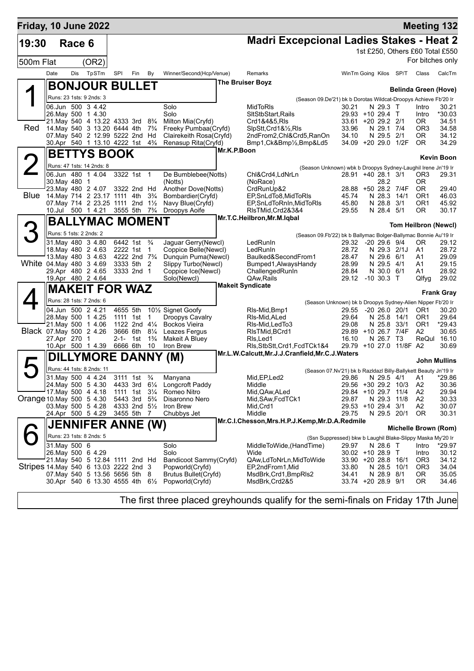| Friday, 10 June 2022                   |                         |        |                                                                 |                                        |                           |                                  |                                                 |             |                                                                                        |                              |                           |                         |                                    | <b>Meeting 132</b>              |
|----------------------------------------|-------------------------|--------|-----------------------------------------------------------------|----------------------------------------|---------------------------|----------------------------------|-------------------------------------------------|-------------|----------------------------------------------------------------------------------------|------------------------------|---------------------------|-------------------------|------------------------------------|---------------------------------|
| 19:30                                  |                         | Race 6 |                                                                 |                                        |                           |                                  |                                                 |             | <b>Madri Excepcional Ladies Stakes - Heat 2</b>                                        |                              |                           |                         |                                    |                                 |
|                                        |                         |        |                                                                 |                                        |                           |                                  |                                                 |             |                                                                                        |                              |                           |                         |                                    | 1st £250, Others £60 Total £550 |
| 500m Flat                              |                         |        | (OR2)                                                           |                                        |                           |                                  |                                                 |             |                                                                                        |                              |                           |                         |                                    | For bitches only                |
|                                        | Date                    | Dis    | TpSTm                                                           | SPI                                    | Fin                       | By                               | Winner/Second(Hcp/Venue)                        |             | Remarks                                                                                | WinTm Going Kilos SP/T       |                           |                         | Class                              | CalcTm                          |
|                                        |                         |        | <b>BONJOUR BULLET</b>                                           |                                        |                           |                                  |                                                 |             | <b>The Bruiser Boyz</b>                                                                |                              |                           |                         |                                    |                                 |
|                                        |                         |        | Runs: 23 1sts: 9 2nds: 3                                        |                                        |                           |                                  |                                                 |             |                                                                                        |                              |                           |                         | <b>Belinda Green (Hove)</b>        |                                 |
|                                        |                         |        | 06.Jun 500 3 4.42                                               |                                        |                           |                                  | Solo                                            |             | (Season 09.De'21) bk b Dorotas Wildcat-Droopys Achieve Fb'20 Ir<br>MidToRIs            | 30.21                        | N 29.3 T                  |                         | Intro                              | 30.21                           |
|                                        | 26. May 500 1 4.30      |        |                                                                 |                                        |                           |                                  | Solo                                            |             | SItStbStart, Rails                                                                     | 29.93 +10 29.4 T             |                           |                         | Intro                              | *30.03                          |
|                                        |                         |        | 21. May 540 4 13.22 4333 3rd 8 <sup>3</sup> / <sub>4</sub>      |                                        |                           |                                  | Milton Mia(Cryfd)                               |             | Crd1&4&5,RIs                                                                           | 33.61 +20 29.2 2/1           |                           |                         | OR.                                | 34.51                           |
| Red                                    |                         |        | 14. May 540 3 13.20 6444 4th<br>07. May 540 2 12.99 5222 2nd Hd |                                        |                           | $7\frac{3}{4}$                   | Freeky Pumbaa(Cryfd)<br>Clairekeith Rosa(Cryfd) |             | SlpStt, Crd1&1/2, RIs<br>2ndFrom2, Chl&Crd5, RanOn                                     | 33.96<br>34.10               | N 29.1 7/4<br>N 29.5 2/1  |                         | OR <sub>3</sub><br>0R              | 34.58<br>34.12                  |
|                                        |                         |        | 30.Apr 540 1 13.10 4222 1st                                     |                                        |                           | $4\frac{3}{4}$                   | Renasup Rita(Cryfd)                             |             | Bmp1, Ck&Bmp1/2, Bmp&Ld5                                                               | 34.09 +20 29.0 1/2F          |                           |                         | 0R                                 | 34.29                           |
|                                        |                         |        | <b>BETTYS BOOK</b>                                              |                                        |                           |                                  |                                                 | Mr.K.P.Boon |                                                                                        |                              |                           |                         |                                    |                                 |
|                                        |                         |        |                                                                 |                                        |                           |                                  |                                                 |             |                                                                                        |                              |                           |                         |                                    | <b>Kevin Boon</b>               |
|                                        | 06.Jun 480              |        | Runs: 47 1sts: 14 2nds: 8<br>1 4.04                             |                                        | 3322 1st 1                |                                  | De Bumblebee(Notts)                             |             | (Season Unknown) wbk b Droopys Sydney-Laughil Irene Jn'19 Ir<br>Chl&Crd4,LdNrLn        | 28.91 +40 28.1 3/1           |                           |                         | OR <sub>3</sub>                    | 29.31                           |
|                                        | 30. May 480             |        | -1                                                              |                                        |                           |                                  | (Notts)                                         |             | (NoRace)                                                                               |                              | 28.2                      |                         | 0R                                 |                                 |
|                                        |                         |        | 23. May 480 2 4.07                                              | 3322 2nd Hd                            |                           |                                  | Another Dove(Notts)                             |             | CrdRunUp&2                                                                             | 28.88 +50 28.2 7/4F          |                           |                         | 0R                                 | 29.40                           |
| Blue                                   |                         |        | 14. May 714 2 23.17 1111 4th<br>07. May 714 2 23. 25 1111 2nd   |                                        |                           | $3\frac{3}{4}$<br>$1\frac{1}{2}$ | Bombardier(Cryfd)<br>Navy Blue(Cryfd)           |             | EP, SnLdTo8, MidToRIs<br>EP, SnLdToRnIn, MidToRIs                                      | 45.74<br>45.80               | N 28.3 14/1<br>N 28.8 3/1 |                         | OR <sub>1</sub><br>OR <sub>1</sub> | 46.03<br>45.92                  |
|                                        |                         |        | 10.Jul 500 1 4.21                                               | 3555 5th                               |                           | $7\frac{3}{4}$                   | Droopys Aoife                                   |             | RIsTMid, Crd2&3&4                                                                      | 29.55                        | N 28.4 5/1                |                         | <b>OR</b>                          | 30.17                           |
|                                        |                         |        | <b>BALLYMAC MOMENT</b>                                          |                                        |                           |                                  |                                                 |             | Mr.T.C.Heilbron,Mr.M.Iqbal                                                             |                              |                           |                         |                                    |                                 |
|                                        | Runs: 5 1sts: 2 2nds: 2 |        |                                                                 |                                        |                           |                                  |                                                 |             |                                                                                        |                              |                           |                         | <b>Tom Heilbron (Newcl)</b>        |                                 |
|                                        |                         |        | 31. May 480 3 4.80                                              | 6442 1st                               |                           | $\frac{3}{4}$                    | Jaguar Gerry(Newcl)                             |             | (Season 09.Fb'22) bk b Ballymac Bolger-Ballymac Bonnie Au'19 Ir<br>LedRunIn            | 29.32 -20 29.6 9/4           |                           |                         | 0R                                 | 29.12                           |
|                                        |                         |        | 18. May 480 2 4.63                                              | 2222 1st 1                             |                           |                                  | Coppice Belle(Newcl)                            |             | LedRunIn                                                                               | 28.72                        | N 29.3 2/1J               |                         | A1                                 | 28.72                           |
|                                        |                         |        | 13. May 480 3 4.63                                              | 4222 2nd 7 <sup>3</sup> / <sub>4</sub> |                           |                                  | Dunquin Puma(Newcl)                             |             | Baulked&SecondFrom1                                                                    | 28.47                        | N 29.6 6/1                |                         | A1                                 | 29.09                           |
| White 04. May 480 3 4.69               | 29.Apr 480 2 4.65       |        |                                                                 |                                        | 3333 5th 2<br>3333 2nd 1  |                                  | Slippy Turbo(Newcl)<br>Coppice Ice(Newcl)       |             | Bumped1, Always Handy<br>ChallengedRunIn                                               | 28.99<br>28.84               | N 29.5 4/1<br>N 30.0 6/1  |                         | A1<br>A1                           | 29.15<br>28.92                  |
|                                        |                         |        | 19.Apr 480 2 4.64                                               |                                        |                           |                                  | Solo(Newcl)                                     |             | QAw, Rails                                                                             | 29.12 -10 30.3 T             |                           |                         | Qlfyg                              | 29.02                           |
|                                        |                         |        | <b>MAKEIT FOR WAZ</b>                                           |                                        |                           |                                  |                                                 |             | <b>Makeit Syndicate</b>                                                                |                              |                           |                         |                                    |                                 |
|                                        |                         |        | Runs: 28 1sts: 7 2nds: 6                                        |                                        |                           |                                  |                                                 |             |                                                                                        |                              |                           |                         |                                    | <b>Frank Gray</b>               |
|                                        |                         |        | 04.Jun 500 2 4.21                                               |                                        | 4655 5th                  |                                  | 10 <sup>1</sup> / <sub>2</sub> Signet Goofy     |             | (Season Unknown) bk b Droopys Sydney-Alien Nipper Fb'20 Ir<br>RIs-Mid, Bmp1            | 29.55                        | -20 26.0 20/1             |                         | OR1                                | 30.20                           |
|                                        | 28. May 500 1 4.25      |        |                                                                 |                                        | 1111 1st 1                |                                  | Droopys Cavalry                                 |             | RIs-Mid, ALed                                                                          | 29.64                        | N 25.8 14/1               |                         | OR <sub>1</sub>                    | 29.64                           |
|                                        | 21. May 500 1 4.06      |        |                                                                 |                                        | 1122 2nd 41/4             |                                  | <b>Bockos Vieira</b>                            |             | RIs-Mid, Led To 3                                                                      | 29.08                        | N 25.8                    | 33/1                    | OR <sub>1</sub>                    | $*29.43$                        |
| Black 07. May 500 2 4.26               | 27.Apr 270              |        | $\mathbf 1$                                                     |                                        | 3666 6th 81/4<br>2-1- 1st | $1\frac{3}{4}$                   | Leazes Fergus<br>Makeit A Bluey                 |             | RIsTMid, BCrd1<br>RIs, Led1                                                            | 29.89 +10 26.7 7/4F<br>16.10 | N 26.7                    | T3                      | A2<br>ReQul                        | 30.65<br>16.10                  |
|                                        |                         |        | 10.Apr 500 1 4.39                                               | 6666 6th                               |                           | 10                               | Iron Brew                                       |             | RIs, StbStt, Crd1, FcdTCk1&4                                                           |                              |                           | 29.79 +10 27.0 11/8F A2 |                                    | 30.69                           |
|                                        |                         |        | DILLYMORE DANNY (M)                                             |                                        |                           |                                  |                                                 |             | Mr.L.W.Calcutt, Mr.J.J.Cranfield, Mr.C.J.Waters                                        |                              |                           |                         |                                    |                                 |
|                                        |                         |        | Runs: 44 1sts: 8 2nds: 11                                       |                                        |                           |                                  |                                                 |             |                                                                                        |                              |                           |                         |                                    | John Mullins                    |
|                                        |                         |        | 31. May 500 4 4.24                                              | 3111 1st                               |                           | $\frac{3}{4}$                    | Manyana                                         |             | (Season 07.Nv'21) bk b Razldazl Billy-Ballykett Beauty Jn'19 Ir<br>Mid, EP, Led2       | 29.86                        | N 29.5 4/1                |                         | A1                                 | 29.86                           |
|                                        | 24. May 500 5 4.30      |        |                                                                 |                                        | 4433 3rd                  | $6\frac{1}{4}$                   | Longcroft Paddy                                 |             | Middle                                                                                 | 29.56 +30 29.2 10/3          |                           |                         | A2                                 | 30.36                           |
|                                        | 17 May 500 4 4.18       |        |                                                                 |                                        | 1111 1st                  | $3\frac{1}{4}$                   | Romeo Nitro                                     |             | Mid, QAw, ALed                                                                         | 29.84 +10 29.7               |                           | 11/4                    | A <sub>2</sub>                     | 29.94                           |
| Orange 10 May 500 5 4.30               | 03. May 500 5 4.28      |        |                                                                 | 5443 3rd<br>4333 2nd 51/2              |                           | $5\frac{3}{4}$                   | Disaronno Nero<br>Iron Brew                     |             | Mid, SAw, FcdTCk1<br>Mid, Crd1                                                         | 29.87<br>29.53 +10 29.4 3/1  | N 29.3                    | 11/8                    | A2<br>A2                           | 30.33<br>30.07                  |
|                                        | 24.Apr 500 5 4.29       |        |                                                                 | 3455 5th 7                             |                           |                                  | Chubbys Jet                                     |             | Middle                                                                                 | 29.75                        | N 29.5 20/1               |                         | 0R                                 | 30.31                           |
|                                        |                         |        | <b>JENNIFER ANNE (W)</b>                                        |                                        |                           |                                  |                                                 |             | Mr.C.I.Chesson, Mrs.H.P.J.Kemp, Mr.D.A.Redmile                                         |                              |                           |                         |                                    |                                 |
|                                        |                         |        | Runs: 23 1sts: 8 2nds: 5                                        |                                        |                           |                                  |                                                 |             |                                                                                        |                              |                           |                         | Michelle Brown (Rom)               |                                 |
|                                        | 31. May 500 6           |        |                                                                 |                                        |                           |                                  | Solo                                            |             | (Ssn Suppressed) bkw b Laughil Blake-Slippy Maska My'20 Ir<br>MiddleToWide, (HandTime) | 29.97                        | N 28.6 T                  |                         | Intro                              | *29.97                          |
|                                        | 26. May 500 6 4.29      |        |                                                                 |                                        |                           |                                  | Solo                                            |             | Wide                                                                                   | 30.02 +10 28.9 T             |                           |                         | Intro                              | 30.12                           |
|                                        |                         |        | 21. May 540 5 12.84 1111 2nd Hd                                 |                                        |                           |                                  | Bandicoot Sammy(Cryfd)                          |             | QAw,LdToNrLn,MidToWide                                                                 | 33.90 +20 28.8 16/1          |                           |                         | OR <sub>3</sub>                    | 34.12                           |
| Stripes 14. May 540 6 13.03 2222 2nd 3 |                         |        | 07. May 540 5 13.56 5656 5th 8                                  |                                        |                           |                                  | Popworld(Cryfd)<br><b>Brutus Bullet(Cryfd)</b>  |             | EP,2ndFrom1,Mid<br>MsdBrk, Crd1, BmpRIs2                                               | 33.80<br>34.41               | N 28.5<br>N 28.9 8/1      | 10/1                    | OR <sub>3</sub><br>0R              | 34.04<br>35.05                  |
|                                        |                         |        | 30.Apr 540 6 13.30 4555 4th $6\frac{1}{2}$                      |                                        |                           |                                  | Popworld(Cryfd)                                 |             | MsdBrk, Crd2&5                                                                         | 33.74 +20 28.9 9/1           |                           |                         | 0R                                 | 34.46                           |
|                                        |                         |        |                                                                 |                                        |                           |                                  |                                                 |             |                                                                                        |                              |                           |                         |                                    |                                 |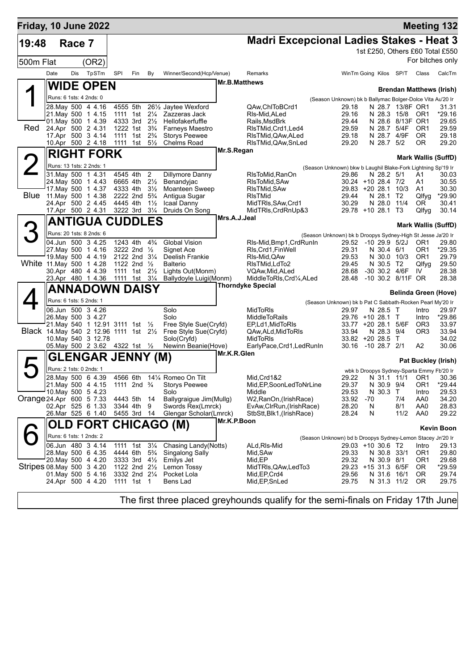| Friday, 10 June 2022                    |                         |        |                                  |          |                                                    |                                  |                                              |               |                                                       |                                                                                    |            |                            |                   |                                                  | <b>Meeting 132</b>              |
|-----------------------------------------|-------------------------|--------|----------------------------------|----------|----------------------------------------------------|----------------------------------|----------------------------------------------|---------------|-------------------------------------------------------|------------------------------------------------------------------------------------|------------|----------------------------|-------------------|--------------------------------------------------|---------------------------------|
| 19:48                                   |                         | Race 7 |                                  |          |                                                    |                                  |                                              |               | <b>Madri Excepcional Ladies Stakes - Heat 3</b>       |                                                                                    |            |                            |                   |                                                  |                                 |
|                                         |                         |        |                                  |          |                                                    |                                  |                                              |               |                                                       |                                                                                    |            |                            |                   |                                                  | 1st £250, Others £60 Total £550 |
| 500m Flat                               |                         |        | (OR2)                            |          |                                                    |                                  |                                              |               |                                                       |                                                                                    |            |                            |                   |                                                  | For bitches only                |
|                                         | Date                    | Dis    | TpSTm                            | SPI      | Fin                                                | By                               | Winner/Second(Hcp/Venue)                     |               | Remarks                                               | WinTm Going Kilos SP/T                                                             |            |                            |                   | Class                                            | CalcTm                          |
|                                         |                         |        | <b>WIDE OPEN</b>                 |          |                                                    |                                  |                                              | Mr.B.Matthews |                                                       |                                                                                    |            |                            |                   |                                                  |                                 |
|                                         | Runs: 6 1sts: 4 2nds: 0 |        |                                  |          |                                                    |                                  |                                              |               |                                                       |                                                                                    |            |                            |                   |                                                  | Brendan Matthews (Irish)        |
|                                         |                         |        | 28. May 500 4 4.16               |          | 4555 5th                                           |                                  | 261/2 Jaytee Wexford                         |               | QAw,ChIToBCrd1                                        | (Season Unknown) bk b Ballymac Bolger-Dolce Vita Au'20 Ir<br>29.18                 |            |                            | N 28.7 13/8F OR1  |                                                  | 31.31                           |
|                                         |                         |        | 21.May 500 1 4.15                |          | 1111 1st                                           | $2\frac{1}{4}$                   | Zazzeras Jack                                |               | RIs-Mid.ALed                                          | 29.16                                                                              |            | N 28.3 15/8                |                   | OR <sub>1</sub>                                  | *29.16                          |
|                                         |                         |        | 01. May 500 1 4.39               |          | 4333 3rd                                           | $2\frac{1}{2}$                   | Hellofakerfuffle                             |               | Rails, MsdBrk                                         | 29.44                                                                              |            |                            | N 28.6 8/13F OR1  |                                                  | 29.65                           |
| Red                                     | 24.Apr 500 2 4.31       |        | 17 Apr 500 3 4.14                |          | 1222 1st<br>1111 1st                               | $3\frac{3}{4}$<br>$2\frac{3}{4}$ | Farneys Maestro<br>Storys Peewee             |               | RIsTMid, Crd1, Led4<br>RIsTMid, QAw, ALed             | 29.59<br>29.18                                                                     |            | N 28.7<br>N 28.7           | 5/4F<br>4/9F      | OR <sub>1</sub><br><b>OR</b>                     | 29.59<br>29.18                  |
|                                         |                         |        | 10.Apr 500 2 4.18                |          | 1111 1st                                           | $5\frac{1}{2}$                   | Chelms Road                                  |               | RIsTMid, QAw, SnLed                                   | 29.20                                                                              |            | N 28.7                     | 5/2               | 0R                                               | 29.20                           |
|                                         |                         |        | <b>RIGHT FORK</b>                |          |                                                    |                                  |                                              | Mr.S.Regan    |                                                       |                                                                                    |            |                            |                   |                                                  |                                 |
|                                         |                         |        | Runs: 13 1sts: 2 2nds: 1         |          |                                                    |                                  |                                              |               |                                                       |                                                                                    |            |                            |                   |                                                  | <b>Mark Wallis (SuffD)</b>      |
|                                         |                         |        | 31. May 500 1 4.31               |          | 4545 4th                                           | $\overline{c}$                   | Dillymore Danny                              |               | RIsToMid, RanOn                                       | (Season Unknown) bkw b Laughil Blake-Fork Lightning Sp'19 Ir<br>29.86              |            | N 28.2 5/1                 |                   | A1                                               | 30.03                           |
|                                         |                         |        | 24. May 500 1 4.43               |          | 6665 4th                                           | $2\frac{1}{2}$                   | Benandyjac                                   |               | RIsToMid, SAw                                         | 30.24 +10 28.4 7/2                                                                 |            |                            |                   | A1                                               | 30.55                           |
|                                         |                         |        | 17. May 500 1 4.37               |          | 4333 4th                                           | $3\frac{1}{2}$                   | Moanteen Sweep                               |               | RIsTMid, SAw                                          | 29.83 +20 28.1                                                                     |            |                            | 10/3              | A1                                               | 30.30                           |
| Blue                                    | 11. May 500 1 4.38      |        | 24.Apr 500 2 4.45                |          | 2222 2nd 5 <sup>3</sup> / <sub>4</sub><br>4445 4th | $1\frac{1}{2}$                   | Antigua Sugar<br>Icaal Danny                 |               | <b>RIsTMid</b><br>MidTRIs, SAw, Crd1                  | 29.44<br>30.29                                                                     |            | N 28.1 T2<br>N 28.0        | 11/4              | Qlfyg<br>0R                                      | *29.90<br>30.41                 |
|                                         |                         |        | 17.Apr 500 2 4.31                |          | 3222 3rd                                           | $3\frac{1}{4}$                   | Druids On Song                               |               | MidTRIs, CrdRnUp&3                                    | 29.78 +10 28.1                                                                     |            |                            | ТЗ                | Qlfyg                                            | 30.14                           |
|                                         |                         |        | <b>ANTIGUA CUDDLES</b>           |          |                                                    |                                  |                                              | Mrs.A.J.Jeal  |                                                       |                                                                                    |            |                            |                   |                                                  |                                 |
|                                         |                         |        | Runs: 20 1sts: 8 2nds: 6         |          |                                                    |                                  |                                              |               |                                                       |                                                                                    |            |                            |                   |                                                  | <b>Mark Wallis (SuffD)</b>      |
|                                         |                         |        | 04.Jun 500 3 4.25                |          | 1243 4th                                           | $4\frac{3}{4}$                   | <b>Global Vision</b>                         |               | RIs-Mid, Bmp1, CrdRunIn                               | (Season Unknown) bk b Droopys Sydney-High St Jesse Ja'20 Ir<br>29.52 -10 29.9 5/2J |            |                            |                   | OR <sub>1</sub>                                  | 29.80                           |
|                                         |                         |        | 27. May 500 1 4.16               |          | 3222 2nd 1/2                                       |                                  | Signet Ace                                   |               | RIs, Crd1, FinWell                                    | 29.31                                                                              |            | N 30.4 6/1                 |                   | OR <sub>1</sub>                                  | *29.35                          |
|                                         |                         |        | 19. May 500 4 4.19               |          | 2122 2nd 31/4                                      |                                  | Deelish Frankie                              |               | RIs-Mid, QAw                                          | 29.53                                                                              |            | N 30.0 10/3                |                   | OR <sub>1</sub>                                  | 29.79                           |
| White 11. May 500 1 4.28                |                         |        | 30.Apr 480 4 4.39                |          | 1122 2nd 1/2<br>1111 1st                           | $2\frac{1}{2}$                   | <b>Balterio</b><br>Lights Out(Monm)          |               | RIsTMid, LdTo2<br>VQAw, Mid, ALed                     | 29.45<br>28.68                                                                     |            | N 30.5 T2<br>-30 30.2 4/6F |                   | Qlfyq<br>IV                                      | 29.50<br>28.38                  |
|                                         |                         |        | 23.Apr 480 1 4.36                |          | 1111 1st                                           | $3\frac{1}{4}$                   | Ballydoyle Luigi(Monm)                       |               | MiddleToRIs, Crd1/4, ALed                             | 28.48                                                                              |            |                            | -10 30.2 8/11F OR |                                                  | 28.38                           |
|                                         |                         |        | ANNADOWN DAISY                   |          |                                                    |                                  |                                              |               | <b>Thorndyke Special</b>                              |                                                                                    |            |                            |                   |                                                  |                                 |
|                                         | Runs: 6 1sts: 5 2nds: 1 |        |                                  |          |                                                    |                                  |                                              |               |                                                       |                                                                                    |            |                            |                   |                                                  | <b>Belinda Green (Hove)</b>     |
|                                         |                         |        | 06.Jun 500 3 4.26                |          |                                                    |                                  | Solo                                         |               | MidToRIs                                              | (Season Unknown) bk b Pat C Sabbath-Rocken Pearl My'20 Ir<br>29.97                 |            | N 28.5 T                   |                   | Intro                                            | 29.97                           |
|                                         |                         |        | 26. May 500 3 4.27               |          |                                                    |                                  | Solo                                         |               | <b>MiddleToRails</b>                                  | 29.76 +10 28.1 T                                                                   |            |                            |                   | Intro                                            | *29.86                          |
|                                         |                         |        | 21. May 540 1 12.91 3111 1st 1/2 |          |                                                    |                                  | Free Style Sue(Cryfd)                        |               | EP,Ld1,MidToRIs                                       | 33.77                                                                              |            | +20 28.1                   | 5/6F              | OR <sub>3</sub>                                  | 33.97                           |
| Black 14. May 540 2 12.96 1111 1st 21/2 |                         |        | 10. May 540 3 12.78              |          |                                                    |                                  | Free Style Sue(Cryfd)<br>Solo(Cryfd)         |               | QAw, ALd, MidToRIs<br><b>MidToRIs</b>                 | 33.94<br>33.82 +20 28.5                                                            |            | N 28.3 9/4                 | T                 | OR3                                              | 33.94<br>34.02                  |
|                                         |                         |        | 05. May 500 2 3.62 4322 1st 1/2  |          |                                                    |                                  | Newinn Beanie(Hove)                          |               | EarlyPace, Crd1, LedRunIn                             | 30.16                                                                              |            | $-1028.721$                |                   | A2                                               | 30.06                           |
|                                         |                         |        | <b>GLENGAR JENNY (M)</b>         |          |                                                    |                                  |                                              | Mr.K.R.Glen   |                                                       |                                                                                    |            |                            |                   |                                                  |                                 |
|                                         | Runs: 2 1sts: 0 2nds: 1 |        |                                  |          |                                                    |                                  |                                              |               |                                                       |                                                                                    |            |                            |                   |                                                  | <b>Pat Buckley (Irish)</b>      |
|                                         |                         |        | 28. May 500 6 4.39               |          |                                                    |                                  | 4566 6th 141/4 Romeo On Tilt                 |               | Mid, Crd1&2                                           | 29.22                                                                              |            | N 31.1                     | - 11/1            | wbk b Droopys Sydney-Sparta Emmy Fb'20 Ir<br>OR1 | 30.36                           |
|                                         |                         |        | 21. May 500 4 4.15               |          | 1111 2nd $\frac{3}{4}$                             |                                  | <b>Storys Peewee</b>                         |               | Mid, EP, SoonLedToNrLine                              | 29.37                                                                              |            | N 30.9 9/4                 |                   | OR <sub>1</sub>                                  | $*29.44$                        |
|                                         |                         |        | 10. May 500 5 4.23               | 4443 5th |                                                    |                                  | Solo                                         |               | Middle                                                | 29.53                                                                              |            | N 30.3                     | T                 | Intro                                            | 29.53                           |
| Orange 24 Apr 600 5 7.33                |                         |        | 02.Apr 525 6 1.33                |          | 3344 4th                                           | 14<br>9                          | Ballygraigue Jim(Mullg)<br>Swords Rex(Lmrck) |               | W2, RanOn, (Irish Race)<br>EvAw, ClrRun, (Irish Race) | 33.92<br>28.20                                                                     | $-70$<br>N |                            | 7/4<br>8/1        | AA0<br>AA0                                       | 34.20<br>28.83                  |
|                                         |                         |        | 26.Mar 525 6 1.40                |          | 5455 3rd                                           | - 14                             | Glengar Scholar(Lmrck)                       |               | StbStt, Blk1, (Irish Race)                            | 28.24                                                                              | N          |                            | 11/2              | AA0                                              | 29.22                           |
|                                         |                         |        |                                  |          |                                                    |                                  | OLD FORT CHICAGO (M)                         | Mr.K.P.Boon   |                                                       |                                                                                    |            |                            |                   |                                                  |                                 |
|                                         | Runs: 6 1sts: 1 2nds: 2 |        |                                  |          |                                                    |                                  |                                              |               |                                                       |                                                                                    |            |                            |                   |                                                  | <b>Kevin Boon</b>               |
|                                         |                         |        | 06.Jun 480 3 4.14                |          | 1111 1st 31/4                                      |                                  | Chasing Landy(Notts)                         |               | ALd, RIs-Mid                                          | (Season Unknown) bd b Droopys Sydney-Lemon Stacey Jn'20 Ir<br>29.03 +10 30.6 T2    |            |                            |                   | Intro                                            | 29.13                           |
|                                         |                         |        | 28. May 500 6 4.35               |          | 4444 6th 5 <sup>3</sup> / <sub>4</sub>             |                                  | <b>Singalong Sally</b>                       |               | Mid, SAw                                              | 29.33                                                                              |            | N 30.8 33/1                |                   | OR <sub>1</sub>                                  | 29.80                           |
|                                         |                         |        | 20. May 500 4 4.20               |          | 3333 3rd 41/ <sub>2</sub>                          |                                  | Emilys Jet                                   |               | Mid, EP                                               | 29.32                                                                              |            | N 30.9 8/1                 |                   | OR1                                              | 29.68                           |
| Stripes 08 May 500 3 4.20               |                         |        | 01. May 500 5 4.16               |          | 1122 2nd 21/ <sub>2</sub><br>3332 2nd 21/4         |                                  | Lemon Tossy<br>Pocket Lola                   |               | MidTRIs, QAw, Led To 3<br>Mid, EP, Crd4               | 29.23 +15 31.3 6/5F<br>29.56                                                       |            | N 31.6 16/1                |                   | OR.<br>0R                                        | $*29.59$<br>29.74               |
|                                         |                         |        | 24.Apr 500 4 4.20                |          | 1111 1st 1                                         |                                  | Bens Lad                                     |               | Mid, EP, SnLed                                        | 29.75                                                                              |            | N 31.3 11/2                |                   | OR.                                              | 29.75                           |
|                                         |                         |        |                                  |          |                                                    |                                  |                                              |               |                                                       |                                                                                    |            |                            |                   |                                                  |                                 |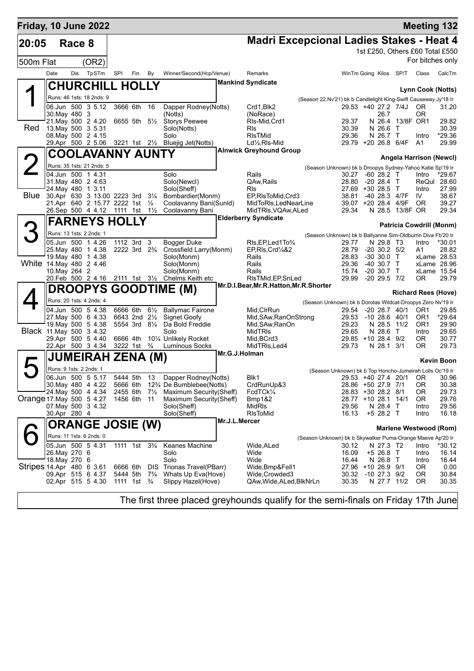| Friday, 10 June 2022      |               |        |                                               |                                        |     |                |                                                            |               |                                                             |                                                                 |                                              |                              |                        |                                 | <b>Meeting 132</b> |
|---------------------------|---------------|--------|-----------------------------------------------|----------------------------------------|-----|----------------|------------------------------------------------------------|---------------|-------------------------------------------------------------|-----------------------------------------------------------------|----------------------------------------------|------------------------------|------------------------|---------------------------------|--------------------|
| 20:05                     |               | Race 8 |                                               |                                        |     |                |                                                            |               | <b>Madri Excepcional Ladies Stakes - Heat 4</b>             |                                                                 |                                              |                              |                        |                                 |                    |
|                           |               |        |                                               |                                        |     |                |                                                            |               |                                                             |                                                                 |                                              |                              |                        | 1st £250, Others £60 Total £550 |                    |
| 500m Flat                 |               |        | (OR2)                                         |                                        |     |                |                                                            |               |                                                             |                                                                 |                                              |                              |                        | For bitches only                |                    |
|                           | Date          |        | Dis TpSTm                                     | SPI                                    | Fin | By             | Winner/Second(Hcp/Venue)                                   |               | Remarks                                                     |                                                                 |                                              |                              | WinTm Going Kilos SP/T | Class                           | CalcTm             |
|                           |               |        |                                               |                                        |     |                |                                                            |               | <b>Mankind Syndicate</b>                                    |                                                                 |                                              |                              |                        |                                 |                    |
|                           |               |        | <b>CHURCHILL HOLLY</b>                        |                                        |     |                |                                                            |               |                                                             |                                                                 |                                              |                              |                        | Lynn Cook (Notts)               |                    |
|                           |               |        | Runs: 46 1sts: 18 2nds: 9                     |                                        |     |                |                                                            |               |                                                             | (Season 22.Nv'21) bk b Candlelight King-Swift Causeway Jy'18 Ir |                                              |                              |                        |                                 |                    |
|                           |               |        | 06.Jun 500 3 5.12                             | 3666 6th                               |     | 16             | Dapper Rodney(Notts)                                       |               | Crd1, Blk2                                                  |                                                                 | 29.53 +40 27.2 7/4J                          |                              |                        | OR.                             | 31.20              |
|                           | 30. May 480 3 |        | 21. May 500 2 4.20                            | 6655 5th 5½                            |     |                | (Notts)<br>Storys Peewee                                   |               | (NoRace)<br>RIs-Mid, Crd1                                   |                                                                 | 29.37                                        | 26.7                         | N 26.4 13/8F OR1       | 0R                              | 29.82              |
| Red                       |               |        | 13. May 500 3 5.31                            |                                        |     |                | Solo(Notts)                                                |               | Rls                                                         |                                                                 | 30.39                                        | $N$ 26.6                     | $\top$                 |                                 | 30.39              |
|                           |               |        | 08. May 500 2 4.15                            |                                        |     |                | Solo                                                       |               | <b>RIsTMid</b>                                              |                                                                 | 29.36                                        | N 26.7 T                     |                        | Intro                           | *29.36             |
|                           |               |        |                                               |                                        |     |                | 29.Apr 500 2 5.06 3221 1st 21/2 Bluejig Jet(Notts)         |               | $Ld\frac{1}{2}$ , RIs-Mid<br><b>Alnwick Greyhound Group</b> |                                                                 | 29.79 +20 26.8 6/4F                          |                              |                        | - A1                            | 29.99              |
|                           |               |        | <b>COOLAVANNY AUNTY</b>                       |                                        |     |                |                                                            |               |                                                             |                                                                 |                                              |                              |                        | Angela Harrison (Newcl)         |                    |
|                           |               |        | Runs: 35 1sts: 21 2nds: 5                     |                                        |     |                |                                                            |               |                                                             | (Season Unknown) bk b Droopys Sydney-Yahoo Katie Sp'19 Ir       |                                              |                              |                        |                                 |                    |
|                           |               |        | 04.Jun 500 1 4.31                             |                                        |     |                | Solo                                                       |               | Rails                                                       |                                                                 | 30.27                                        | $-6028.2$ T                  |                        | Intro                           | *29.67             |
|                           |               |        | 31. May 480 2 4.63<br>24.Mav 480 1 3.11       |                                        |     |                | Solo(Newcl)                                                |               | QAw, Rails<br><b>RIs</b>                                    |                                                                 | 28.80<br>27.69 +30 28.5 T                    | $-20$ 28.4 T                 |                        | ReQul 28.60                     | 27.99              |
| Blue                      |               |        | 30.Apr 630 3 13.00 2223 3rd 31/4              |                                        |     |                | Solo(Sheff)<br>Bombardier(Monm)                            |               | EP, RIsToMid, Crd3                                          |                                                                 | 38.81                                        | -40 28.3 4/7F                |                        | Intro<br>IV.                    | 38.67              |
|                           |               |        | 21.Apr 640 2 15.77 2222 1st 1/2               |                                        |     |                | Coolavanny Bani(Sunld)                                     |               | MidToRIs, LedNearLine                                       |                                                                 | 39.07 +20 28.4 4/9F                          |                              |                        | OR.                             | 39.27              |
|                           |               |        | 26. Sep 500 4 4.12 1111 1st 11/2              |                                        |     |                | Coolavanny Bani                                            |               | MidTRIs, VQAw, ALed                                         |                                                                 | 29.34                                        |                              | N 28.5 13/8F OR        |                                 | 29.34              |
|                           |               |        | <b>FARNEYS HOLLY</b>                          |                                        |     |                |                                                            |               | <b>Elderberry Syndicate</b>                                 |                                                                 |                                              |                              |                        | <b>Patricia Cowdrill (Monm)</b> |                    |
|                           |               |        | Runs: 13 1sts: 2 2nds: 1                      |                                        |     |                |                                                            |               |                                                             | (Season Unknown) bk b Ballyanne Sim-Oldburrin Diva Fb'20 Ir     |                                              |                              |                        |                                 |                    |
|                           |               |        | 05.Jun 500 1 4.26                             | 1112 3rd 3                             |     |                | <b>Bogger Duke</b>                                         |               | RIs, EP, Led 1 To 3/4                                       |                                                                 | 29.77                                        | N 29.8 T3                    |                        | Intro                           | *30.01             |
|                           |               |        | 25. May 480 1 4.38                            | 2222 3rd 2 <sup>3</sup> / <sub>4</sub> |     |                | Crossfield Larry(Monm)                                     |               | EP, RIs, Crd <sup>1</sup> /4&2                              |                                                                 | 28.79                                        | $-20$ 30.2 $5/2$             |                        | A1                              | 28.82              |
|                           |               |        | 19 May 480 1 4.38                             |                                        |     |                | Solo(Monm)                                                 |               | Rails                                                       |                                                                 | 28.83                                        | $-30,30.0$ T                 |                        | xLame 28.53                     |                    |
| White 14 May 480 2 4.46   | 10. May 264 2 |        |                                               |                                        |     |                | Solo(Monm)<br>Solo(Monm)                                   |               | Rails<br>Rails                                              |                                                                 | 29.36<br>15.74                               | $-40$ 30.7 T<br>$-20$ 30.7 T |                        | xLame 28.96<br>xLame 15.54      |                    |
|                           |               |        |                                               |                                        |     |                | 20. Feb 500 2 4.16 2111 1st 31/2 Chelms Keith etc          |               | RIsTMid, EP, SnLed                                          |                                                                 | 29.99                                        | $-20$ 29.5 $7/2$             |                        | 0R                              | 29.79              |
|                           |               |        | <b>DROOPYS</b>                                |                                        |     |                | <b>GOODTIME (M)</b>                                        |               | Mr.D.I.Bear, Mr.R.Hatton, Mr.R.Shorter                      |                                                                 |                                              |                              |                        |                                 |                    |
|                           |               |        |                                               |                                        |     |                |                                                            |               |                                                             |                                                                 |                                              |                              |                        | <b>Richard Rees (Hove)</b>      |                    |
|                           |               |        | Runs: 20 1sts: 4 2nds: 4<br>04.Jun 500 5 4.38 |                                        |     |                |                                                            |               |                                                             | (Season Unknown) bk b Dorotas Wildcat-Droopys Zero Nv'19 Ir     |                                              |                              |                        |                                 |                    |
|                           |               |        | 27. May 500 6 4.33                            | 6643 2nd 21/ <sub>2</sub>              |     |                | 6666 6th 61/ <sub>2</sub> Ballymac Fairone<br>Signet Goofy |               | Mid, CIrRun<br>Mid, SAw, RanOnStrong                        |                                                                 | 29.54 -20 28.7 40/1<br>29.53 -10 28.6 40/1   |                              |                        | OR1<br>OR <sub>1</sub>          | 29.85<br>*29.64    |
|                           |               |        | 19. May 500 5 4.38                            | 5554 3rd 81/4                          |     |                | Da Bold Freddie                                            |               | Mid, SAw, RanOn                                             |                                                                 | 29.23                                        | N 28.5                       | 11/2                   | OR <sub>1</sub>                 | 29.90              |
| Black 11 May 500 3 4.32   |               |        |                                               |                                        |     |                | Solo                                                       |               | <b>MidTRIs</b>                                              |                                                                 | 29.65                                        | N 28.6 T                     |                        | Intro                           | 29.65              |
|                           |               |        | 29.Apr 500 5 4.40<br>22.Apr 500 3 4.34        | 6666 4th<br>3222 1st $\frac{3}{4}$     |     |                | 101/4 Unlikely Rocket<br><b>Luminous Socks</b>             |               | Mid, BCrd3<br>MidTRIs.Led4                                  |                                                                 | 29.85 +10 28.4 9/2<br>29.73                  | N 28.1 3/1                   |                        | OR.<br>OR.                      | 30.77<br>29.73     |
|                           |               |        |                                               |                                        |     |                |                                                            | Mr.G.J.Holman |                                                             |                                                                 |                                              |                              |                        |                                 |                    |
|                           |               |        | <b>JUMEIRAH ZENA (M)</b>                      |                                        |     |                |                                                            |               |                                                             |                                                                 |                                              |                              |                        |                                 | <b>Kevin Boon</b>  |
|                           |               |        | Runs: 9 1sts: 2 2nds: 1                       |                                        |     |                |                                                            |               |                                                             | (Season Unknown) bk b Top Honcho-Jumeirah Lolls Oc'19 Ir        |                                              |                              |                        |                                 |                    |
|                           |               |        | 06.Jun 500 5 5.17<br>30. May 480 4 4.22       | 5444 5th                               |     |                | 13 Dapper Rodney(Notts)<br>12% De Bumblebee(Notts)         |               | Blk1                                                        |                                                                 | 29.53 +40 27.4 20/1 OR<br>28.86 +50 27.9 7/1 |                              |                        |                                 | 30.96              |
|                           |               |        | 24. May 500 4 4.34                            | 5666 6th<br>2455 6th                   |     | $7\frac{1}{2}$ | Maximum Security(Sheff)                                    |               | CrdRunUp&3<br>FcdTCk¼                                       |                                                                 | 28.83 +30 28.2 8/1                           |                              |                        | 0R<br>OR                        | 30.38<br>29.73     |
| Orange 17 May 500 5 4.27  |               |        |                                               | 1456 6th 11                            |     |                | Maximum Security(Sheff)                                    |               | Bmp1&2                                                      |                                                                 | 28.77 +10 28.1 14/1                          |                              |                        | 0R                              | 29.76              |
|                           |               |        | 07 May 500 3 4.32                             |                                        |     |                | Solo(Sheff)                                                |               | MidRIs                                                      |                                                                 | 29.56                                        | N 28.4 T                     |                        | Intro                           | 29.56              |
|                           | 30.Apr 280 4  |        |                                               |                                        |     |                | Solo(Sheff)                                                | Mr.J.L.Mercer | RIsToMid                                                    |                                                                 | 16.13                                        | +5 28.2 T                    |                        | Intro                           | 16.18              |
|                           |               |        | <b>ORANGE JOSIE (W)</b>                       |                                        |     |                |                                                            |               |                                                             |                                                                 |                                              |                              |                        | <b>Marlene Westwood (Rom)</b>   |                    |
|                           |               |        | Runs: 11 1sts: 6 2nds: 0                      |                                        |     |                |                                                            |               |                                                             | (Season Unknown) bk b Skywalker Puma-Orange Maeve Ap'20 Ir      |                                              |                              |                        |                                 |                    |
|                           |               |        | 05.Jun 500 5 4.31                             | 1111 1st 3 <sup>3</sup> / <sub>4</sub> |     |                | Keanes Machine                                             |               | Wide,ALed                                                   |                                                                 | 30.12                                        | N 27.3 T2                    |                        | Intro                           | *30.12             |
|                           | 26. May 270 6 |        |                                               |                                        |     |                | Solo                                                       |               | Wide                                                        |                                                                 | 16.09                                        | +5 26.8 T                    |                        | Intro                           | 16.14              |
| Stripes 14.Apr 480 6 3.61 | 18.May 270 6  |        |                                               | 6666 6th                               |     | <b>DIS</b>     | Solo<br>Trionas Travel(PBarr)                              |               | Wide<br>Wide, Bmp&Fell1                                     |                                                                 | 16.44<br>27.96 +10 26.9 9/1                  | N 26.8                       | $\top$                 | Intro<br>0R                     | 16.44<br>0.00      |
|                           |               |        | 09.Apr 515 6 4.37                             | 5444 5th                               |     | $7\frac{3}{4}$ | Whats Up Eva(Hove)                                         |               | Wide,Crowded3                                               |                                                                 | 30.32                                        | $-10$ 27.3 $9/2$             |                        | 0R                              | 30.84              |
|                           |               |        | 02.Apr 515 5 4.30                             | 1111 1st $\frac{3}{4}$                 |     |                | Slippy Hazel(Hove)                                         |               | QAw,Wide,ALed,BlkNrLn                                       |                                                                 | 30.35                                        | N 27.7 11/2                  |                        | 0R                              | 30.35              |
|                           |               |        |                                               |                                        |     |                |                                                            |               |                                                             |                                                                 |                                              |                              |                        |                                 |                    |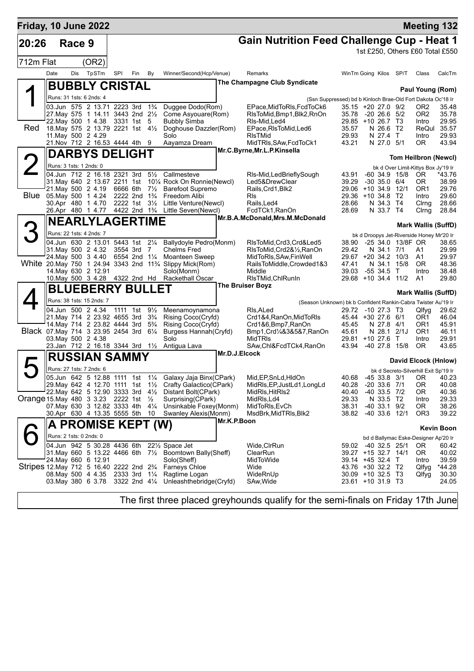| Friday, 10 June 2022                             |                         |        |                                                                                       |     |                                        |                |                                                                                     |               |                                                                          |                                                             |                               |                      |                                            | <b>Meeting 132</b>              |
|--------------------------------------------------|-------------------------|--------|---------------------------------------------------------------------------------------|-----|----------------------------------------|----------------|-------------------------------------------------------------------------------------|---------------|--------------------------------------------------------------------------|-------------------------------------------------------------|-------------------------------|----------------------|--------------------------------------------|---------------------------------|
| 20:26                                            |                         | Race 9 |                                                                                       |     |                                        |                |                                                                                     |               | <b>Gain Nutrition Feed Challenge Cup - Heat 1</b>                        |                                                             |                               |                      |                                            |                                 |
|                                                  |                         |        |                                                                                       |     |                                        |                |                                                                                     |               |                                                                          |                                                             |                               |                      |                                            | 1st £250, Others £60 Total £550 |
| 712m Flat                                        |                         |        | (OR2)                                                                                 |     |                                        |                |                                                                                     |               |                                                                          |                                                             |                               |                      |                                            |                                 |
|                                                  | Date                    | Dis    | TpSTm                                                                                 | SPI | Fin                                    | By             | Winner/Second(Hcp/Venue)                                                            |               | Remarks                                                                  | WinTm Going Kilos SP/T                                      |                               |                      | Class                                      | CalcTm                          |
|                                                  |                         |        | <b>BUBBLY CRISTAL</b>                                                                 |     |                                        |                |                                                                                     |               | The Champagne Club Syndicate                                             |                                                             |                               |                      |                                            |                                 |
|                                                  |                         |        |                                                                                       |     |                                        |                |                                                                                     |               |                                                                          |                                                             |                               |                      |                                            | Paul Young (Rom)                |
|                                                  |                         |        | Runs: 31 1sts: 6 2nds: 4<br>03.Jun 575 2 13.71 2223 3rd 1 <sup>3</sup> / <sub>4</sub> |     |                                        |                | Duggee Dodo(Rom)                                                                    |               |                                                                          | (Ssn Suppressed) bd b Kinloch Brae-Old Fort Dakota Oc'18 Ir |                               |                      |                                            | 35.48                           |
|                                                  |                         |        | 27. May 575 1 14.11 3443 2nd 21/2                                                     |     |                                        |                | Come Asyouare(Rom)                                                                  |               | EPace, MidToRIs, FcdToCk6<br>RIsToMid, Bmp1, Blk2, RnOn                  | $35.15 + 20.27.0$ 9/2<br>35.78                              | $-2026655/2$                  |                      | OR2<br>OR <sub>2</sub>                     | 35.78                           |
|                                                  |                         |        | 22. May 500 1 4.38 3331 1st 5                                                         |     |                                        |                | <b>Bubbly Simba</b>                                                                 |               | RIs-Mid, Led4                                                            | 29.85 +10 26.7 T3                                           |                               |                      | Intro                                      | 29.95                           |
| Red                                              |                         |        | 18. May 575 2 13.79 2221 1st 41/2<br>11. May 500 2 4.29                               |     |                                        |                | Doghouse Dazzler(Rom)<br>Solo                                                       |               | EPace, RIsToMid, Led6<br><b>RIsTMid</b>                                  | 35.57<br>29.93                                              | N 26.6 T2<br>N 27.4 T         |                      | ReQul<br>Intro                             | 35.57<br>29.93                  |
|                                                  |                         |        | 21. Nov 712 2 16.53 4444 4th 9                                                        |     |                                        |                | Aayamza Dream                                                                       |               | MidTRIs, SAw, FcdToCk1                                                   | 43.21                                                       | N 27.0 5/1                    |                      | 0R                                         | 43.94                           |
|                                                  |                         |        | <b>DARBYS DELIGHT</b>                                                                 |     |                                        |                |                                                                                     |               | Mr.C.Byrne, Mr.L.P.Kinsella                                              |                                                             |                               |                      |                                            |                                 |
|                                                  |                         |        |                                                                                       |     |                                        |                |                                                                                     |               |                                                                          |                                                             |                               |                      |                                            | Tom Heilbron (Newcl)            |
|                                                  | Runs: 3 1sts: 1 2nds: 0 |        |                                                                                       |     |                                        |                | 04.Jun 712 2 16.18 2321 3rd 51/2 Callmesteve                                        |               | RIs-Mid, Led Briefly Sough                                               | 43.91                                                       | $-60, 34.9, 15/8$             |                      | bk d Over Limit-Kittys Box Jy'19 Ir<br>OR. | *43.76                          |
|                                                  |                         |        |                                                                                       |     |                                        |                | 31. May 640 2 13.67 2211 1st 101/4 Rock On Ronnie (Newcl)                           |               | Led5&DrewClear                                                           | 39.29                                                       | $-30$ 35.0 $6/4$              |                      | 0R                                         | 38.99                           |
|                                                  |                         |        | 21. May 500 2 4.19                                                                    |     |                                        |                | 6666 6th 71/ <sub>2</sub> Barefoot Supremo                                          |               | Rails, Crd1, Blk2                                                        | 29.06 +10 34.9 12/1                                         |                               |                      | OR <sub>1</sub>                            | 29.76                           |
| <b>Blue</b>                                      |                         |        | 05. May 500 1 4.24<br>30.Apr 480 1 4.70                                               |     | 2222 2nd 1 <sup>3</sup> / <sub>4</sub> |                | Freedom Alibi<br>2222 1st 3½ Little Venture(Newcl)                                  |               | <b>RIs</b><br>Rails, Led4                                                | 29.36 +10 34.8 T2<br>28.66                                  | N 34.3 T4                     |                      | Intro<br>Cirng                             | 29.60<br>28.66                  |
|                                                  |                         |        |                                                                                       |     |                                        |                | 26.Apr 480 1 4.77 4422 2nd 1 <sup>3</sup> / <sub>4</sub> Little Seven(Newcl)        |               | FcdTCk1, RanOn                                                           | 28.69                                                       | N 33.7 T4                     |                      | Clrng                                      | 28.84                           |
|                                                  |                         |        | <b>NEARLYLAGERTIME</b>                                                                |     |                                        |                |                                                                                     |               | Mr.B.A.McDonald, Mrs.M.McDonald                                          |                                                             |                               |                      |                                            |                                 |
|                                                  |                         |        | Runs: 22 1sts: 4 2nds: 7                                                              |     |                                        |                |                                                                                     |               |                                                                          |                                                             |                               |                      |                                            | <b>Mark Wallis (SuffD)</b>      |
|                                                  |                         |        | 04.Jun 630 2 13.01 5443 1st 21/4                                                      |     |                                        |                | Ballydoyle Pedro(Monm)                                                              |               | RIsToMid, Crd3, Crd&Led5                                                 | 38.90                                                       |                               | -25 34.0 13/8F OR    | bk d Droopys Jet-Riverside Honey Mr'20 Ir  | 38.65                           |
|                                                  |                         |        | 31. May 500 2 4.32                                                                    |     | 3554 3rd 7                             |                | <b>Chelms Fred</b>                                                                  |               | RIsToMid, Crd2&1/2, RanOn                                                | 29.42                                                       | N 34.1 7/1                    |                      | A1                                         | 29.99                           |
|                                                  |                         |        | 24. May 500 3 4.40                                                                    |     | 6554 2nd 11/4                          |                | <b>Moanteen Sweep</b>                                                               |               | MidToRIs, SAw, FinWell                                                   | 29.67 +20 34.2 10/3                                         |                               |                      | A1                                         | 29.97                           |
|                                                  |                         |        | 14. May 630 2 12.91                                                                   |     |                                        |                | White 20. May 750 1 24.94 3343 2nd 113/4 Slippy Mick(Rom)<br>Solo(Monm)             |               | RailsToMiddle,Crowded1&3<br>Middle                                       | 47.41<br>39.03                                              | N 34.1<br>$-55$ 34.5          | 15/8<br>$\mathsf{T}$ | 0R<br>Intro                                | 48.36<br>38.48                  |
|                                                  |                         |        |                                                                                       |     |                                        |                | 10. May 500 3 4.28 4322 2nd Hd Rackethall Oscar                                     |               | RIsTMid, ChlRunIn                                                        | 29.68 +10 34.4 11/2                                         |                               |                      | A1                                         | 29.80                           |
|                                                  |                         |        | <b>BLUEBERRY BULLET</b>                                                               |     |                                        |                |                                                                                     |               | <b>The Bruiser Boyz</b>                                                  |                                                             |                               |                      |                                            |                                 |
|                                                  |                         |        | Runs: 38 1sts: 15 2nds: 7                                                             |     |                                        |                |                                                                                     |               | (Season Unknown) bk b Confident Rankin-Cabra Twister Au'19 Ir            |                                                             |                               |                      |                                            | <b>Mark Wallis (SuffD)</b>      |
|                                                  |                         |        | 04.Jun 500 2 4.34                                                                     |     | 1111 1st                               | $9\frac{1}{2}$ | Meenamoynamona                                                                      |               | RIs, ALed                                                                | 29.72 -10 27.3 T3                                           |                               |                      | Qlfyg                                      | 29.62                           |
|                                                  |                         |        | 21. May 714 2 23.92 4655 3rd 3 <sup>3</sup> / <sub>4</sub>                            |     |                                        |                | Rising Coco(Cryfd)                                                                  |               | Crd1&4, RanOn, MidToRIs                                                  | 45.44 +30 27.6 6/1                                          |                               |                      | OR1                                        | 46.04                           |
|                                                  |                         |        | 14. May 714 2 23.82 4444 3rd<br>Black 07. May 714 3 23.95 2454 3rd 61/4               |     |                                        | $5\frac{3}{4}$ | Rising Coco(Cryfd)                                                                  |               | Crd1&6,Bmp7,RanOn                                                        | 45.45<br>45.61                                              | N 27.8 4/1<br>N 28.1 2/1J     |                      | OR1<br>OR <sub>1</sub>                     | 45.91<br>46.11                  |
|                                                  |                         |        | 03. May 500 2 4.38                                                                    |     |                                        |                | Burgess Hannah (Cryfd)<br>Solo                                                      |               | Bmp1, Crd <sup>1</sup> / <sub>4</sub> & 3& 5& 7, RanOn<br><b>MidTRIs</b> | 29.81 +10 27.6                                              |                               | $\top$               | Intro                                      | 29.91                           |
|                                                  |                         |        | 23.Jan 712 2 16.18 3344 3rd 11/2                                                      |     |                                        |                | Antigua Lava                                                                        |               | SAw, Chl&FcdTCk4, RanOn                                                  | 43.94                                                       | -40 27.8 15/8                 |                      | 0R                                         | 43.65                           |
|                                                  |                         |        | <b>RUSSIAN SAMMY</b>                                                                  |     |                                        |                |                                                                                     | Mr.D.J.Elcock |                                                                          |                                                             |                               |                      |                                            | David Elcock (Hnlow)            |
|                                                  |                         |        | Runs: 27 1sts: 7 2nds: 6                                                              |     |                                        |                |                                                                                     |               |                                                                          |                                                             |                               |                      | bk d Secreto-Silverhill Exit Sp'19 Ir      |                                 |
|                                                  |                         |        |                                                                                       |     |                                        |                | 05.Jun 642 5 12.88 1111 1st 11/4 Galaxy Jaja Binx(CPark)                            |               | Mid, EP, SnLd, HIdOn                                                     | 40.68 -45 33.8 3/1 OR                                       |                               |                      |                                            | 40.23                           |
|                                                  |                         |        |                                                                                       |     |                                        |                | 29. May 642 4 12.70 1111 1st 1 <sup>1</sup> / <sub>2</sub> Crafty Galactico (CPark) |               | MidRls, EP, JustLd1, LongLd                                              | 40.28                                                       | $-2033.671$                   |                      | 0R                                         | 40.08                           |
| Orange 15. May 480 3 3.23 2222 1st $\frac{1}{2}$ |                         |        |                                                                                       |     |                                        |                | 22. May 642 5 12.90 3333 3rd 41/2 Distant Bolt(CPark)<br>Surprising(CPark)          |               | MidRls, HitRls2<br>MidRIs, Ld4                                           | 40.40<br>29.33                                              | $-40$ 33.5 $7/2$<br>N 33.5 T2 |                      | OR.<br>Intro                               | 40.36<br>29.33                  |
|                                                  |                         |        | 07. May 630 3 12.82 3333 4th 41/4                                                     |     |                                        |                | Unsinkable Foxey(Monm)                                                              |               | MidToRIs, EvCh                                                           | 38.31                                                       | -40 33.1 9/2                  |                      | 0R                                         | 38.26                           |
|                                                  |                         |        | 30.Apr 630 4 13.35 5555 5th 10                                                        |     |                                        |                | Swanley Alexis (Monm)                                                               |               | MsdBrk, MidTRIs, Blk2                                                    | 38.82                                                       | -40 33.6 12/1                 |                      | OR <sub>3</sub>                            | 39.22                           |
|                                                  |                         |        | A PROMISE KEPT (W)                                                                    |     |                                        |                |                                                                                     | Mr.K.P.Boon   |                                                                          |                                                             |                               |                      |                                            | <b>Kevin Boon</b>               |
|                                                  |                         |        | Runs: 2 1sts: 0 2nds: 0                                                               |     |                                        |                |                                                                                     |               |                                                                          |                                                             |                               |                      | bd d Ballymac Eske-Designer Ap'20 Ir       |                                 |
|                                                  |                         |        |                                                                                       |     |                                        |                | 04.Jun 942 5 30.28 4436 6th 221/2 Space Jet                                         |               | Wide, CIrRun                                                             | 59.02 -40 32.5 25/1                                         |                               |                      | OR.                                        | 60.42                           |
|                                                  |                         |        |                                                                                       |     |                                        |                | 31. May 660 5 13.22 4466 6th 7 <sup>1</sup> / <sub>2</sub> Boomtown Bally (Sheff)   |               | ClearRun                                                                 | 39.27 +15 32.7 14/1                                         |                               |                      | OR.                                        | 40.02                           |
|                                                  |                         |        | 24. May 660 6 12.91                                                                   |     |                                        |                | Solo(Sheff)<br>Stripes 12. May 712 5 16.40 2222 2nd 23/4 Farneys Chloe              |               | MidToWide<br>Wide                                                        | 39.14 +45 32.4 T<br>43.76 +30 32.2 T2                       |                               |                      | Intro<br>Qlfyg                             | 39.59<br>*44.28                 |
|                                                  |                         |        | 08. May 500 4 4.35 2333 3rd 11/4                                                      |     |                                        |                | Ragtime Logan                                                                       |               | WideRnUp                                                                 | 30.09 +10 32.5 T3                                           |                               |                      | Qlfyg                                      | 30.30                           |
|                                                  |                         |        |                                                                                       |     |                                        |                | 03. May 380 $6$ 3.78 3322 2nd $4\frac{1}{4}$ Unleashthebridge (Cryfd)               |               | SAw, Wide                                                                | 23.61 +10 31.9 T3                                           |                               |                      |                                            | 24.05                           |
|                                                  |                         |        |                                                                                       |     |                                        |                |                                                                                     |               |                                                                          |                                                             |                               |                      |                                            |                                 |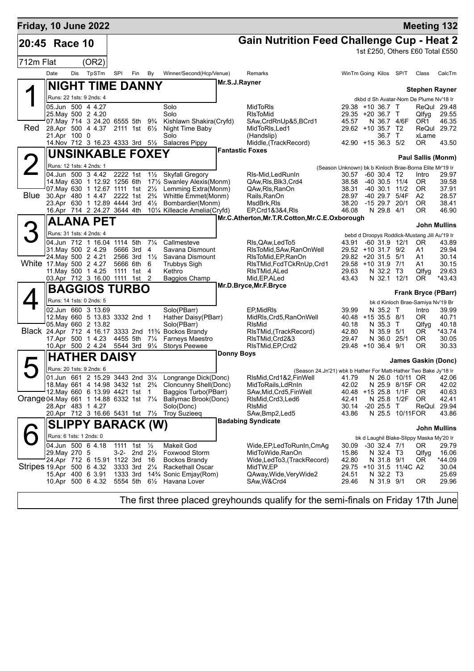| <b>Gain Nutrition Feed Challenge Cup - Heat 2</b><br>20:45 Race 10<br>1st £250, Others £60 Total £550<br>712m Flat<br>(OR2)<br>TpSTm<br><b>Dis</b><br>SPI<br>Fin<br>Winner/Second(Hcp/Venue)<br>Date<br>By<br>Remarks<br>WinTm Going Kilos SP/T<br>Class<br>Mr.S.J.Rayner<br><b>NIGHT TIME DANNY</b><br><b>Stephen Rayner</b><br>Runs: 22 1sts: 9 2nds: 4<br>dkbd d Sh Avatar-Nom De Plume Nv'18 Ir<br>05.Jun 500 4 4.27<br>Solo<br>MidToRIs<br>29.38 +10 36.7 T<br>ReQul 29.48<br>25. May 500 2 4.20<br>Solo<br><b>RIsToMid</b><br>29.35 +20 36.7 T<br>Qlfyg<br>07. May 714 3 24. 20 6555 5th<br>Kishlawn Shakira(Cryfd)<br>SAw, CrdRnUp&5, BCrd1<br>45.57<br>N 36.7 4/6F<br>9¾<br>OR1<br>Red<br>29.62 +10 35.7 T2<br>28.Apr 500 4 4.37<br>2111 1st 61/ <sub>2</sub><br>Night Time Baby<br>MidToRIs, Led1<br>ReQul<br>21.Apr 100 0<br>Solo<br>36.7 T<br>xLame<br>(Handslip)<br>42.90 +15 36.3 5/2<br>14. Nov 712 3 16.23 4333 3rd 51/2 Salacres Pippy<br>Middle, (TrackRecord)<br>0R<br><b>Fantastic Foxes</b><br><b>UNSINKABLE FOXEY</b><br><b>Paul Sallis (Monm)</b><br>Runs: 12 1sts: 4 2nds: 1<br>(Season Unknown) bk b Kinloch Brae-Borna Elite Mr'19 Ir<br>2222 1st<br>04.Jun 500 3 4.42<br>1 <sup>1</sup> / <sub>2</sub> Skyfall Gregory<br>RIs-Mid, Led Run In<br>30.57<br>-60 30.4 T2<br>Intro<br>14. May 630 1 12.92 1256 6th<br>17½ Swanley Alexis(Monm)<br>QAw, RIs, Blk3, Crd4<br>38.58<br>-40 30.5 11/4<br>OR.<br>07. May 630 1 12.67 1111 1st 21/2<br>Lemming Extra(Monm)<br>QAw, RIs, RanOn<br>38.31<br>$-40$ 30.1 11/2<br>OR.<br>Blue<br>30.Apr 480 1 4.47 2222 1st 2 <sup>3</sup> / <sub>4</sub><br>Whittle Emmet(Monm)<br>Rails, RanOn<br>28.97<br>-40 29.7 5/4F<br>A2<br>23.Apr 630 1 12.89 4444 3rd<br>$4\frac{1}{2}$<br>Bombardier(Monm)<br>MsdBrk, RIs<br>38.20<br>$-1529.720/1$<br>OR.<br>16.Apr 714 2 24.27 3644 4th<br>10 <sup>1</sup> / <sub>4</sub> Killeacle Amelia (Cryfd)<br>EP, Crd1&3&4, RIs<br>46.08<br>N 29.8 4/1<br>OR.<br>Mr.C.Atherton, Mr.T.R.Cotton, Mr.C.E.Oxborough<br><b>ALANA PET</b><br>John Mullins<br>Runs: 31 1sts: 4 2nds: 4<br>bebd d Droopys Roddick-Mustang Jill Au'19 Ir<br>$7\frac{1}{4}$<br>04.Jun 712 1 16.04 1114 5th<br>Callmesteve<br>RIs, QAw, Led To 5<br>43.91<br>$-60$ 31.9 12/1<br><b>OR</b><br>31. May 500 2 4.29<br>5666 3rd<br>4<br>Savana Dismount<br>RIsToMid, SAw, RanOnWell<br>29.52 +10 31.7 9/2<br>A1<br>24. May 500 2 4.21<br>2566 3rd<br>$1\frac{1}{2}$<br>Savana Dismount<br>RIsToMid, EP, RanOn<br>29.82 +20 31.5<br>5/1<br>A1<br>White 17 May 500 2 4.27<br>5666 6th<br>6<br><b>Trubbys Sigh</b><br>RIsTMid, FcdTCkRnUp, Crd1<br>29.58 +10 31.9 7/1<br>A1<br>11. May 500 1 4.25<br>1111 1st<br>$\overline{4}$<br>Kethro<br>RIsTMid, ALed<br>29.63<br>N 32.2 T3<br>Qlfyg<br>Mid, EP, ALed<br>N 32.1<br>12/1<br>03.Apr 712 3 16.00 1111 1st<br>2<br><b>Baggios Champ</b><br>43.43<br>OR<br>Mr.D.Bryce, Mr.F.Bryce<br><b>BAGGIOS TURBO</b> | <b>Meeting 132</b> |
|------------------------------------------------------------------------------------------------------------------------------------------------------------------------------------------------------------------------------------------------------------------------------------------------------------------------------------------------------------------------------------------------------------------------------------------------------------------------------------------------------------------------------------------------------------------------------------------------------------------------------------------------------------------------------------------------------------------------------------------------------------------------------------------------------------------------------------------------------------------------------------------------------------------------------------------------------------------------------------------------------------------------------------------------------------------------------------------------------------------------------------------------------------------------------------------------------------------------------------------------------------------------------------------------------------------------------------------------------------------------------------------------------------------------------------------------------------------------------------------------------------------------------------------------------------------------------------------------------------------------------------------------------------------------------------------------------------------------------------------------------------------------------------------------------------------------------------------------------------------------------------------------------------------------------------------------------------------------------------------------------------------------------------------------------------------------------------------------------------------------------------------------------------------------------------------------------------------------------------------------------------------------------------------------------------------------------------------------------------------------------------------------------------------------------------------------------------------------------------------------------------------------------------------------------------------------------------------------------------------------------------------------------------------------------------------------------------------------------------------------------------------------------------------------------------------------------------------------------------------------------------------------------------------------|--------------------|
|                                                                                                                                                                                                                                                                                                                                                                                                                                                                                                                                                                                                                                                                                                                                                                                                                                                                                                                                                                                                                                                                                                                                                                                                                                                                                                                                                                                                                                                                                                                                                                                                                                                                                                                                                                                                                                                                                                                                                                                                                                                                                                                                                                                                                                                                                                                                                                                                                                                                                                                                                                                                                                                                                                                                                                                                                                                                                                                        |                    |
|                                                                                                                                                                                                                                                                                                                                                                                                                                                                                                                                                                                                                                                                                                                                                                                                                                                                                                                                                                                                                                                                                                                                                                                                                                                                                                                                                                                                                                                                                                                                                                                                                                                                                                                                                                                                                                                                                                                                                                                                                                                                                                                                                                                                                                                                                                                                                                                                                                                                                                                                                                                                                                                                                                                                                                                                                                                                                                                        |                    |
|                                                                                                                                                                                                                                                                                                                                                                                                                                                                                                                                                                                                                                                                                                                                                                                                                                                                                                                                                                                                                                                                                                                                                                                                                                                                                                                                                                                                                                                                                                                                                                                                                                                                                                                                                                                                                                                                                                                                                                                                                                                                                                                                                                                                                                                                                                                                                                                                                                                                                                                                                                                                                                                                                                                                                                                                                                                                                                                        | CalcTm             |
|                                                                                                                                                                                                                                                                                                                                                                                                                                                                                                                                                                                                                                                                                                                                                                                                                                                                                                                                                                                                                                                                                                                                                                                                                                                                                                                                                                                                                                                                                                                                                                                                                                                                                                                                                                                                                                                                                                                                                                                                                                                                                                                                                                                                                                                                                                                                                                                                                                                                                                                                                                                                                                                                                                                                                                                                                                                                                                                        |                    |
|                                                                                                                                                                                                                                                                                                                                                                                                                                                                                                                                                                                                                                                                                                                                                                                                                                                                                                                                                                                                                                                                                                                                                                                                                                                                                                                                                                                                                                                                                                                                                                                                                                                                                                                                                                                                                                                                                                                                                                                                                                                                                                                                                                                                                                                                                                                                                                                                                                                                                                                                                                                                                                                                                                                                                                                                                                                                                                                        |                    |
|                                                                                                                                                                                                                                                                                                                                                                                                                                                                                                                                                                                                                                                                                                                                                                                                                                                                                                                                                                                                                                                                                                                                                                                                                                                                                                                                                                                                                                                                                                                                                                                                                                                                                                                                                                                                                                                                                                                                                                                                                                                                                                                                                                                                                                                                                                                                                                                                                                                                                                                                                                                                                                                                                                                                                                                                                                                                                                                        |                    |
|                                                                                                                                                                                                                                                                                                                                                                                                                                                                                                                                                                                                                                                                                                                                                                                                                                                                                                                                                                                                                                                                                                                                                                                                                                                                                                                                                                                                                                                                                                                                                                                                                                                                                                                                                                                                                                                                                                                                                                                                                                                                                                                                                                                                                                                                                                                                                                                                                                                                                                                                                                                                                                                                                                                                                                                                                                                                                                                        | 29.55              |
|                                                                                                                                                                                                                                                                                                                                                                                                                                                                                                                                                                                                                                                                                                                                                                                                                                                                                                                                                                                                                                                                                                                                                                                                                                                                                                                                                                                                                                                                                                                                                                                                                                                                                                                                                                                                                                                                                                                                                                                                                                                                                                                                                                                                                                                                                                                                                                                                                                                                                                                                                                                                                                                                                                                                                                                                                                                                                                                        | 46.35              |
|                                                                                                                                                                                                                                                                                                                                                                                                                                                                                                                                                                                                                                                                                                                                                                                                                                                                                                                                                                                                                                                                                                                                                                                                                                                                                                                                                                                                                                                                                                                                                                                                                                                                                                                                                                                                                                                                                                                                                                                                                                                                                                                                                                                                                                                                                                                                                                                                                                                                                                                                                                                                                                                                                                                                                                                                                                                                                                                        | 29.72              |
|                                                                                                                                                                                                                                                                                                                                                                                                                                                                                                                                                                                                                                                                                                                                                                                                                                                                                                                                                                                                                                                                                                                                                                                                                                                                                                                                                                                                                                                                                                                                                                                                                                                                                                                                                                                                                                                                                                                                                                                                                                                                                                                                                                                                                                                                                                                                                                                                                                                                                                                                                                                                                                                                                                                                                                                                                                                                                                                        | 43.50              |
|                                                                                                                                                                                                                                                                                                                                                                                                                                                                                                                                                                                                                                                                                                                                                                                                                                                                                                                                                                                                                                                                                                                                                                                                                                                                                                                                                                                                                                                                                                                                                                                                                                                                                                                                                                                                                                                                                                                                                                                                                                                                                                                                                                                                                                                                                                                                                                                                                                                                                                                                                                                                                                                                                                                                                                                                                                                                                                                        |                    |
|                                                                                                                                                                                                                                                                                                                                                                                                                                                                                                                                                                                                                                                                                                                                                                                                                                                                                                                                                                                                                                                                                                                                                                                                                                                                                                                                                                                                                                                                                                                                                                                                                                                                                                                                                                                                                                                                                                                                                                                                                                                                                                                                                                                                                                                                                                                                                                                                                                                                                                                                                                                                                                                                                                                                                                                                                                                                                                                        |                    |
|                                                                                                                                                                                                                                                                                                                                                                                                                                                                                                                                                                                                                                                                                                                                                                                                                                                                                                                                                                                                                                                                                                                                                                                                                                                                                                                                                                                                                                                                                                                                                                                                                                                                                                                                                                                                                                                                                                                                                                                                                                                                                                                                                                                                                                                                                                                                                                                                                                                                                                                                                                                                                                                                                                                                                                                                                                                                                                                        | 29.97              |
|                                                                                                                                                                                                                                                                                                                                                                                                                                                                                                                                                                                                                                                                                                                                                                                                                                                                                                                                                                                                                                                                                                                                                                                                                                                                                                                                                                                                                                                                                                                                                                                                                                                                                                                                                                                                                                                                                                                                                                                                                                                                                                                                                                                                                                                                                                                                                                                                                                                                                                                                                                                                                                                                                                                                                                                                                                                                                                                        | 39.58              |
|                                                                                                                                                                                                                                                                                                                                                                                                                                                                                                                                                                                                                                                                                                                                                                                                                                                                                                                                                                                                                                                                                                                                                                                                                                                                                                                                                                                                                                                                                                                                                                                                                                                                                                                                                                                                                                                                                                                                                                                                                                                                                                                                                                                                                                                                                                                                                                                                                                                                                                                                                                                                                                                                                                                                                                                                                                                                                                                        | 37.91              |
|                                                                                                                                                                                                                                                                                                                                                                                                                                                                                                                                                                                                                                                                                                                                                                                                                                                                                                                                                                                                                                                                                                                                                                                                                                                                                                                                                                                                                                                                                                                                                                                                                                                                                                                                                                                                                                                                                                                                                                                                                                                                                                                                                                                                                                                                                                                                                                                                                                                                                                                                                                                                                                                                                                                                                                                                                                                                                                                        | 28.57              |
|                                                                                                                                                                                                                                                                                                                                                                                                                                                                                                                                                                                                                                                                                                                                                                                                                                                                                                                                                                                                                                                                                                                                                                                                                                                                                                                                                                                                                                                                                                                                                                                                                                                                                                                                                                                                                                                                                                                                                                                                                                                                                                                                                                                                                                                                                                                                                                                                                                                                                                                                                                                                                                                                                                                                                                                                                                                                                                                        | 38.41<br>46.90     |
|                                                                                                                                                                                                                                                                                                                                                                                                                                                                                                                                                                                                                                                                                                                                                                                                                                                                                                                                                                                                                                                                                                                                                                                                                                                                                                                                                                                                                                                                                                                                                                                                                                                                                                                                                                                                                                                                                                                                                                                                                                                                                                                                                                                                                                                                                                                                                                                                                                                                                                                                                                                                                                                                                                                                                                                                                                                                                                                        |                    |
|                                                                                                                                                                                                                                                                                                                                                                                                                                                                                                                                                                                                                                                                                                                                                                                                                                                                                                                                                                                                                                                                                                                                                                                                                                                                                                                                                                                                                                                                                                                                                                                                                                                                                                                                                                                                                                                                                                                                                                                                                                                                                                                                                                                                                                                                                                                                                                                                                                                                                                                                                                                                                                                                                                                                                                                                                                                                                                                        |                    |
|                                                                                                                                                                                                                                                                                                                                                                                                                                                                                                                                                                                                                                                                                                                                                                                                                                                                                                                                                                                                                                                                                                                                                                                                                                                                                                                                                                                                                                                                                                                                                                                                                                                                                                                                                                                                                                                                                                                                                                                                                                                                                                                                                                                                                                                                                                                                                                                                                                                                                                                                                                                                                                                                                                                                                                                                                                                                                                                        |                    |
|                                                                                                                                                                                                                                                                                                                                                                                                                                                                                                                                                                                                                                                                                                                                                                                                                                                                                                                                                                                                                                                                                                                                                                                                                                                                                                                                                                                                                                                                                                                                                                                                                                                                                                                                                                                                                                                                                                                                                                                                                                                                                                                                                                                                                                                                                                                                                                                                                                                                                                                                                                                                                                                                                                                                                                                                                                                                                                                        | 43.89<br>29.94     |
|                                                                                                                                                                                                                                                                                                                                                                                                                                                                                                                                                                                                                                                                                                                                                                                                                                                                                                                                                                                                                                                                                                                                                                                                                                                                                                                                                                                                                                                                                                                                                                                                                                                                                                                                                                                                                                                                                                                                                                                                                                                                                                                                                                                                                                                                                                                                                                                                                                                                                                                                                                                                                                                                                                                                                                                                                                                                                                                        | 30.14              |
|                                                                                                                                                                                                                                                                                                                                                                                                                                                                                                                                                                                                                                                                                                                                                                                                                                                                                                                                                                                                                                                                                                                                                                                                                                                                                                                                                                                                                                                                                                                                                                                                                                                                                                                                                                                                                                                                                                                                                                                                                                                                                                                                                                                                                                                                                                                                                                                                                                                                                                                                                                                                                                                                                                                                                                                                                                                                                                                        | 30.15              |
|                                                                                                                                                                                                                                                                                                                                                                                                                                                                                                                                                                                                                                                                                                                                                                                                                                                                                                                                                                                                                                                                                                                                                                                                                                                                                                                                                                                                                                                                                                                                                                                                                                                                                                                                                                                                                                                                                                                                                                                                                                                                                                                                                                                                                                                                                                                                                                                                                                                                                                                                                                                                                                                                                                                                                                                                                                                                                                                        | 29.63<br>*43.43    |
|                                                                                                                                                                                                                                                                                                                                                                                                                                                                                                                                                                                                                                                                                                                                                                                                                                                                                                                                                                                                                                                                                                                                                                                                                                                                                                                                                                                                                                                                                                                                                                                                                                                                                                                                                                                                                                                                                                                                                                                                                                                                                                                                                                                                                                                                                                                                                                                                                                                                                                                                                                                                                                                                                                                                                                                                                                                                                                                        |                    |
| <b>Frank Bryce (PBarr)</b>                                                                                                                                                                                                                                                                                                                                                                                                                                                                                                                                                                                                                                                                                                                                                                                                                                                                                                                                                                                                                                                                                                                                                                                                                                                                                                                                                                                                                                                                                                                                                                                                                                                                                                                                                                                                                                                                                                                                                                                                                                                                                                                                                                                                                                                                                                                                                                                                                                                                                                                                                                                                                                                                                                                                                                                                                                                                                             |                    |
| Runs: 14 1sts: 0 2nds: 5<br>bk d Kinloch Brae-Samiya Nv'19 Br                                                                                                                                                                                                                                                                                                                                                                                                                                                                                                                                                                                                                                                                                                                                                                                                                                                                                                                                                                                                                                                                                                                                                                                                                                                                                                                                                                                                                                                                                                                                                                                                                                                                                                                                                                                                                                                                                                                                                                                                                                                                                                                                                                                                                                                                                                                                                                                                                                                                                                                                                                                                                                                                                                                                                                                                                                                          |                    |
| 02.Jun 660 3 13.69<br>Solo(PBarr)<br>EP, MidRIs<br>39.99<br>N 35.2 T<br>Intro<br>Hather Daisy(PBarr)<br>40.48 +15 35.5 8/1<br>12. May 660 5 13.83 3332 2nd 1<br>MidRls, Crd5, RanOnWell<br>OR.                                                                                                                                                                                                                                                                                                                                                                                                                                                                                                                                                                                                                                                                                                                                                                                                                                                                                                                                                                                                                                                                                                                                                                                                                                                                                                                                                                                                                                                                                                                                                                                                                                                                                                                                                                                                                                                                                                                                                                                                                                                                                                                                                                                                                                                                                                                                                                                                                                                                                                                                                                                                                                                                                                                         | 39.99<br>40.71     |
| 05. May 660 2 13.82<br>Solo(PBarr)<br><b>RIsMid</b><br>N 35.3<br>40.18<br>$\top$<br>Qlfyq                                                                                                                                                                                                                                                                                                                                                                                                                                                                                                                                                                                                                                                                                                                                                                                                                                                                                                                                                                                                                                                                                                                                                                                                                                                                                                                                                                                                                                                                                                                                                                                                                                                                                                                                                                                                                                                                                                                                                                                                                                                                                                                                                                                                                                                                                                                                                                                                                                                                                                                                                                                                                                                                                                                                                                                                                              | 40.18              |
| Black 24.Apr 712 4 16.17 3333 2nd 11% Bockos Brandy<br>RIsTMid, (TrackRecord)<br>42.80<br>N 35.9<br>5/1<br>OR.                                                                                                                                                                                                                                                                                                                                                                                                                                                                                                                                                                                                                                                                                                                                                                                                                                                                                                                                                                                                                                                                                                                                                                                                                                                                                                                                                                                                                                                                                                                                                                                                                                                                                                                                                                                                                                                                                                                                                                                                                                                                                                                                                                                                                                                                                                                                                                                                                                                                                                                                                                                                                                                                                                                                                                                                         | *43.74             |
| 17.Apr 500 1 4.23<br>4455 5th<br>$7\frac{1}{4}$<br>Farneys Maestro<br>RIsTMid, Crd2&3<br>29.47<br>N 36.0<br>25/1<br>OR.<br>10.Apr 500 2 4.24 5544 3rd<br>$9\frac{1}{4}$<br><b>Storys Peewee</b><br>RIsTMid, EP, Crd2<br>29.48 +10 36.4 9/1<br>0R                                                                                                                                                                                                                                                                                                                                                                                                                                                                                                                                                                                                                                                                                                                                                                                                                                                                                                                                                                                                                                                                                                                                                                                                                                                                                                                                                                                                                                                                                                                                                                                                                                                                                                                                                                                                                                                                                                                                                                                                                                                                                                                                                                                                                                                                                                                                                                                                                                                                                                                                                                                                                                                                       | 30.05<br>30.33     |
| <b>Donny Boys</b>                                                                                                                                                                                                                                                                                                                                                                                                                                                                                                                                                                                                                                                                                                                                                                                                                                                                                                                                                                                                                                                                                                                                                                                                                                                                                                                                                                                                                                                                                                                                                                                                                                                                                                                                                                                                                                                                                                                                                                                                                                                                                                                                                                                                                                                                                                                                                                                                                                                                                                                                                                                                                                                                                                                                                                                                                                                                                                      |                    |
| <b>HATHER DAISY</b><br>James Gaskin (Donc)                                                                                                                                                                                                                                                                                                                                                                                                                                                                                                                                                                                                                                                                                                                                                                                                                                                                                                                                                                                                                                                                                                                                                                                                                                                                                                                                                                                                                                                                                                                                                                                                                                                                                                                                                                                                                                                                                                                                                                                                                                                                                                                                                                                                                                                                                                                                                                                                                                                                                                                                                                                                                                                                                                                                                                                                                                                                             |                    |
| Runs: 20 1sts: 9 2nds: 6<br>(Season 24.Jn'21) wbk b Hather For Matt-Hather Two Bake Jy'18 Ir                                                                                                                                                                                                                                                                                                                                                                                                                                                                                                                                                                                                                                                                                                                                                                                                                                                                                                                                                                                                                                                                                                                                                                                                                                                                                                                                                                                                                                                                                                                                                                                                                                                                                                                                                                                                                                                                                                                                                                                                                                                                                                                                                                                                                                                                                                                                                                                                                                                                                                                                                                                                                                                                                                                                                                                                                           |                    |
| 01.Jun 661 2 15.29 3443 2nd 31/4<br>Longrange Dick(Donc)<br>RIsMid,Crd1&2,FinWell<br>41.79<br>N 26.0<br>10/11 OR<br>18. May 661 4 14.98 3432 1st 2 <sup>3</sup> / <sub>4</sub><br>Cloncunny Shell(Donc)<br>MidToRails,LdRnIn<br>42.02<br>N 25.9<br>8/15F OR                                                                                                                                                                                                                                                                                                                                                                                                                                                                                                                                                                                                                                                                                                                                                                                                                                                                                                                                                                                                                                                                                                                                                                                                                                                                                                                                                                                                                                                                                                                                                                                                                                                                                                                                                                                                                                                                                                                                                                                                                                                                                                                                                                                                                                                                                                                                                                                                                                                                                                                                                                                                                                                            | 42.06<br>42.02     |
| 12. May 660 6 13.99 4421 1st 1<br>Baggios Turbo(PBarr)<br>SAw,Mid,Crd5,FinWell<br>40.48<br>+15 25.8<br>1/1F<br>OR.                                                                                                                                                                                                                                                                                                                                                                                                                                                                                                                                                                                                                                                                                                                                                                                                                                                                                                                                                                                                                                                                                                                                                                                                                                                                                                                                                                                                                                                                                                                                                                                                                                                                                                                                                                                                                                                                                                                                                                                                                                                                                                                                                                                                                                                                                                                                                                                                                                                                                                                                                                                                                                                                                                                                                                                                     | 40.63              |
| Orange 04. May 661 1 14.88 6332 1st 71/4<br>Ballymac Brook(Donc)<br>42.41<br>N 25.8<br>1/2F<br>0R<br>RIsMid, Crd3, Led6                                                                                                                                                                                                                                                                                                                                                                                                                                                                                                                                                                                                                                                                                                                                                                                                                                                                                                                                                                                                                                                                                                                                                                                                                                                                                                                                                                                                                                                                                                                                                                                                                                                                                                                                                                                                                                                                                                                                                                                                                                                                                                                                                                                                                                                                                                                                                                                                                                                                                                                                                                                                                                                                                                                                                                                                | 42.41              |
| $-20$ 25.5 T<br>28.Apr 483 1 4.27<br>Solo(Donc)<br>RIsMid<br>30.14<br>ReQul                                                                                                                                                                                                                                                                                                                                                                                                                                                                                                                                                                                                                                                                                                                                                                                                                                                                                                                                                                                                                                                                                                                                                                                                                                                                                                                                                                                                                                                                                                                                                                                                                                                                                                                                                                                                                                                                                                                                                                                                                                                                                                                                                                                                                                                                                                                                                                                                                                                                                                                                                                                                                                                                                                                                                                                                                                            | 29.94              |
| 20.Apr 712 3 16.66 5431 1st 71/2<br><b>Troy Suzieeg</b><br>SAw, Bmp2, Led5<br>N 25.5 10/11FOR<br>43.86<br><b>Badabing Syndicate</b>                                                                                                                                                                                                                                                                                                                                                                                                                                                                                                                                                                                                                                                                                                                                                                                                                                                                                                                                                                                                                                                                                                                                                                                                                                                                                                                                                                                                                                                                                                                                                                                                                                                                                                                                                                                                                                                                                                                                                                                                                                                                                                                                                                                                                                                                                                                                                                                                                                                                                                                                                                                                                                                                                                                                                                                    | 43.86              |
| <b>SLIPPY BARACK (W)</b><br><b>John Mullins</b>                                                                                                                                                                                                                                                                                                                                                                                                                                                                                                                                                                                                                                                                                                                                                                                                                                                                                                                                                                                                                                                                                                                                                                                                                                                                                                                                                                                                                                                                                                                                                                                                                                                                                                                                                                                                                                                                                                                                                                                                                                                                                                                                                                                                                                                                                                                                                                                                                                                                                                                                                                                                                                                                                                                                                                                                                                                                        |                    |
| Runs: 6 1sts: 1 2nds: 0<br>bk d Laughil Blake-Slippy Maska My'20 Ir                                                                                                                                                                                                                                                                                                                                                                                                                                                                                                                                                                                                                                                                                                                                                                                                                                                                                                                                                                                                                                                                                                                                                                                                                                                                                                                                                                                                                                                                                                                                                                                                                                                                                                                                                                                                                                                                                                                                                                                                                                                                                                                                                                                                                                                                                                                                                                                                                                                                                                                                                                                                                                                                                                                                                                                                                                                    |                    |
| 04.Jun 500 6 4.18<br>1111 1st 1/2<br><b>Makeit God</b><br>Wide, EP, Led To Run In, Cm Ag<br>30.09<br>$-30$ 32.4 $7/1$<br>0R<br>$3-2$ - 2nd $2\frac{1}{2}$                                                                                                                                                                                                                                                                                                                                                                                                                                                                                                                                                                                                                                                                                                                                                                                                                                                                                                                                                                                                                                                                                                                                                                                                                                                                                                                                                                                                                                                                                                                                                                                                                                                                                                                                                                                                                                                                                                                                                                                                                                                                                                                                                                                                                                                                                                                                                                                                                                                                                                                                                                                                                                                                                                                                                              | 29.79              |
| Foxwood Storm<br>29.May 270 5<br>MidToWide,RanOn<br>15.86<br>N 32.4 T3<br>Qlfyg<br>24.Apr 712 6 15.91 1122 3rd<br>42.80<br>N 31.8 9/1<br>- 16<br>Bockos Brandy<br>Wide,LedTo3,(TrackRecord)<br>ΟR                                                                                                                                                                                                                                                                                                                                                                                                                                                                                                                                                                                                                                                                                                                                                                                                                                                                                                                                                                                                                                                                                                                                                                                                                                                                                                                                                                                                                                                                                                                                                                                                                                                                                                                                                                                                                                                                                                                                                                                                                                                                                                                                                                                                                                                                                                                                                                                                                                                                                                                                                                                                                                                                                                                      | 16.06<br>*44.09    |
| Stripes 19.Apr 500 6 4.32<br>3333 3rd<br>$2\frac{1}{4}$<br>Rackethall Oscar<br>29.75 +10 31.5 11/4C A2<br>MidTW,EP                                                                                                                                                                                                                                                                                                                                                                                                                                                                                                                                                                                                                                                                                                                                                                                                                                                                                                                                                                                                                                                                                                                                                                                                                                                                                                                                                                                                                                                                                                                                                                                                                                                                                                                                                                                                                                                                                                                                                                                                                                                                                                                                                                                                                                                                                                                                                                                                                                                                                                                                                                                                                                                                                                                                                                                                     | 30.04              |
| 15.Apr 400 6 3.91<br>1333 3rd<br>14% Sonic Emjay(Rom)<br>QAway, Wide, Very Wide2<br>24.51<br>N 32.2 T3                                                                                                                                                                                                                                                                                                                                                                                                                                                                                                                                                                                                                                                                                                                                                                                                                                                                                                                                                                                                                                                                                                                                                                                                                                                                                                                                                                                                                                                                                                                                                                                                                                                                                                                                                                                                                                                                                                                                                                                                                                                                                                                                                                                                                                                                                                                                                                                                                                                                                                                                                                                                                                                                                                                                                                                                                 | 25.69              |
| 10.Apr 500 6 4.32<br>5554 5th<br>SAw, W&Crd4<br>29.46<br>N 31.9 9/1<br>6½ Havana Lover<br>0R                                                                                                                                                                                                                                                                                                                                                                                                                                                                                                                                                                                                                                                                                                                                                                                                                                                                                                                                                                                                                                                                                                                                                                                                                                                                                                                                                                                                                                                                                                                                                                                                                                                                                                                                                                                                                                                                                                                                                                                                                                                                                                                                                                                                                                                                                                                                                                                                                                                                                                                                                                                                                                                                                                                                                                                                                           | 29.96              |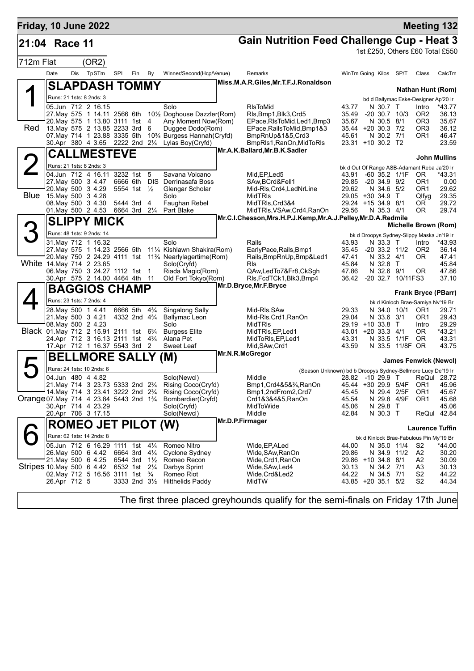| Friday, 10 June 2022                                              |              |                                                                                                 |          |                                                    |                |                                                                       |                                                                                             |                              |                                |                                | <b>Meeting 132</b>                                 |                 |
|-------------------------------------------------------------------|--------------|-------------------------------------------------------------------------------------------------|----------|----------------------------------------------------|----------------|-----------------------------------------------------------------------|---------------------------------------------------------------------------------------------|------------------------------|--------------------------------|--------------------------------|----------------------------------------------------|-----------------|
| 21:04                                                             | Race 11      |                                                                                                 |          |                                                    |                |                                                                       | <b>Gain Nutrition Feed Challenge Cup - Heat 3</b>                                           |                              |                                |                                |                                                    |                 |
|                                                                   |              |                                                                                                 |          |                                                    |                |                                                                       |                                                                                             |                              |                                |                                | 1st £250, Others £60 Total £550                    |                 |
| 712m Flat                                                         |              | (OR2)                                                                                           |          |                                                    |                |                                                                       |                                                                                             |                              |                                |                                |                                                    |                 |
|                                                                   | Date         | Dis TpSTm                                                                                       | SPI      | Fin                                                | By             | Winner/Second(Hcp/Venue)                                              | Remarks                                                                                     | WinTm Going Kilos SP/T       |                                |                                | Class                                              | CalcTm          |
|                                                                   |              | <b>SLAPDASH TOMMY</b>                                                                           |          |                                                    |                |                                                                       | Miss.M.A.R.Giles, Mr.T.F.J.Ronaldson                                                        |                              |                                |                                | <b>Nathan Hunt (Rom)</b>                           |                 |
|                                                                   |              | Runs: 21 1sts: 8 2nds: 3                                                                        |          |                                                    |                |                                                                       |                                                                                             |                              |                                |                                | bd d Ballymac Eske-Designer Ap'20 Ir               |                 |
|                                                                   |              | 05.Jun 712 2 16.15<br>27. May 575 1 14.11 2566 6th                                              |          |                                                    |                | Solo<br>10½ Doghouse Dazzler(Rom)                                     | <b>RIsToMid</b><br>Rls, Bmp1, Blk3, Crd5                                                    | 43.77<br>35.49               | N 30.7 T                       | $-20$ 30.7 10/3                | Intro<br>OR <sub>2</sub>                           | *43.77<br>36.13 |
|                                                                   |              | 20.May 575 1 13.80 3111 1st                                                                     |          |                                                    | 4              | Any Moment Now(Rom)                                                   | EPace, RIsToMid, Led1, Bmp3                                                                 | 35.67                        | N 30.5 8/1                     |                                | OR <sub>3</sub>                                    | 35.67           |
| Red                                                               |              | 13. May 575 2 13.85 2233 3rd                                                                    |          |                                                    | 6              | Duggee Dodo(Rom)                                                      | EPace, Rails To Mid, Bmp1&3                                                                 | 35.44 +20 30.3 7/2<br>45.61  |                                |                                | OR <sub>3</sub><br>OR <sub>1</sub>                 | 36.12           |
|                                                                   |              | 07. May 714 1 23.88 3335 5th<br>30.Apr 380 4 3.65 2222 2nd 21/4                                 |          |                                                    |                | 10% Burgess Hannah (Cryfd)<br>Lylas Boy(Cryfd)                        | BmpRnUp&1&5,Crd3<br>BmpRIs1, RanOn, MidToRIs                                                | 23.31 +10 30.2 T2            | N 30.2 7/1                     |                                |                                                    | 46.47<br>23.59  |
|                                                                   |              | <b>CALLMESTEVE</b>                                                                              |          |                                                    |                |                                                                       | Mr.A.K.Ballard, Mr.B.K.Sadler                                                               |                              |                                |                                |                                                    |                 |
|                                                                   |              | Runs: 21 1sts: 8 2nds: 3                                                                        |          |                                                    |                |                                                                       |                                                                                             |                              |                                |                                | <b>John Mullins</b>                                |                 |
|                                                                   |              | 04.Jun 712 4 16.11 3232 1st 5                                                                   |          |                                                    |                | Savana Volcano                                                        | Mid, EP, Led <sub>5</sub>                                                                   | 43.91                        |                                | $-60$ 35.2 $1/1F$              | bk d Out Of Range ASB-Adamant Reba Ja'20 Ir<br>OR. | *43.31          |
|                                                                   |              | 27. May 500 3 4.47<br>20. May 500 3 4.29                                                        | 6666 6th |                                                    | <b>DIS</b>     | Derrinasafa Boss                                                      | SAw, BCrd&Fell1                                                                             | 29.85                        | $-20, 34.9, 9/2$<br>N 34.6 5/2 |                                | OR <sub>1</sub>                                    | 0.00            |
| Blue                                                              |              | 15.May 500 3 4.28                                                                               |          | 5554 1st $\frac{1}{2}$                             |                | Glengar Scholar<br>Solo                                               | Mid-RIs, Crd4, LedNrLine<br><b>MidTRIs</b>                                                  | 29.62<br>29.05 +30 34.9 T    |                                |                                | OR <sub>1</sub><br>Qlfyg                           | 29.62<br>29.35  |
|                                                                   |              | 08. May 500 3 4.30                                                                              |          | 5444 3rd 4                                         |                | Faughan Rebel                                                         | MidTRIs, Crd3&4                                                                             | 29.24 +15 34.9 8/1           |                                |                                | OR.                                                | 29.72           |
|                                                                   |              | 01. May 500 2 4.53                                                                              | 6664 3rd |                                                    | $2\frac{1}{4}$ | Part Blake                                                            | MidTRIs, VSAw, Crd4, RanOn<br>Mr.C.I.Chesson, Mrs.H.P.J.Kemp, Mr.A.J.Pelley, Mr.D.A.Redmile | 29.56                        | N 35.3 4/1                     |                                | 0R                                                 | 29.74           |
|                                                                   |              | <b>SLIPPY MICK</b>                                                                              |          |                                                    |                |                                                                       |                                                                                             |                              |                                |                                | Michelle Brown (Rom)                               |                 |
|                                                                   |              | Runs: 48 1sts: 9 2nds: 14                                                                       |          |                                                    |                | Solo                                                                  |                                                                                             |                              | N 33.3 T                       |                                | bk d Droopys Sydney-Slippy Maska Jn'19 Ir          |                 |
|                                                                   |              | 31. May 712 1 16.32<br>27. May 575 1 14.23 2566 5th                                             |          |                                                    |                | 111⁄4 Kishlawn Shakira(Rom)                                           | Rails<br>EarlyPace, Rails, Bmp1                                                             | 43.93<br>35.45               | $-20$ 33.2 $11/2$              |                                | Intro<br>OR <sub>2</sub>                           | *43.93<br>36.14 |
|                                                                   |              |                                                                                                 |          |                                                    |                | 20. May 750 2 24.29 4111 1st 11 <sup>3</sup> /4 Nearlylagertime (Rom) | Rails, BmpRnUp, Bmp&Led1                                                                    | 47.41                        | N 33.2 4/1                     |                                | 0R                                                 | 47.41           |
|                                                                   |              | White 14. May 714 2 23.65<br>06. May 750 3 24. 27 1112 1st 1                                    |          |                                                    |                | Solo(Cryfd)<br>Riada Magic(Rom)                                       | Rls<br>QAw,LedTo7&Fr8,CkSgh                                                                 | 45.84<br>47.86               | N 32.8 T<br>N 32.6 9/1         |                                | 0R                                                 | 45.84<br>47.86  |
|                                                                   |              | 30.Apr 575 2 14.00 4464 4th 11                                                                  |          |                                                    |                | Old Fort Tokyo(Rom)                                                   | RIs, FcdTCk1, Blk3, Bmp4                                                                    | 36.42                        |                                | -20 32.7 10/11FS3              |                                                    | 37.10           |
|                                                                   |              | <b>BAGGIOS CHAMP</b>                                                                            |          |                                                    |                |                                                                       | Mr.D.Bryce, Mr.F.Bryce                                                                      |                              |                                |                                | <b>Frank Bryce (PBarr)</b>                         |                 |
|                                                                   |              | Runs: 23 1sts: 7 2nds: 4                                                                        |          |                                                    |                |                                                                       |                                                                                             |                              |                                |                                | bk d Kinloch Brae-Samiya Nv'19 Br                  |                 |
|                                                                   |              | 28. May 500 1 4.41<br>21. May 500 3 4.21                                                        |          | 6666 5th<br>4332 2nd 4 <sup>3</sup> / <sub>4</sub> | $4\frac{3}{4}$ | Singalong Sally<br><b>Ballymac Leon</b>                               | Mid-RIs, SAw<br>Mid-Rls, Crd1, RanOn                                                        | 29.33<br>29.04               | N 33.6 3/1                     | N 34.0 10/1                    | OR <sub>1</sub><br>OR <sub>1</sub>                 | 29.71<br>29.43  |
|                                                                   |              | 08. May 500 2 4.23                                                                              |          |                                                    |                | Solo                                                                  | <b>MidTRIS</b>                                                                              | 29.19 +10 33.8 T             |                                |                                | Intro                                              | 29.29           |
|                                                                   |              | Black 01. May 712 2 15.91 2111 1st 63/4<br>24.Apr 712 3 16.13 2111 1st 43/4                     |          |                                                    |                | <b>Burgess Elite</b>                                                  | MidTRIs, EP, Led1                                                                           | 43.01 +20 33.3 4/1           |                                |                                | OR.                                                | *43.21          |
|                                                                   |              | 17.Apr 712 1 16.37 5543 3rd 2                                                                   |          |                                                    |                | Alana Pet<br>Sweet Leaf                                               | MidToRIs, EP, Led1<br>Mid, SAw, Crd1                                                        | 43.31<br>43.59               |                                | N 33.5 1/1F<br>N 33.5 11/8F OR | <b>OR</b>                                          | 43.31<br>43.75  |
|                                                                   |              | <b>BELLMORE SALLY (M)</b>                                                                       |          |                                                    |                |                                                                       | Mr.N.R.McGregor                                                                             |                              |                                |                                |                                                    |                 |
|                                                                   |              | Runs: 24 1sts: 10 2nds: 6                                                                       |          |                                                    |                |                                                                       | (Season Unknown) bd b Droopys Sydney-Bellmore Lucy De'19 Ir                                 |                              |                                |                                | <b>James Fenwick (Newcl)</b>                       |                 |
|                                                                   |              | 04.Jun 480 4 4.82                                                                               |          |                                                    |                | Solo(Newcl)                                                           | Middle                                                                                      |                              |                                |                                | 28.82 -10 29.9 T ReQul 28.72                       |                 |
|                                                                   |              | 21. May 714 3 23.73 5333 2nd 23/4<br>14. May 714 3 23.41 3222 2nd 2 <sup>3</sup> / <sub>4</sub> |          |                                                    |                | Rising Coco(Cryfd)                                                    | Bmp1, Crd4&5&3/4, RanOn                                                                     | 45.44 +30 29.9 5/4F<br>45.45 | N 29.4 2/5F                    |                                | OR <sub>1</sub><br>OR <sub>1</sub>                 | 45.96<br>45.67  |
| Orange 07. May 714 4 23.84 5443 2nd 1 <sup>3</sup> / <sub>4</sub> |              |                                                                                                 |          |                                                    |                | Rising Coco(Cryfd)<br>Bombardier(Cryfd)                               | Bmp1,2ndFrom2,Crd7<br>Crd1&3&4&5,RanOn                                                      | 45.54                        | N 29.8 4/9F                    |                                | OR <sub>1</sub>                                    | 45.68           |
|                                                                   |              | 30.Apr 714 4 23.29                                                                              |          |                                                    |                | Solo(Cryfd)                                                           | MidToWide                                                                                   | 45.06                        | N 29.8                         | $\top$                         |                                                    | 45.06           |
|                                                                   |              | 20.Apr 706 3 17.15                                                                              |          |                                                    |                | Solo(Newcl)                                                           | Middle<br>Mr.D.P.Firmager                                                                   | 42.84                        | N 30.3 T                       |                                | ReQul 42.84                                        |                 |
|                                                                   |              | <b>ROMEO JET PILOT (W)</b>                                                                      |          |                                                    |                |                                                                       |                                                                                             |                              |                                |                                | <b>Laurence Tuffin</b>                             |                 |
|                                                                   |              | Runs: 62 1sts: 14 2nds: 8                                                                       |          |                                                    |                | Romeo Nitro                                                           |                                                                                             |                              |                                |                                | bk d Kinlock Brae-Fabulous Pin My'19 Br            |                 |
|                                                                   |              | 05.Jun 712 6 16.29 1111 1st 41/4<br>26.May 500 6 4.42                                           |          | 6664 3rd 41/4                                      |                | Cyclone Sydney                                                        | Wide, EP, ALed<br>Wide, SAw, RanOn                                                          | 44.00<br>29.86               | N 35.0 11/4<br>N 34.9 11/2     |                                | S2<br>A2                                           | *44.00<br>30.20 |
|                                                                   |              | 21. May 500 6 4.25                                                                              | 6544 3rd |                                                    | $1\frac{1}{2}$ | Romeo Recon                                                           | Wide,Crd1,RanOn                                                                             | 29.86 +10 34.8 8/1           |                                |                                | A2                                                 | 30.09           |
| Stripes 10. May 500 6 4.42                                        |              | 02. May 712 5 16.56 3111 1st                                                                    |          | 6532 1st 21/4                                      | $\frac{3}{4}$  | Darbys Sprint<br>Romeo Riot                                           | Wide,SAw,Led4<br>Wide, Crd&Led2                                                             | 30.13<br>44.22               | N 34.2 7/1<br>N 34.5 7/1       |                                | A3<br>S <sub>2</sub>                               | 30.13<br>44.22  |
|                                                                   | 26.Apr 712 5 |                                                                                                 |          | 3333 2nd 31/2                                      |                | <b>Hitthelids Paddy</b>                                               | MidTW                                                                                       | 43.85 +20 35.1 5/2           |                                |                                | S <sub>2</sub>                                     | 44.34           |
|                                                                   |              |                                                                                                 |          |                                                    |                |                                                                       |                                                                                             |                              |                                |                                |                                                    |                 |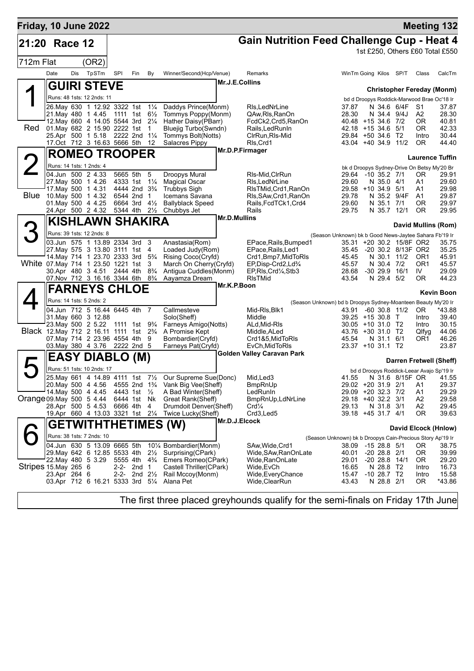| Friday, 10 June 2022      |              |     |                                                                                                   |          |                                                        |                |                                              |                     |                                                                       |                                                               |                                           |                                       |                          |                        | <b>Meeting 132</b>                          |
|---------------------------|--------------|-----|---------------------------------------------------------------------------------------------------|----------|--------------------------------------------------------|----------------|----------------------------------------------|---------------------|-----------------------------------------------------------------------|---------------------------------------------------------------|-------------------------------------------|---------------------------------------|--------------------------|------------------------|---------------------------------------------|
| 21:20 Race 12             |              |     |                                                                                                   |          |                                                        |                |                                              |                     | <b>Gain Nutrition Feed Challenge Cup - Heat 4</b>                     |                                                               |                                           |                                       |                          |                        |                                             |
| 712m Flat                 |              |     | (OR2)                                                                                             |          |                                                        |                |                                              |                     |                                                                       |                                                               |                                           |                                       |                          |                        | 1st £250, Others £60 Total £550             |
|                           | Date         | Dis | TpSTm                                                                                             | SPI      | Fin                                                    | By             | Winner/Second(Hcp/Venue)                     |                     | Remarks                                                               |                                                               | WinTm Going Kilos SP/T                    |                                       |                          | Class                  | CalcTm                                      |
|                           |              |     | <b>GUIRI STEVE</b>                                                                                |          |                                                        |                |                                              |                     | Mr.J.E.Collins                                                        |                                                               |                                           |                                       |                          |                        | <b>Christopher Fereday (Monm)</b>           |
|                           |              |     | Runs: 48 1sts: 12 2nds: 11                                                                        |          |                                                        |                |                                              |                     |                                                                       |                                                               |                                           |                                       |                          |                        | bd d Droopys Roddick-Marwood Brae Oc'18 Ir  |
|                           |              |     | 26. May 630 1 12.92 3322 1st                                                                      |          |                                                        | $1\frac{1}{4}$ | Daddys Prince(Monm)                          |                     | RIs, LedNrLine                                                        |                                                               | 37.87                                     |                                       | N 34.6 6/4F              | S1                     | 37.87                                       |
|                           |              |     | 21. May 480 1 4.45 1111 1st                                                                       |          |                                                        | $6\frac{1}{2}$ | Tommys Poppy(Monm)                           |                     | QAw, RIs, RanOn                                                       |                                                               | 28.30                                     | N 34.4 9/4J                           |                          | A2                     | 28.30                                       |
| Red                       |              |     | 12. May 660 4 14.05 5544 3rd 21/4<br>01. May 682 2 15.90 2222 1st                                 |          |                                                        | -1             | Hather Daisy(PBarr)<br>Bluejig Turbo(Swndn)  |                     | FcdCk2,Crd5,RanOn<br>Rails, Led Run In                                |                                                               | 40.48 +15 34.6 7/2<br>42.18 +15 34.6 5/1  |                                       |                          | 0R<br>0R               | 40.81<br>42.33                              |
|                           |              |     | 25.Apr 500 1 5.18 2222 2nd 11/4                                                                   |          |                                                        |                | Tommys Bolt(Notts)                           |                     | CIrRun, RIs-Mid                                                       |                                                               | 29.84 +50 34.6 T2                         |                                       |                          | Intro                  | 30.44                                       |
|                           |              |     | 17.Oct 712 3 16.63 5666 5th                                                                       |          |                                                        | -12            | Salacres Pippy                               |                     | RIs, Crd1                                                             |                                                               | 43.04 +40 34.9 11/2                       |                                       |                          | 0R                     | 44.40                                       |
|                           |              |     | <b>ROMEO TROOPER</b>                                                                              |          |                                                        |                |                                              |                     | Mr.D.P.Firmager                                                       |                                                               |                                           |                                       |                          |                        | <b>Laurence Tuffin</b>                      |
|                           |              |     | Runs: 14 1sts: 1 2nds: 4                                                                          |          |                                                        |                |                                              |                     |                                                                       |                                                               |                                           |                                       |                          |                        | bk d Droopys Sydney-Drive On Betsy My'20 Br |
|                           |              |     | 04.Jun 500 2 4.33                                                                                 |          | 5665 5th                                               | 5              | <b>Droopys Mural</b>                         |                     | RIs-Mid, CIrRun                                                       |                                                               | 29.64 -10 35.2 7/1                        |                                       |                          | 0R                     | 29.91                                       |
|                           |              |     | 27. May 500 1 4.26                                                                                |          | 4333 1st 11/4                                          |                | <b>Magical Oscar</b>                         |                     | RIs, LedNrLine                                                        |                                                               | 29.60                                     | N 35.0 4/1                            |                          | A1                     | 29.60                                       |
|                           |              |     | 17 May 500 1 4.31<br>Blue 10 May 500 1 4.32                                                       |          | 4444 2nd 3 <sup>3</sup> / <sub>4</sub><br>6544 2nd 1   |                | <b>Trubbys Sigh</b><br>Icemans Savana        |                     | RIsTMid, Crd1, RanOn<br>Rls, SAw, Crd1, RanOn                         |                                                               | 29.58 +10 34.9 5/1<br>29.78               |                                       | N 35.2 9/4F              | A1<br>A1               | 29.98<br>29.87                              |
|                           |              |     | 01. May 500 4 4.25                                                                                |          | 6664 3rd                                               | $4\frac{1}{2}$ | <b>Ballyblack Speed</b>                      |                     | Rails, FcdTCk1, Crd4                                                  |                                                               | 29.60                                     | N 35.1                                | 7/1                      | 0R                     | 29.97                                       |
|                           |              |     | 24.Apr 500 2 4.32                                                                                 |          | 5344 4th                                               | $2\frac{1}{2}$ | Chubbys Jet                                  |                     | Rails                                                                 |                                                               | 29.75                                     | N 35.7 12/1                           |                          | 0R                     | 29.95                                       |
|                           |              |     | <b>KISHLAWN SHAKIRA</b>                                                                           |          |                                                        |                |                                              | <b>Mr.D.Mullins</b> |                                                                       |                                                               |                                           |                                       |                          |                        | David Mullins (Rom)                         |
|                           |              |     | Runs: 39 1sts: 12 2nds: 8                                                                         |          |                                                        |                |                                              |                     |                                                                       | (Season Unknown) bk b Good News-Jaytee Sahara Fb'19 Ir        |                                           |                                       |                          |                        |                                             |
|                           |              |     | 03.Jun 575 1 13.89 2334 3rd 3                                                                     |          |                                                        |                | Anastasia(Rom)                               |                     | EPace, Rails, Bumped1                                                 |                                                               |                                           |                                       | 35.31 +20 30.2 15/8F OR2 |                        | 35.75                                       |
|                           |              |     | 27. May 575 3 13.80 3111 1st 4                                                                    |          |                                                        |                | Loaded Judy(Rom)                             |                     | EPace, Rails, Led1                                                    |                                                               | 35.45                                     |                                       | -20 30.2 8/13F OR2       |                        | 35.25                                       |
|                           |              |     | 14. May 714 1 23. 70 2333 3rd 5 <sup>3</sup> / <sub>4</sub><br>White 07. May 714 1 23.50 1221 1st |          |                                                        | 3              | Rising Coco(Cryfd)<br>March On Cherry(Cryfd) |                     | Crd1, Bmp7, MidToRIs<br>EP, Disp-Crd2, Ld <sup>3</sup> / <sub>4</sub> |                                                               | 45.45<br>45.57                            | N 30.4 7/2                            | N 30.1 11/2              | OR1<br>OR <sub>1</sub> | 45.91<br>45.57                              |
|                           |              |     | 30.Apr 480 3 4.51 2444 4th 8 <sup>3</sup> / <sub>4</sub>                                          |          |                                                        |                | Antigua Cuddles(Monm)                        |                     | EP, RIs, Crd <sup>1</sup> / <sub>4</sub> , Stb3                       |                                                               | 28.68                                     | -30 29.9 16/1                         |                          | IV                     | 29.09                                       |
|                           |              |     | 07. Nov 712 3 16.16 3344 6th 83/4                                                                 |          |                                                        |                | Aayamza Dream                                |                     | <b>RIsTMid</b>                                                        |                                                               | 43.54                                     | N 29.4 5/2                            |                          | 0R                     | 44.23                                       |
|                           |              |     | <b>FARNEYS CHLOE</b>                                                                              |          |                                                        |                |                                              | Mr.K.P.Boon         |                                                                       |                                                               |                                           |                                       |                          |                        | Kevin Boon                                  |
|                           |              |     | Runs: 14 1sts: 5 2nds: 2                                                                          |          |                                                        |                |                                              |                     |                                                                       | (Season Unknown) bd b Droopys Sydney-Moanteen Beauty My'20 Ir |                                           |                                       |                          |                        |                                             |
|                           |              |     | 04.Jun 712 5 16.44 6445 4th 7                                                                     |          |                                                        |                | Callmesteve                                  |                     | Mid-RIs, Blk1                                                         |                                                               | 43.91                                     |                                       | $-60$ 30.8 11/2          | OR.                    | *43.88                                      |
|                           |              |     | 31. May 660 3 12.88                                                                               |          |                                                        |                | Solo(Sheff)                                  |                     | Middle                                                                |                                                               | 39.25 +15 30.8 T                          |                                       |                          | Intro                  | 39.40                                       |
|                           |              |     | 23. May 500 2 5.22 1111 1st 93/4<br>Black 12. May 712 2 16.11 1111 1st 2%                         |          |                                                        |                | Farneys Amigo(Notts)<br>A Promise Kept       |                     | ALd, Mid-RIs<br>Middle, ALed                                          |                                                               | $30.05 + 10.31.0$ T2<br>43.76 +30 31.0 T2 |                                       |                          | Intro<br>Qlfyg         | 30.15<br>44.06                              |
|                           |              |     | 07. May 714 2 23.96 4554 4th 9                                                                    |          |                                                        |                | Bombardier(Cryfd)                            |                     | Crd1&5, MidToRIs                                                      |                                                               | 45.54                                     | N 31.1 6/1                            |                          | OR1                    | 46.26                                       |
|                           |              |     | 03. May 380 4 3.76 2222 2nd 5                                                                     |          |                                                        |                | Farneys Pat(Cryfd)                           |                     | EvCh, MidToRIs<br><b>Golden Valley Caravan Park</b>                   |                                                               | 23.37 +10 31.1 T2                         |                                       |                          |                        | 23.87                                       |
|                           |              |     | <b>EASY DIABLO (M)</b>                                                                            |          |                                                        |                |                                              |                     |                                                                       |                                                               |                                           |                                       |                          |                        | Darren Fretwell (Sheff)                     |
|                           |              |     | Runs: 51 1sts: 10 2nds: 17                                                                        |          |                                                        |                |                                              |                     |                                                                       |                                                               |                                           |                                       |                          |                        | bd d Droopys Roddick-Leear Avajo Sp'19 Ir   |
|                           |              |     | 25. May 661 4 14.89 4111 1st 71/2                                                                 |          |                                                        |                | Our Supreme Sue(Donc)                        |                     | Mid, Led <sub>3</sub>                                                 |                                                               | 41.55                                     |                                       | N 31.6 8/15F OR          |                        | 41.55                                       |
|                           |              |     | 20. May 500 4 4.56<br>14. May 500 4 4.45                                                          |          | 4555 2nd 1 <sup>3</sup> / <sub>4</sub><br>4443 1st 1/2 |                | Vank Big Vee(Sheff)<br>A Bad Winter(Sheff)   |                     | <b>BmpRnUp</b><br>LedRunln                                            |                                                               | 29.02 +20 31.9 2/1<br>29.09 +20 32.3 7/2  |                                       |                          | A1<br>A1               | 29.37<br>29.29                              |
| Orange 09. May 500 5 4.44 |              |     |                                                                                                   |          | 6444 1st Nk                                            |                | Great Rank(Sheff)                            |                     | BmpRnUp,LdNrLine                                                      |                                                               | 29.18 +40 32.2 3/1                        |                                       |                          | A2                     | 29.58                                       |
|                           |              |     | 28.Apr 500 5 4.53                                                                                 | 6666 4th |                                                        | 4              | Drumdoit Denver(Sheff)                       |                     | Crd <sub>4</sub>                                                      |                                                               | 29.13                                     | N 31.8 3/1                            |                          | A2                     | 29.45                                       |
|                           |              |     | 19.Apr 660 4 13.03 3321 1st 21/4                                                                  |          |                                                        |                | Twice Lucky(Sheff)                           |                     | Crd3,Led5<br>Mr.D.J.Elcock                                            |                                                               | 39.18 +45 31.7 4/1                        |                                       |                          | 0R                     | 39.63                                       |
|                           |              |     | <b>GETWITHTHETIMES (W)</b>                                                                        |          |                                                        |                |                                              |                     |                                                                       |                                                               |                                           |                                       |                          |                        | David Elcock (Hnlow)                        |
|                           |              |     | Runs: 38 1sts: 7 2nds: 10                                                                         |          |                                                        |                |                                              |                     |                                                                       | (Season Unknown) bk b Droopys Cain-Precious Story Ap'19 Ir    |                                           |                                       |                          |                        |                                             |
|                           |              |     | 04.Jun 630 5 13.09 6665 5th                                                                       |          |                                                        |                | 101⁄4 Bombardier(Monm)                       |                     | SAw, Wide, Crd1                                                       |                                                               | 38.09 -15 28.8 5/1                        |                                       |                          | 0R                     | 38.75                                       |
|                           |              |     | 29. May 642 6 12.85 5533 4th<br>22. May 480 5 3.29                                                |          | 5555 4th 4 <sup>3</sup> / <sub>4</sub>                 | $2\frac{1}{2}$ | Surprising (CPark)<br>Emers Romeo(CPark)     |                     | Wide, SAw, RanOn Late                                                 |                                                               | 40.01                                     | $-20$ 28.8 $2/1$<br>$-20$ 28.8 $14/1$ |                          | 0R<br>OR.              | 39.99                                       |
| Stripes 15. May 265 6     |              |     |                                                                                                   |          | 2-2- 2nd 1                                             |                | Castell Thriller(CPark)                      |                     | Wide, RanOnLate<br>Wide,EvCh                                          |                                                               | 29.01<br>16.65                            | N 28.8 T2                             |                          | Intro                  | 29.20<br>16.73                              |
|                           | 23.Apr 264 6 |     |                                                                                                   |          | 2-2- 2nd $2\frac{1}{2}$                                |                | Rail Mccoy(Monm)                             |                     | Wide, Every Chance                                                    |                                                               | 15.47                                     | $-10$ 28.7 T2                         |                          | Intro                  | 15.58                                       |
|                           |              |     | 03.Apr 712 6 16.21 5333 3rd 51/4                                                                  |          |                                                        |                | Alana Pet                                    |                     | Wide, ClearRun                                                        |                                                               | 43.43                                     | N 28.8 2/1                            |                          | 0R                     | *43.86                                      |
|                           |              |     |                                                                                                   |          |                                                        |                |                                              |                     |                                                                       |                                                               |                                           |                                       |                          |                        |                                             |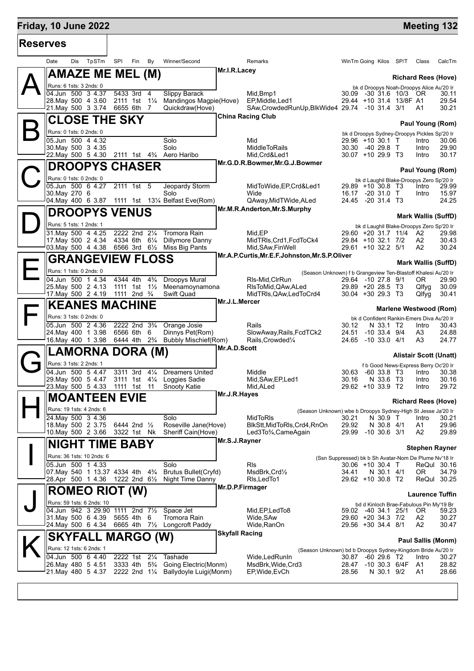## **Friday, 10 June 2022 Meeting 132 Reserves** Date Dis TpSTm SPI Fin By Winner/Second Remarks WinTm Going Kilos SP/T Class CalcTm  $\mathsf{A}\Vert$ **AMAZE ME MEL (M)** Runs: 6 1sts: 3 2nds: 0 **Richard Rees (Hove)** bk d Droopys Noah-Droopys Alice Au'20 Ir<br>09 -30 31.6 10/3 OR 30.11 **Mr.I.R.Lacey** 04.Jun 500 3 4.37 5433 3rd 4 Slippy Barack Mid,Bmp1 30.09 -30 31.6 10/3 OR 30.11<br>28.May 500 4 3.60 2111 1st 1¼ Mandingos Magpie(Hove) EP,Middle,Led1 29.44 +10 31.4 13/8F A1 29.54 28.May 500 4 3.60 2111 1st 1¼ Mandingos Magpie(Hove) EP,Middle,Led1 29.44 +10 31.4 13/8F A1 29.54 SAw,CrowdedRunUp,BlkWide4 29.74 -10 31.4 3/1  $\mathsf{B}\Vert$ **CLOSE THE SKY** Runs: 0 1sts: 0 2nds: 0 **Paul Young (Rom)** bk d Droopys Sydney-Droopys Pickles Sp'20 Ir **China Racing Club** 05.Jun 500 4 4.32 Solo Mid 29.96 +10 30.1 T Intro 30.06 30.May 500 3 4.35 Solo MiddleToRails 30.30 -40 29.8 T Intro 29.90 22.May 500 5 4.30  $\mathbf{C}^{\parallel}_{\mathbb{S}}$ **DROOPYS CHASER** Runs: 0 1sts: 0 2nds: 0 **Paul Young (Rom)** bk d Laughil Blake-Droopys Zero Sp'20 Ir 05.Jun 500 6 4.27 2111 1st 5 Jeopardy Storm MidToWide,EP,Crd&Led1 29.89 +10 30.8 T3 Intro 29.99 **Mr.G.D.R.Bowmer,Mr.G.J.Bowmer** 30.May 270 6 Solo Wide 16.17 -20 31.0 T Intro 15.97 1111 1st 13¼ Belfast Eve(Rom)  $\mathsf{D}\Vert$ **DROOPYS VENUS** Runs: 5 1sts: 1 2nds: 1 **Mark Wallis (SuffD)** bk d Laughil Blake-Droopys Zero Sp'20 Ir **Mr.M.R.Anderton,Mr.S.Murphy** 31.May 500 4 4.25 2222 2nd 2¼ Tromora Rain Mid,EP 29.60 +20 31.7 11/4 A2 29.98 11. Dillymore Danny MidTRls,Crd1,FcdToCk4 29.84 +10 32.1 7/2<br>Miss Big Pants Mid,SAw,FinWell 29.61 +10 32.2 5/1 03.May 500 4 4.38 6566 3rd 6½ Miss Big Pants Mid,SAw,FinWell 29.61 +10 32.2 5/1 A2 30.24 E **GRANGEVIEW FLOSS** Runs: 1 1sts: 0 2nds: 0 **Mark Wallis (SuffD)** (Season Unknown) f b Grangeview Ten-Blastoff Khalesi Au'20 Ir **Mr.A.P.Curtis,Mr.E.F.Johnston,Mr.S.P.Oliver** 04.Jun 500 1 4.34 4344 4th 4¾ Droopys Mural Rls-Mid,ClrRun 29.64 -10 27.8 9/1 OR 29.90 25.May 500 2 4.13 1111 1st 1½ Meenamoynamona RlsToMid,QAw,ALed 29.89 +20 28.5 T3 Qlfyg 30.09 Swift Quad MidTRls, QAw, LedToCrd4 30.04 +30 29.3 T3 Qlfyg 30.41  $\mathsf{F}\vert$ **KEANES MACHINE** Runs: 3 1sts: 0 2nds: 0 **Marlene Westwood (Rom)** bk d Confident Rankin-Emers Diva Au'20 Ir<br>30.12 N 33.1 T2 Intro 30.43 **Mr.J.L.Mercer** 05.Jun 500 2 4.36 2222 2nd 3¾ Orange Josie Rails 30.12 N 33.1 T2 Intro 30.43 24.May 400 1 3.98 6566 6th 6 Dinnys Pet(Rom) SlowAway,Rails,FcdTCk2 24.51 -10 33.4 9/4 A3 24.88 16.May 400 1 3.98 6444 4th 2¾ Bubbly Mischief(Rom) Rails,Crowded¼ 24.65 -10 33.0 4/1 A3 24.77  $G_{\frac{1}{2}}^{\mathbb{I}}$ **LAMORNA DORA (M)** Runs: 3 1sts: 2 2nds: 1 **Alistair Scott (Unatt)** f b Good News-Express Berry Oc'20 Ir **Mr.A.D.Scott** 04.Jun 500 5 4.47 3311 3rd 41/4 Dreamers United Middle Middle 30.63 -60 33.8 T3 Intro 29.May 500 5 4.47 3111 1st 4¼ Loggies Sadie Mid,SAw,EP,Led1 30.16 N 33.6 T3 Intro 30.16 23.May 500 5 4.33 1111 1st 11 Snooty Katie Mid,ALed 29.62 +10 33.9 T2 Intro 29.72  $\mathsf{H}^{\parallel}_{\mathbb{Z}}$ **MOANTEEN EVIE** Runs: 19 1sts: 4 2nds: 6 **Richard Rees (Hove)** (Season Unknown) wbe b Droopys Sydney-High St Jesse Ja'20 Ir **Mr.J.R.Hayes** 24.May 500 3 4.36 Solo MidToRls 30.21 N 30.9 T Intro 30.21 18.May 500 2 3.75 6444 2nd ½ Roseville Jane(Hove) BlkStt,MidToRls,Crd4,RnOn 29.92 N 30.8 4/1 A1 29.96 Led3To<sup>3</sup>/<sub>4</sub>,CameAgain 29.99 -10 30.6 3/1 A2 29.89 I **NIGHT TIME BABY** Runs: 36 1sts: 10 2nds: 6 **Stephen Rayner** (Ssn Suppressed) bk b Sh Avatar-Nom De Plume Nv'18 Ir **Mr.S.J.Rayner** 05.Jun 500 1 4.33 Solo Rls 30.06 +10 30.4 T ReQul 30.16 07.May 540 1 13.37 4334 4th 4¾ Brutus Bullet(Cryfd) MsdBrk,Crd½ 34.41 N 30.1 4/1 OR 34.79 28.Apr 500 1 4.36  $\,$  1222 2nd 6½ Night Time Danny  $\,$  Rls,LedTo1 J **ROMEO RIOT (W)** Runs: 59 1sts: 6 2nds: 10 **Laurence Tuffin** bd d Kinloch Brae-Fabulous Pin My'19 Br<br>59.02 -40 34.1 25/1 OR 59.23 **Mr.D.P.Firmager** 04.Jun 942 3 29.90 1111 2nd 7½ Space Jet Mid,EP,LedTo8 59.02 -40 34.1 25/1 OR<br>31.May 500 6 4.39 5655 4th 6 Tromora Rain Wide,SAw 29.60 +20 34.3 7/2 A2 31.May 500 6 4.39 5655 4th 6 Tromora Rain Wide,SAw 29.60 +20 34.3 7/2 A2 30.27 24.May 500 6 4.34 6665 4th 7½ Longcroft Paddy Wide,RanOn 29.56 +30 34.4 8/1 A2 30.47  $\mathsf{K}\Vert$ **SKYFALL MARGO (W)** Runs: 12 1sts: 6 2nds: 1 **Paul Sallis (Monm)** (Season Unknown) bd b Droopys Sydney-Kingdom Bride Au'20 Ir **Skyfall Racing** 04.Jun 500 6 4.40 2222 1st 2¼ Tashade Wide,LedRunIn 30.87 -60 29.6 T2 Intro 30.87 -60 29.6 T2 Intro 30.3 F12 Intro 30.87 -60 29.6 T2 Going Electric(Monm) MsdBrk, Wide, Crd3 28.47 -10 30.3 6/4F A1 28.82 21.May 480 5 4.37 2222 2nd 1¼ Ballydoyle Luigi(Monm) EP,Wide,EvCh 28.56 N 30.1 9/2 A1 28.66